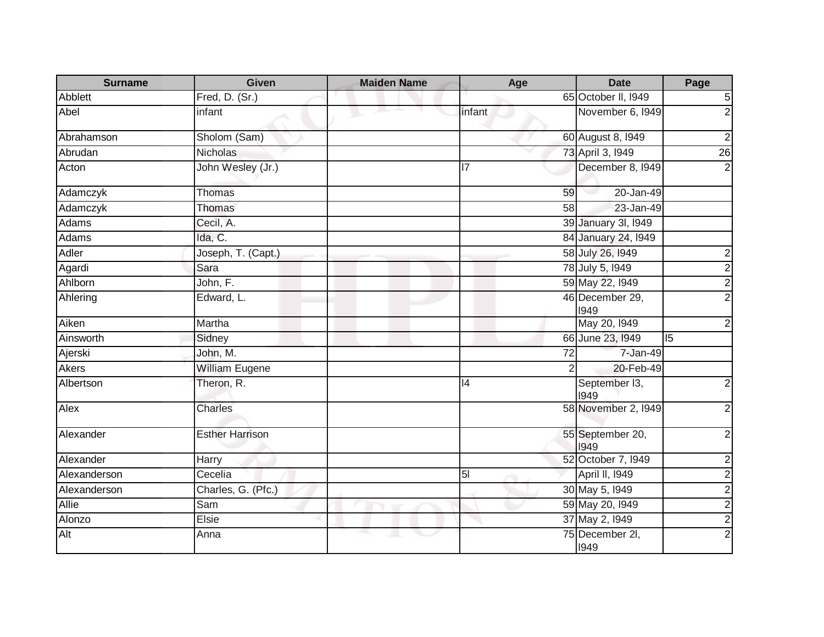| <b>Surname</b> | <b>Given</b>           | <b>Maiden Name</b> | Age            | <b>Date</b>              | Page                    |
|----------------|------------------------|--------------------|----------------|--------------------------|-------------------------|
| Abblett        | Fred, D. (Sr.)         |                    |                | 65 October II, 1949      | $\sqrt{5}$              |
| Abel           | infant                 |                    | infant         | November 6, 1949         | $\overline{2}$          |
| Abrahamson     | Sholom (Sam)           |                    |                | 60 August 8, 1949        | $\overline{2}$          |
| Abrudan        | Nicholas               |                    |                | 73 April 3, 1949         | $\overline{26}$         |
| Acton          | John Wesley (Jr.)      |                    | 17             | December 8, 1949         | $\overline{2}$          |
| Adamczyk       | Thomas                 |                    | 59             | 20-Jan-49                |                         |
| Adamczyk       | <b>Thomas</b>          |                    | 58             | 23-Jan-49                |                         |
| Adams          | Cecil, A.              |                    |                | 39 January 3I, 1949      |                         |
| Adams          | Ida, C.                |                    |                | 84 January 24, 1949      |                         |
| Adler          | Joseph, T. (Capt.)     |                    |                | 58 July 26, 1949         | $\overline{\mathbf{c}}$ |
| Agardi         | Sara                   |                    |                | 78 July 5, 1949          |                         |
| Ahlborn        | John, F.               |                    |                | 59 May 22, 1949          | $\frac{2}{2}$           |
| Ahlering       | Edward, L.             |                    |                | 46 December 29,<br>1949  | $\overline{2}$          |
| Aiken          | Martha                 |                    |                | May 20, 1949             | $\overline{c}$          |
| Ainsworth      | Sidney                 |                    |                | 66 June 23, 1949         | $\overline{5}$          |
| Ajerski        | John, M.               |                    | 72             | 7-Jan-49                 |                         |
| <b>Akers</b>   | <b>William Eugene</b>  |                    | $\overline{2}$ | 20-Feb-49                |                         |
| Albertson      | Theron, R.             |                    | 14             | September 13,<br>1949    | $\overline{2}$          |
| Alex           | <b>Charles</b>         |                    |                | 58 November 2, 1949      | $\overline{2}$          |
| Alexander      | <b>Esther Harrison</b> |                    |                | 55 September 20,<br>1949 | $\overline{2}$          |
| Alexander      | Harry                  |                    |                | 52 October 7, 1949       | $\overline{\mathbf{c}}$ |
| Alexanderson   | Cecelia                |                    | 5 <sub>l</sub> | April II, 1949           | $\overline{2}$          |
| Alexanderson   | Charles, G. (Pfc.)     |                    |                | 30 May 5, 1949           |                         |
| Allie          | Sam                    |                    |                | 59 May 20, 1949          |                         |
| Alonzo         | Elsie                  |                    |                | 37 May 2, 1949           | $\frac{2}{2}$           |
| Alt            | Anna                   |                    |                | 75 December 2I,<br>1949  | $\overline{2}$          |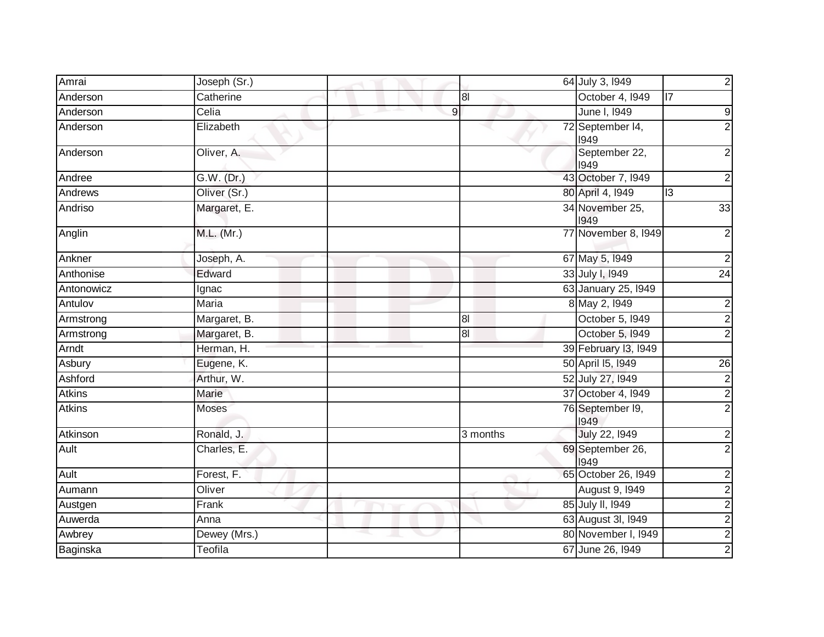| Amrai         | Joseph (Sr.) |                |                | 64 July 3, 1949          | $\overline{2}$          |
|---------------|--------------|----------------|----------------|--------------------------|-------------------------|
| Anderson      | Catherine    |                | 8              | October 4, 1949          | $\overline{17}$         |
| Anderson      | Celia        | $\overline{9}$ |                | June I, 1949             | $\boldsymbol{9}$        |
| Anderson      | Elizabeth    |                |                | 72 September 14,<br>1949 | $\overline{2}$          |
| Anderson      | Oliver, A.   |                |                | September 22,<br>1949    | $\overline{2}$          |
| Andree        | G.W. (Dr.)   |                |                | 43 October 7, 1949       | $\overline{\mathbf{c}}$ |
| Andrews       | Oliver (Sr.) |                |                | 80 April 4, 1949         | 3                       |
| Andriso       | Margaret, E. |                |                | 34 November 25,<br>1949  | 33                      |
| Anglin        | M.L. (Mr.)   |                |                | 77 November 8, 1949      | $\overline{c}$          |
| Ankner        | Joseph, A.   |                |                | 67 May 5, 1949           | $\overline{2}$          |
| Anthonise     | Edward       |                |                | 33 July I, 1949          | $\overline{24}$         |
| Antonowicz    | Ignac        |                |                | 63 January 25, 1949      |                         |
| Antulov       | Maria        |                |                | 8 May 2, 1949            | $\overline{2}$          |
| Armstrong     | Margaret, B. |                | 8 <sub>l</sub> | October 5, I949          | $\overline{2}$          |
| Armstrong     | Margaret, B. |                | $\overline{8}$ | October 5, 1949          | $\overline{2}$          |
| Arndt         | Herman, H.   |                |                | 39 February 13, 1949     |                         |
| Asbury        | Eugene, K.   |                |                | 50 April 15, 1949        | $\overline{26}$         |
| Ashford       | Arthur, W.   |                |                | 52 July 27, 1949         | $\overline{2}$          |
| <b>Atkins</b> | Marie        |                |                | 37 October 4, 1949       | $\overline{2}$          |
| <b>Atkins</b> | Moses        |                |                | 76 September 19,<br>1949 | $\overline{2}$          |
| Atkinson      | Ronald, J.   |                | 3 months       | July 22, 1949            | $\overline{2}$          |
| Ault          | Charles, E.  |                |                | 69 September 26,<br>1949 | $\overline{2}$          |
| Ault          | Forest, F.   |                |                | 65 October 26, 1949      | $\overline{\mathbf{c}}$ |
| Aumann        | Oliver       |                |                | August 9, 1949           | $\overline{2}$          |
| Austgen       | Frank        |                |                | 85 July II, 1949         | $\overline{2}$          |
| Auwerda       | Anna         |                |                | 63 August 3I, 1949       | $\overline{2}$          |
| Awbrey        | Dewey (Mrs.) |                |                | 80 November I, 1949      | $\frac{2}{2}$           |
| Baginska      | Teofila      |                |                | 67 June 26, 1949         |                         |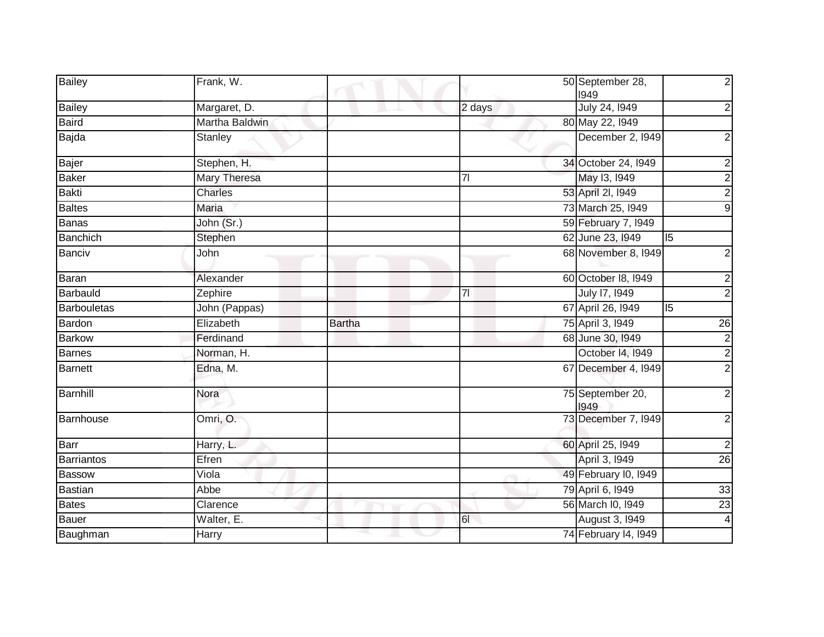| Bailey             | Frank, W.           |               |                | 50 September 28,<br>1949 |   | $\mathbf{2}$            |
|--------------------|---------------------|---------------|----------------|--------------------------|---|-------------------------|
| <b>Bailey</b>      | Margaret, D.        |               | 2 days         | July 24, 1949            |   | $\boldsymbol{2}$        |
| <b>Baird</b>       | Martha Baldwin      |               |                | 80 May 22, 1949          |   |                         |
| Bajda              | <b>Stanley</b>      |               |                | December 2, 1949         |   | $\overline{\mathbf{c}}$ |
| Bajer              | Stephen, H.         |               |                | 34 October 24, 1949      |   | $\overline{\mathbf{c}}$ |
| <b>Baker</b>       | <b>Mary Theresa</b> |               | 7 <sup>1</sup> | May 13, 1949             |   | $\overline{2}$          |
| <b>Bakti</b>       | Charles             |               |                | 53 April 2I, 1949        |   | $\overline{2}$          |
| <b>Baltes</b>      | Maria               |               |                | 73 March 25, 1949        |   | $\overline{9}$          |
| <b>Banas</b>       | John (Sr.)          |               |                | 59 February 7, 1949      |   |                         |
| <b>Banchich</b>    | Stephen             |               |                | 62 June 23, 1949         | 5 |                         |
| <b>Banciv</b>      | John                |               |                | 68 November 8, 1949      |   | $\overline{\mathbf{c}}$ |
| Baran              | Alexander           |               |                | 60 October 18, 1949      |   | $\overline{c}$          |
| Barbauld           | Zephire             |               | 71             | July 17, 1949            |   | $\overline{2}$          |
| <b>Barbouletas</b> | John (Pappas)       |               |                | 67 April 26, 1949        | 5 |                         |
| Bardon             | Elizabeth           | <b>Bartha</b> |                | 75 April 3, 1949         |   | $\overline{26}$         |
| <b>Barkow</b>      | Ferdinand           |               |                | 68 June 30, 1949         |   | $\overline{c}$          |
| <b>Barnes</b>      | Norman, H.          |               |                | October 14, 1949         |   | $\overline{c}$          |
| <b>Barnett</b>     | Edna, M.            |               |                | 67 December 4, 1949      |   | $\overline{2}$          |
| Barnhill           | Nora                |               |                | 75 September 20,<br>1949 |   | $\overline{2}$          |
| Barnhouse          | Omri, O.            |               |                | 73 December 7, 1949      |   | $\overline{c}$          |
| Barr               | Harry, L.           |               |                | 60 April 25, 1949        |   | $\overline{2}$          |
| Barriantos         | Efren               |               |                | April 3, 1949            |   | 26                      |
| <b>Bassow</b>      | Viola               |               |                | 49 February I0, I949     |   |                         |
| <b>Bastian</b>     | Abbe                |               |                | 79 April 6, 1949         |   | 33                      |
| <b>Bates</b>       | Clarence            |               |                | 56 March I0, 1949        |   | $\overline{23}$         |
| <b>Bauer</b>       | Walter, E.          |               | $\overline{6}$ | <b>August 3, 1949</b>    |   | $\overline{4}$          |
| Baughman           | Harry               |               |                | 74 February 14, 1949     |   |                         |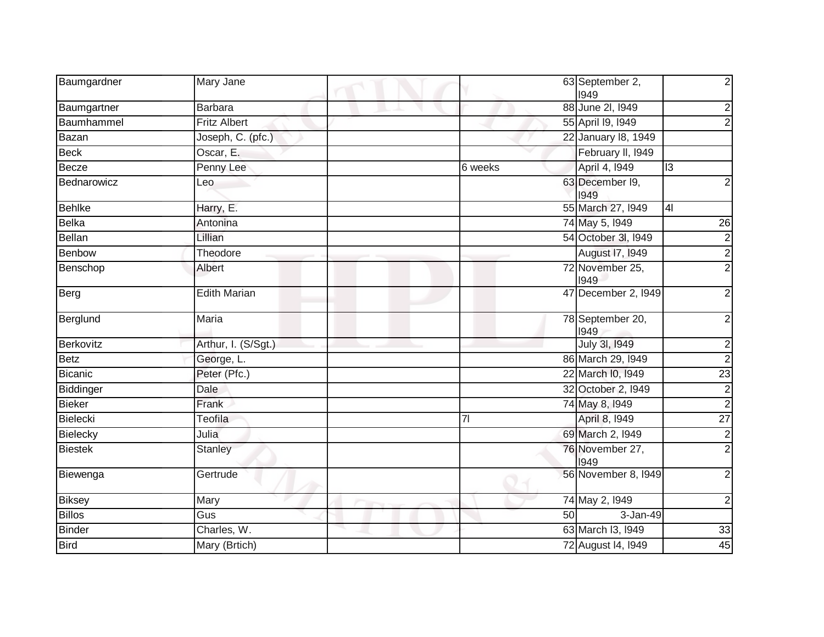| Baumgardner    | Mary Jane           |         | 63 September 2,<br>1949  | $\overline{2}$   |
|----------------|---------------------|---------|--------------------------|------------------|
| Baumgartner    | <b>Barbara</b>      |         | 88 June 2l, 1949         | $\overline{2}$   |
| Baumhammel     | <b>Fritz Albert</b> |         | 55 April 19, 1949        | $\overline{2}$   |
| <b>Bazan</b>   | Joseph, C. (pfc.)   |         | 22 January 18, 1949      |                  |
| <b>Beck</b>    | Oscar, E.           |         | February II, 1949        |                  |
| Becze          | Penny Lee           | 6 weeks | April 4, 1949            | 13               |
| Bednarowicz    | Leo                 |         | 63 December I9,<br>1949  | $\overline{c}$   |
| <b>Behlke</b>  | Harry, E.           |         | 55 March 27, 1949        | $\overline{4}$   |
| <b>Belka</b>   | Antonina            |         | 74 May 5, 1949           | $\overline{26}$  |
| <b>Bellan</b>  | Lillian             |         | 54 October 3I, 1949      | $\overline{2}$   |
| Benbow         | Theodore            |         | August 17, 1949          | $\overline{2}$   |
| Benschop       | Albert              |         | 72 November 25,<br>1949  | $\overline{2}$   |
| Berg           | <b>Edith Marian</b> |         | 47 December 2, 1949      | $\overline{2}$   |
| Berglund       | Maria               |         | 78 September 20,<br>1949 | $\overline{c}$   |
| Berkovitz      | Arthur, I. (S/Sgt.) |         | July 3I, 1949            | $\boldsymbol{2}$ |
| <b>Betz</b>    | George, L.          |         | 86 March 29, 1949        | $\overline{2}$   |
| <b>Bicanic</b> | Peter (Pfc.)        |         | 22 March I0, 1949        | $\overline{23}$  |
| Biddinger      | Dale                |         | 32 October 2, 1949       | $\frac{2}{2}$    |
| <b>Bieker</b>  | Frank               |         | 74 May 8, 1949           |                  |
| Bielecki       | <b>Teofila</b>      | 71      | April 8, 1949            | $\overline{27}$  |
| Bielecky       | Julia               |         | 69 March 2, 1949         | $\frac{2}{2}$    |
| <b>Biestek</b> | Stanley             |         | 76 November 27,<br>1949  |                  |
| Biewenga       | Gertrude            |         | 56 November 8, 1949      | $\overline{2}$   |
| <b>Biksey</b>  | Mary                |         | 74 May 2, 1949           | $\boldsymbol{2}$ |
| <b>Billos</b>  | Gus                 | 50      | 3-Jan-49                 |                  |
| <b>Binder</b>  | Charles, W.         |         | 63 March I3, 1949        | 33               |
| <b>Bird</b>    | Mary (Brtich)       |         | 72 August 14, 1949       | 45               |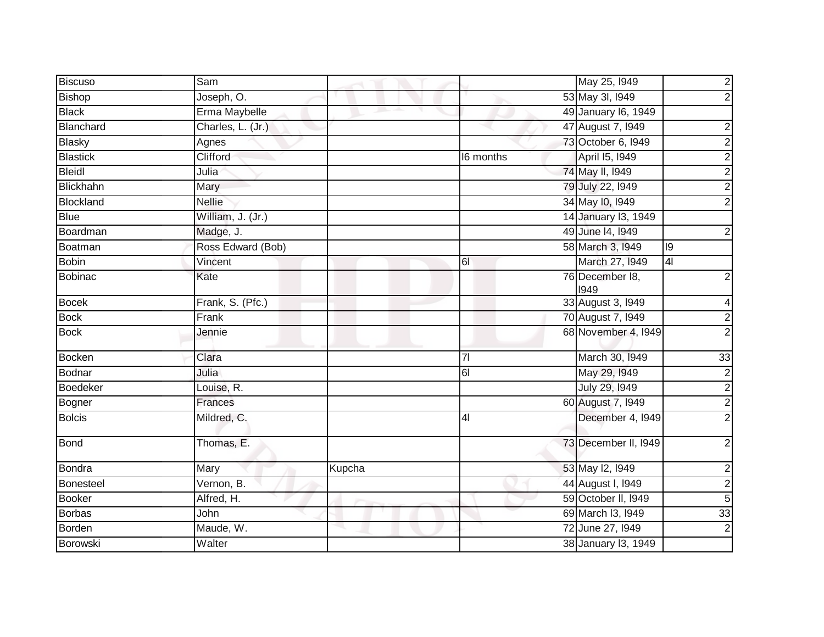| <b>Biscuso</b>  | Sam               |        |                | May 25, 1949            |                | $\overline{2}$  |
|-----------------|-------------------|--------|----------------|-------------------------|----------------|-----------------|
| <b>Bishop</b>   | Joseph, O.        |        |                | 53 May 3I, 1949         |                | $\overline{2}$  |
| <b>Black</b>    | Erma Maybelle     |        |                | 49 January 16, 1949     |                |                 |
| Blanchard       | Charles, L. (Jr.) |        |                | 47 August 7, 1949       |                | $\overline{2}$  |
| <b>Blasky</b>   | Agnes             |        |                | 73 October 6, 1949      |                | $\overline{c}$  |
| <b>Blastick</b> | Clifford          |        | I6 months      | April 15, 1949          |                | $\overline{2}$  |
| <b>Bleidl</b>   | Julia             |        |                | 74 May II, 1949         |                | $\overline{2}$  |
| Blickhahn       | Mary              |        |                | 79 July 22, 1949        |                | $\overline{c}$  |
| Blockland       | <b>Nellie</b>     |        |                | 34 May 10, 1949         |                | $\overline{2}$  |
| <b>Blue</b>     | William, J. (Jr.) |        |                | 14 January 13, 1949     |                |                 |
| Boardman        | Madge, J.         |        |                | 49 June 14, 1949        |                | $\mathbf{2}$    |
| Boatman         | Ross Edward (Bob) |        |                | 58 March 3, 1949        | 19             |                 |
| <b>Bobin</b>    | Vincent           |        | 61             | March 27, 1949          | $\overline{4}$ |                 |
| <b>Bobinac</b>  | Kate              |        |                | 76 December 18,<br>1949 |                | $\overline{2}$  |
| <b>Bocek</b>    | Frank, S. (Pfc.)  |        |                | 33 August 3, 1949       |                | $\vert 4 \vert$ |
| <b>Bock</b>     | Frank             |        |                | 70 August 7, 1949       |                | $\frac{2}{2}$   |
| <b>Bock</b>     | Jennie            |        |                | 68 November 4, 1949     |                |                 |
| <b>Bocken</b>   | Clara             |        | 7 <sup>1</sup> | March 30, 1949          |                | 33              |
| <b>Bodnar</b>   | Julia             |        | $\overline{6}$ | May 29, 1949            |                | $\overline{2}$  |
| <b>Boedeker</b> | Louise, R.        |        |                | July 29, 1949           |                |                 |
| Bogner          | Frances           |        |                | 60 August 7, 1949       |                | $\frac{2}{2}$   |
| <b>Bolcis</b>   | Mildred, C.       |        | 4 <sub>l</sub> | December 4, I949        |                | $\overline{2}$  |
| Bond            | Thomas, E.        |        |                | 73 December II, 1949    |                | $\overline{2}$  |
| <b>Bondra</b>   | Mary              | Kupcha |                | 53 May 12, 1949         |                | $\mathbf{2}$    |
| Bonesteel       | Vernon, B.        |        |                | 44 August I, 1949       |                | $\overline{2}$  |
| <b>Booker</b>   | Alfred, H.        |        |                | 59 October II, 1949     |                | $\overline{5}$  |
| Borbas          | John              |        |                | 69 March 13, 1949       |                | 33              |
| <b>Borden</b>   | Maude, W.         |        |                | 72 June 27, 1949        |                | $\overline{2}$  |
| Borowski        | Walter            |        |                | 38 January 13, 1949     |                |                 |
|                 |                   |        |                |                         |                |                 |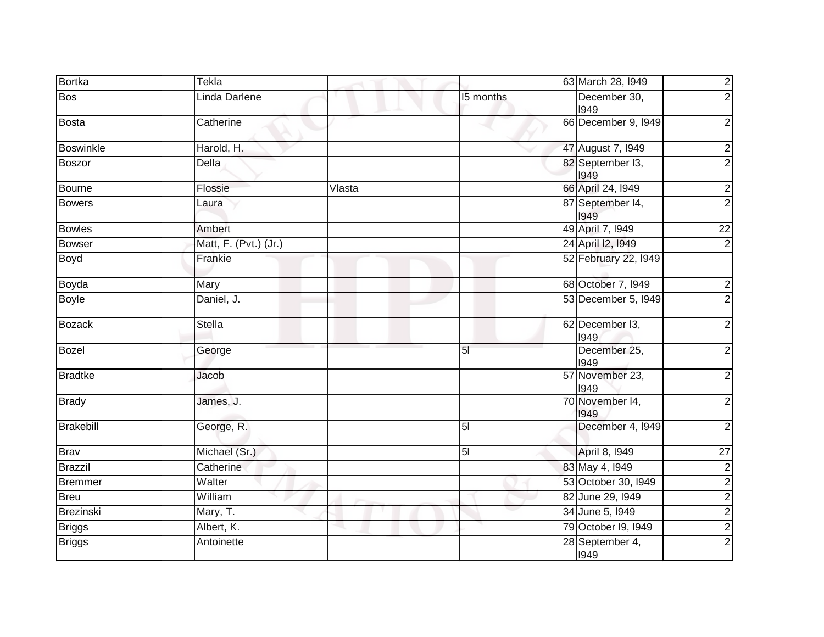| <b>Bortka</b>  | Tekla                 |        |                | 63 March 28, 1949        | $\frac{2}{2}$           |
|----------------|-----------------------|--------|----------------|--------------------------|-------------------------|
| <b>Bos</b>     | Linda Darlene         |        | 15 months      | December 30,<br>1949     |                         |
| <b>Bosta</b>   | Catherine             |        |                | 66 December 9, 1949      | $\overline{2}$          |
| Boswinkle      | Harold, H.            |        |                | 47 August 7, 1949        | $\overline{\mathbf{c}}$ |
| <b>Boszor</b>  | Della                 |        |                | 82 September I3,<br>1949 | $\overline{2}$          |
| Bourne         | Flossie               | Vlasta |                | 66 April 24, 1949        | $\overline{2}$          |
| <b>Bowers</b>  | Laura                 |        |                | 87 September 14,<br>1949 | $\overline{2}$          |
| <b>Bowles</b>  | Ambert                |        |                | 49 April 7, 1949         | $\overline{22}$         |
| Bowser         | Matt, F. (Pvt.) (Jr.) |        |                | 24 April 12, 1949        | $\overline{\mathbf{c}}$ |
| Boyd           | Frankie               |        |                | 52 February 22, 1949     |                         |
| Boyda          | Mary                  |        |                | 68 October 7, 1949       | $\overline{\mathbf{c}}$ |
| Boyle          | Daniel, J.            |        |                | 53 December 5, 1949      | $\overline{2}$          |
| <b>Bozack</b>  | <b>Stella</b>         |        |                | 62 December I3,<br>1949  | $\mathbf 2$             |
| Bozel          | George                |        | 5 <sub>l</sub> | December 25,<br>1949     | $\mathbf 2$             |
| <b>Bradtke</b> | Jacob                 |        |                | 57 November 23,<br>1949  | $\overline{c}$          |
| <b>Brady</b>   | James, J.             |        |                | 70 November 14,<br>1949  | $\boldsymbol{2}$        |
| Brakebill      | George, R.            |        | 5 <sub>l</sub> | December 4, 1949         | $\overline{2}$          |
| <b>Brav</b>    | Michael (Sr.)         |        | 5 <sub>l</sub> | April 8, 1949            | $\overline{27}$         |
| <b>Brazzil</b> | Catherine             |        |                | 83 May 4, 1949           | $\overline{2}$          |
| <b>Bremmer</b> | Walter                |        |                | 53 October 30, 1949      | $\overline{2}$          |
| <b>Breu</b>    | William               |        |                | 82 June 29, 1949         | $\overline{c}$          |
| Brezinski      | Mary, T.              |        |                | 34 June 5, 1949          | $\frac{2}{2}$           |
| <b>Briggs</b>  | Albert, K.            |        |                | 79 October 19, 1949      |                         |
| <b>Briggs</b>  | Antoinette            |        |                | 28 September 4,<br>1949  | $\overline{2}$          |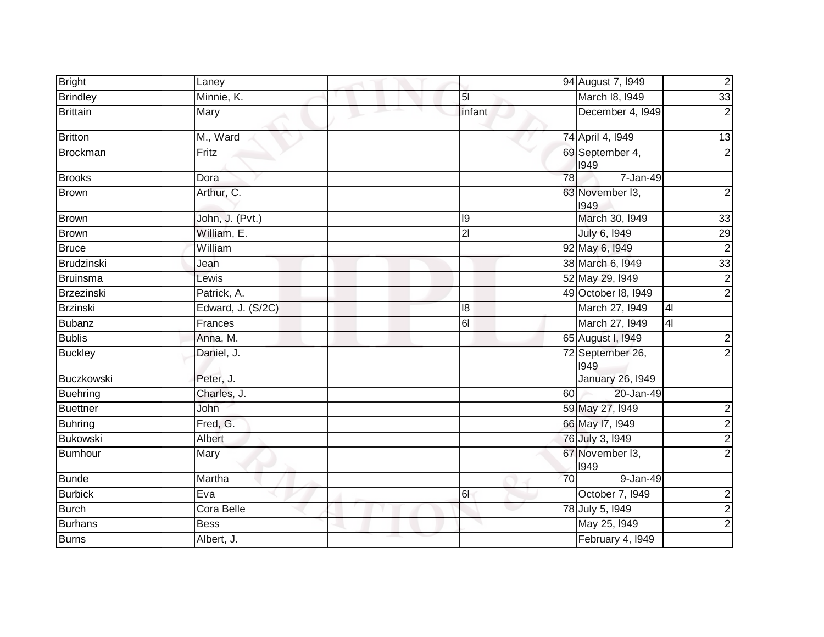| <b>Bright</b>     | Laney             |                | 94 August 7, 1949        | $\overline{c}$          |
|-------------------|-------------------|----------------|--------------------------|-------------------------|
| <b>Brindley</b>   | Minnie, K.        | 5 <sub>l</sub> | March 18, 1949           | 33                      |
| <b>Brittain</b>   | Mary              | infant         | December 4, 1949         | $\boldsymbol{2}$        |
| <b>Britton</b>    | M., Ward          |                | 74 April 4, 1949         | 13                      |
| <b>Brockman</b>   | Fritz             |                | 69 September 4,<br>1949  | $\overline{2}$          |
| <b>Brooks</b>     | Dora              | 78             | 7-Jan-49                 |                         |
| <b>Brown</b>      | Arthur, C.        |                | 63 November I3,<br>1949  | $\overline{2}$          |
| <b>Brown</b>      | John, J. (Pvt.)   | 19             | March 30, 1949           | 33                      |
| <b>Brown</b>      | William, E.       | $\overline{2}$ | July 6, 1949             | 29                      |
| <b>Bruce</b>      | William           |                | 92 May 6, 1949           | $\overline{2}$          |
| <b>Brudzinski</b> | Jean              |                | 38 March 6, 1949         | $\overline{33}$         |
| <b>Bruinsma</b>   | Lewis             |                | 52 May 29, 1949          | $\overline{2}$          |
| Brzezinski        | Patrick, A.       |                | 49 October 18, 1949      | $\overline{2}$          |
| <b>Brzinski</b>   | Edward, J. (S/2C) | 18             | March 27, 1949           | 4 <sub>l</sub>          |
| <b>Bubanz</b>     | Frances           | 61             | March 27, 1949           | 4                       |
| <b>Bublis</b>     | Anna, M.          |                | 65 August I, 1949        | $\overline{\mathbf{c}}$ |
| <b>Buckley</b>    | Daniel, J.        |                | 72 September 26,<br>1949 | $\overline{2}$          |
| Buczkowski        | Peter, J.         |                | <b>January 26, 1949</b>  |                         |
| <b>Buehring</b>   | Charles, J.       | 60             | 20-Jan-49                |                         |
| <b>Buettner</b>   | John              |                | 59 May 27, 1949          |                         |
| <b>Buhring</b>    | Fred, G.          |                | 66 May 17, 1949          | $\frac{2}{2}$           |
| <b>Bukowski</b>   | Albert            |                | 76 July 3, 1949          | $\overline{c}$          |
| <b>Bumhour</b>    | Mary              |                | 67 November 13,<br>1949  | $\overline{2}$          |
| <b>Bunde</b>      | Martha            | 70             | 9-Jan-49                 |                         |
| <b>Burbick</b>    | Eva               | 61             | October 7, 1949          | $\overline{\mathbf{c}}$ |
| <b>Burch</b>      | Cora Belle        |                | 78 July 5, 1949          | $\overline{2}$          |
| <b>Burhans</b>    | <b>Bess</b>       |                | May 25, 1949             | $\overline{2}$          |
| <b>Burns</b>      | Albert, J.        |                | February 4, 1949         |                         |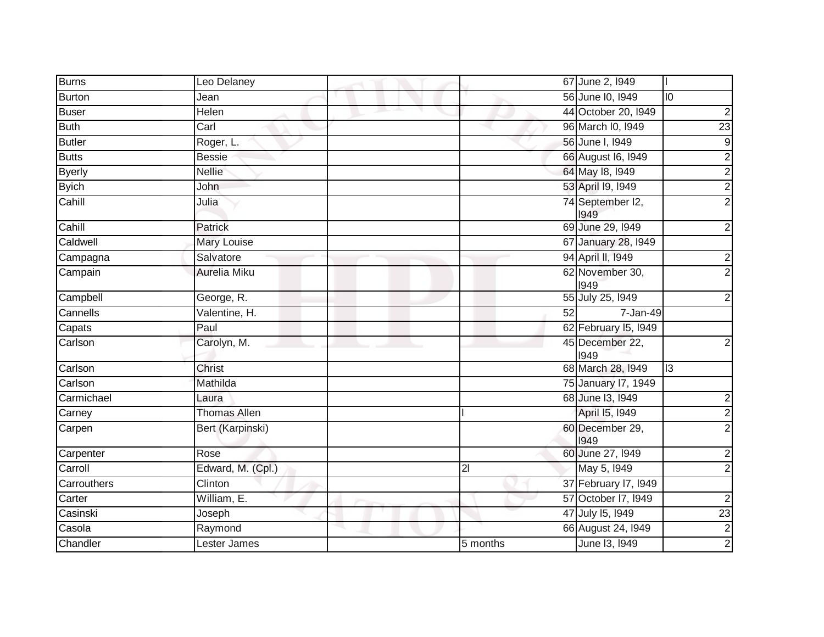| <b>Burns</b>  | Leo Delaney         |          | 67 June 2, 1949          |                         |
|---------------|---------------------|----------|--------------------------|-------------------------|
| <b>Burton</b> | Jean                |          | 56 June 10, 1949         | $\overline{0}$          |
| <b>Buser</b>  | Helen               |          | 44 October 20, 1949      | $\overline{c}$          |
| <b>Buth</b>   | Carl                |          | 96 March I0, 1949        | $\overline{23}$         |
| <b>Butler</b> | Roger, L.           |          | 56 June I, 1949          | $\overline{9}$          |
| <b>Butts</b>  | <b>Bessie</b>       |          | 66 August 16, 1949       | $\overline{2}$          |
| <b>Byerly</b> | <b>Nellie</b>       |          | 64 May 18, 1949          | $\overline{2}$          |
| <b>Byich</b>  | John                |          | 53 April 19, 1949        | $\overline{2}$          |
| Cahill        | Julia               |          | 74 September I2,<br>1949 | $\overline{2}$          |
| Cahill        | Patrick             |          | 69 June 29, 1949         | $\overline{c}$          |
| Caldwell      | Mary Louise         |          | 67 January 28, 1949      |                         |
| Campagna      | Salvatore           |          | 94 April II, 1949        | $\overline{\mathbf{c}}$ |
| Campain       | Aurelia Miku        |          | 62 November 30,<br>1949  | $\overline{2}$          |
| Campbell      | George, R.          |          | 55 July 25, 1949         | $\overline{\mathbf{c}}$ |
| Cannells      | Valentine, H.       | 52       | 7-Jan-49                 |                         |
| Capats        | Paul                |          | 62 February 15, 1949     |                         |
| Carlson       | Carolyn, M.         |          | 45 December 22,<br>1949  | $\overline{2}$          |
| Carlson       | Christ              |          | 68 March 28, 1949        | <u>m</u>                |
| Carlson       | Mathilda            |          | 75 January 17, 1949      |                         |
| Carmichael    | Laura               |          | 68 June 13, 1949         | $\overline{\mathbf{c}}$ |
| Carney        | <b>Thomas Allen</b> |          | April 15, 1949           | $\overline{2}$          |
| Carpen        | Bert (Karpinski)    |          | 60 December 29,<br>1949  | $\overline{2}$          |
| Carpenter     | Rose                |          | 60 June 27, 1949         | $\overline{2}$          |
| Carroll       | Edward, M. (Cpl.)   | 21       | May 5, 1949              | $\overline{c}$          |
| Carrouthers   | Clinton             |          | 37 February 17, 1949     |                         |
| Carter        | William, E.         |          | 57 October 17, 1949      | $\overline{\mathbf{c}}$ |
| Casinski      | Joseph              |          | 47 July 15, 1949         | $\overline{23}$         |
| Casola        | Raymond             |          | 66 August 24, I949       | $\frac{2}{2}$           |
| Chandler      | Lester James        | 5 months | June 13, 1949            |                         |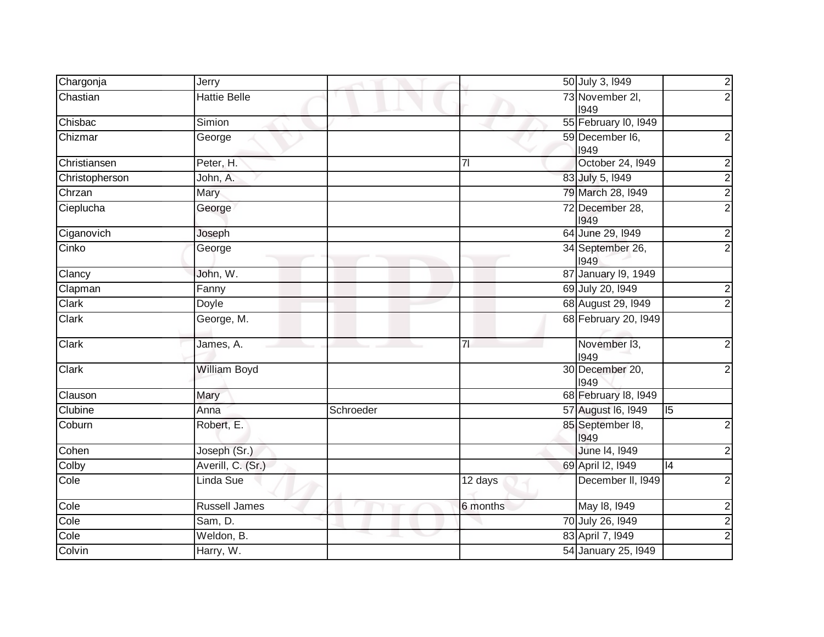| Chargonja      | Jerry                |           |                | 50 July 3, 1949          |                |                         |
|----------------|----------------------|-----------|----------------|--------------------------|----------------|-------------------------|
| Chastian       | <b>Hattie Belle</b>  |           |                | 73 November 2I,<br>1949  |                |                         |
| Chisbac        | Simion               |           |                | 55 February I0, 1949     |                |                         |
| Chizmar        | George               |           |                | 59 December I6,<br>1949  |                | 2                       |
| Christiansen   | Peter, H.            |           | $\overline{7}$ | October 24, 1949         |                | 2                       |
| Christopherson | John, A.             |           |                | 83 July 5, 1949          |                | 2                       |
| Chrzan         | Mary                 |           |                | 79 March 28, 1949        |                | $\overline{\mathbf{c}}$ |
| Cieplucha      | George               |           |                | 72 December 28,<br>1949  |                | $\overline{2}$          |
| Ciganovich     | Joseph               |           |                | 64 June 29, 1949         |                | 2                       |
| Cinko          | George               |           |                | 34 September 26,<br>1949 |                | $\overline{2}$          |
| Clancy         | John, W.             |           |                | 87 January 19, 1949      |                |                         |
| Clapman        | Fanny                |           |                | 69 July 20, 1949         |                | 2                       |
| Clark          | Doyle                |           |                | 68 August 29, 1949       |                |                         |
| Clark          | George, M.           |           |                | 68 February 20, 1949     |                |                         |
| <b>Clark</b>   | James, A.            |           | 7 <sup>1</sup> | November 13,<br>1949     |                |                         |
| Clark          | <b>William Boyd</b>  |           |                | 30 December 20,<br>1949  |                |                         |
| Clauson        | Mary                 |           |                | 68 February 18, 1949     |                |                         |
| Clubine        | Anna                 | Schroeder |                | 57 August 16, 1949       | $\overline{5}$ |                         |
| Coburn         | Robert, E.           |           |                | 85 September 18,<br>1949 |                |                         |
| Cohen          | Joseph (Sr.)         |           |                | June 14, 1949            |                |                         |
| Colby          | Averill, C. (Sr.)    |           |                | 69 April I2, 1949        | 4              |                         |
| Cole           | Linda Sue            |           | 12 days        | December II, 1949        |                | 2                       |
| Cole           | <b>Russell James</b> |           | 6 months       | May 18, 1949             |                | $\overline{\mathbf{c}}$ |
| Cole           | Sam, D.              |           |                | 70 July 26, 1949         |                | $\overline{c}$          |
| Cole           | Weldon, B.           |           | ◡              | 83 April 7, 1949         |                | 2                       |
| Colvin         | Harry, W.            |           |                | 54 January 25, 1949      |                |                         |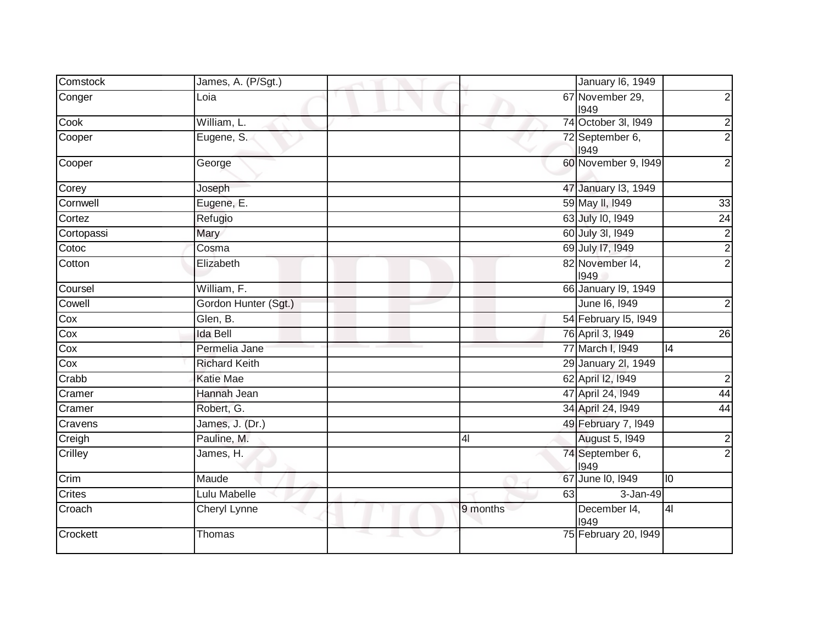| Comstock      | James, A. (P/Sgt.)   | January 16, 1949                                          |
|---------------|----------------------|-----------------------------------------------------------|
| Conger        | Loia                 | 67 November 29,<br>$\overline{2}$<br>1949                 |
| Cook          | William, L.          | 74 October 3I, I949<br>$\overline{c}$                     |
| Cooper        | Eugene, S.           | $\overline{2}$<br>72 September 6,<br>1949                 |
| Cooper        | George               | 60 November 9, 1949<br>$\overline{2}$                     |
| Corey         | Joseph               | 47 January 13, 1949                                       |
| Cornwell      | Eugene, E.           | 59 May II, 1949<br>33                                     |
| Cortez        | Refugio              | 63 July 10, 1949<br>$\overline{24}$                       |
| Cortopassi    | Mary                 | $\overline{2}$<br>60 July 3l, 1949                        |
| Cotoc         | Cosma                | $\frac{2}{2}$<br>69 July 17, 1949                         |
| Cotton        | Elizabeth            | 82 November 14,<br>1949                                   |
| Coursel       | William, F.          | 66 January 19, 1949                                       |
| Cowell        | Gordon Hunter (Sgt.) | June 16, 1949<br>$\boldsymbol{2}$                         |
| Cox           | Glen, B.             | 54 February 15, 1949                                      |
| Cox           | <b>Ida Bell</b>      | 76 April 3, 1949<br>26                                    |
| Cox           | Permelia Jane        | 77 March I, 1949<br>$\overline{14}$                       |
| Cox           | <b>Richard Keith</b> | 29 January 2I, 1949                                       |
| Crabb         | <b>Katie Mae</b>     | 62 April 12, 1949<br>$\mathbf 2$                          |
| Cramer        | Hannah Jean          | 47 April 24, 1949<br>44                                   |
| Cramer        | Robert, G.           | 34 April 24, 1949<br>$\overline{44}$                      |
| Cravens       | James, J. (Dr.)      | 49 February 7, 1949                                       |
| Creigh        | Pauline, M.          | $\overline{2}$<br><b>August 5, 1949</b><br>4 <sub>l</sub> |
| Crilley       | James, H.            | $\overline{2}$<br>74 September 6,<br>1949                 |
| Crim          | Maude                | 67 June 10, 1949<br>10                                    |
| <b>Crites</b> | Lulu Mabelle         | 3-Jan-49<br>63                                            |
| Croach        | Cheryl Lynne         | 9 months<br>December 14,<br> 4 <br>1949                   |
| Crockett      | Thomas               | 75 February 20, 1949                                      |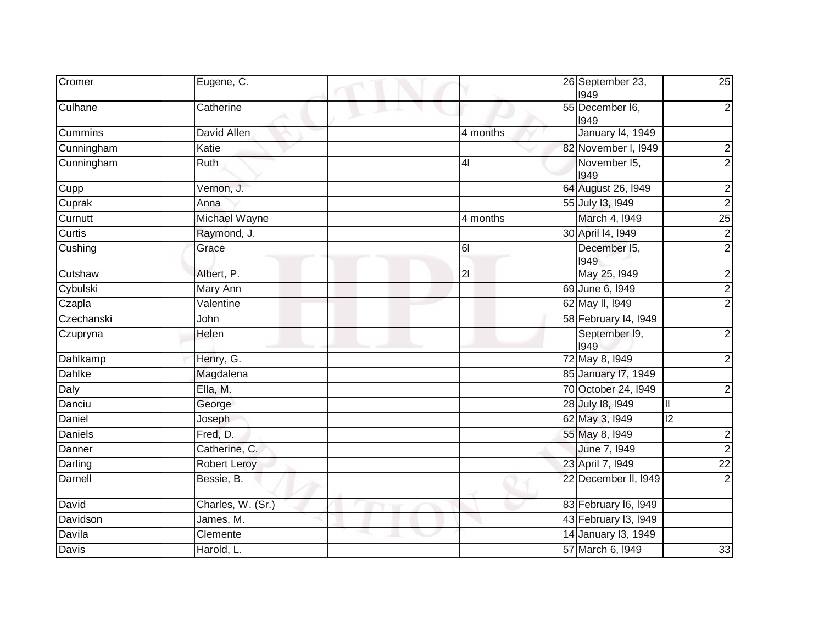| Cromer          | Eugene, C.        | 26 September 23,<br>25<br>1949         |
|-----------------|-------------------|----------------------------------------|
| Culhane         | Catherine         | 55 December I6,<br>1949                |
| <b>Cummins</b>  | David Allen       | <b>January 14, 1949</b><br>4 months    |
| Cunningham      | Katie             | 82 November I, 1949                    |
| Cunningham      | Ruth              | November 15,<br>4 <sub>l</sub><br>1949 |
| Cupp            | Vernon, J.        | 64 August 26, 1949                     |
| Cuprak          | Anna              | 55 July 13, 1949                       |
| Curnutt         | Michael Wayne     | March 4, 1949<br>4 months<br>25        |
| Curtis          | Raymond, J.       | 30 April 14, 1949                      |
| Cushing         | Grace             | December 15,<br>6I<br>1949             |
| Cutshaw         | Albert, P.        | May 25, 1949<br>2 <sup>1</sup>         |
| Cybulski        | Mary Ann          | 69 June 6, 1949                        |
| Czapla          | Valentine         | 62 May II, 1949                        |
| Czechanski      | John              | 58 February 14, 1949                   |
| Czupryna        | Helen             | September 19,<br>1949                  |
| <b>Dahlkamp</b> | Henry, G.         | 72 May 8, 1949                         |
| Dahlke          | Magdalena         | 85 January 17, 1949                    |
| Daly            | Ella, M.          | 70 October 24, I949                    |
| Danciu          | George            | 28 July 18, 1949<br>III                |
| Daniel          | Joseph            | 62 May 3, 1949<br> 2                   |
| <b>Daniels</b>  | Fred, D.          | 55 May 8, 1949                         |
| Danner          | Catherine, C.     | June 7, 1949                           |
| Darling         | Robert Leroy      | 23 April 7, 1949<br>$\overline{22}$    |
| Darnell         | Bessie, B.        | 22 December II, 1949                   |
| David           | Charles, W. (Sr.) | 83 February 16, 1949                   |
| Davidson        | James, M.         | 43 February 13, 1949                   |
| Davila          | Clemente          | 14 January 13, 1949                    |
| Davis           | Harold, L.        | 57 March 6, 1949<br>33                 |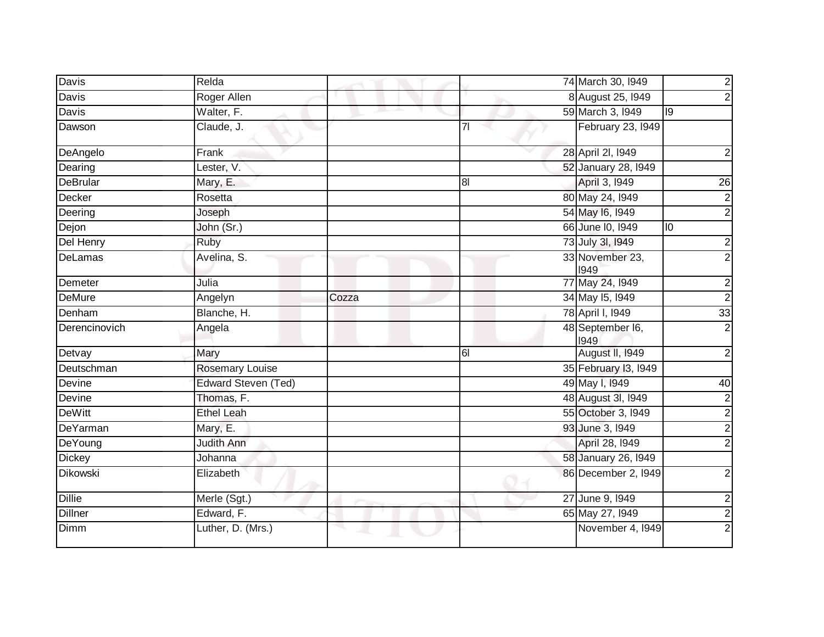| <b>Davis</b>    | Relda                  |       |                | 74 March 30, 1949        |    | $\overline{2}$          |
|-----------------|------------------------|-------|----------------|--------------------------|----|-------------------------|
| Davis           | Roger Allen            |       |                | 8 August 25, 1949        |    | $\overline{2}$          |
| <b>Davis</b>    | Walter, F.             |       |                | 59 March 3, 1949         | l0 |                         |
| Dawson          | Claude, J.             |       | 71             | February 23, 1949        |    |                         |
| DeAngelo        | Frank                  |       |                | 28 April 2I, 1949        |    | 2                       |
| Dearing         | Lester, V.             |       |                | 52 January 28, 1949      |    |                         |
| <b>DeBrular</b> | Mary, E.               |       | 8 <sub>l</sub> | April 3, 1949            |    | 26                      |
| Decker          | Rosetta                |       |                | 80 May 24, 1949          |    | $\overline{2}$          |
| Deering         | Joseph                 |       |                | 54 May 16, 1949          |    | $\overline{2}$          |
| Dejon           | John (Sr.)             |       |                | 66 June 10, 1949         | 10 |                         |
| Del Henry       | Ruby                   |       |                | 73 July 3I, 1949         |    | $\overline{\mathbf{c}}$ |
| DeLamas         | Avelina, S.            |       |                | 33 November 23,<br>1949  |    | $\overline{2}$          |
| Demeter         | Julia                  |       |                | 77 May 24, 1949          |    | $\overline{2}$          |
| DeMure          | Angelyn                | Cozza |                | 34 May 15, 1949          |    | $\overline{2}$          |
| Denham          | Blanche, H.            |       |                | 78 April I, 1949         |    | 33                      |
| Derencinovich   | Angela                 |       |                | 48 September I6,<br>1949 |    | $\overline{2}$          |
| Detvay          | Mary                   |       | 61             | August II, 1949          |    | $\overline{2}$          |
| Deutschman      | <b>Rosemary Louise</b> |       |                | 35 February 13, 1949     |    |                         |
| Devine          | Edward Steven (Ted)    |       |                | 49 May I, 1949           |    | 40                      |
| Devine          | Thomas, F.             |       |                | 48 August 3I, 1949       |    | $\overline{\mathbf{c}}$ |
| <b>DeWitt</b>   | <b>Ethel Leah</b>      |       |                | 55 October 3, 1949       |    | $\overline{2}$          |
| DeYarman        | Mary, E.               |       |                | 93 June 3, 1949          |    | $\overline{2}$          |
| <b>DeYoung</b>  | <b>Judith Ann</b>      |       |                | April 28, 1949           |    | $\overline{2}$          |
| <b>Dickey</b>   | Johanna                |       |                | 58 January 26, 1949      |    |                         |
| <b>Dikowski</b> | Elizabeth              |       |                | 86 December 2, 1949      |    | $\overline{2}$          |
| <b>Dillie</b>   | Merle (Sgt.)           |       |                | 27 June 9, 1949          |    | $\overline{2}$          |
| <b>Dillner</b>  | Edward, F.             |       |                | 65 May 27, 1949          |    | $\overline{\mathbf{c}}$ |
| <b>Dimm</b>     | Luther, D. (Mrs.)      |       |                | November 4, 1949         |    | $\overline{2}$          |
|                 |                        |       |                |                          |    |                         |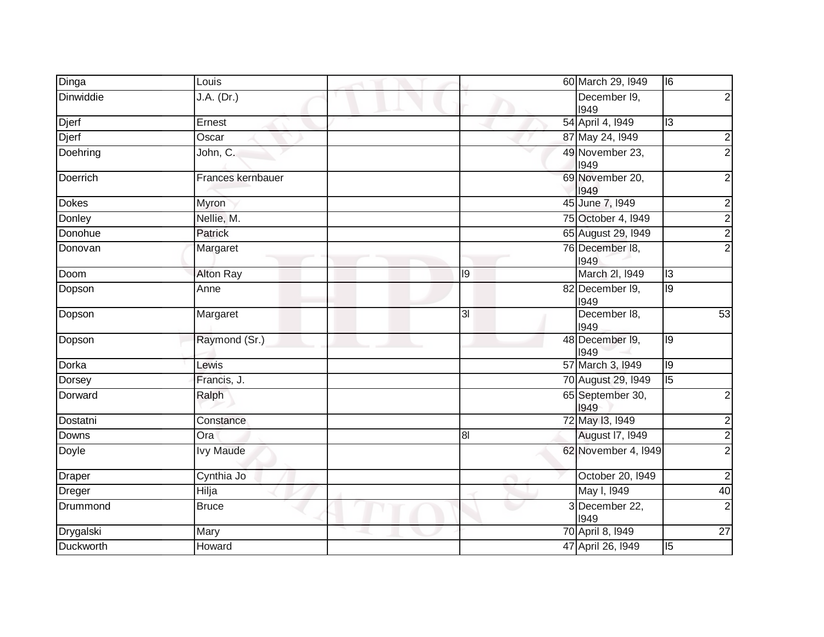| Dinga           | Louis             |                | 60 March 29, 1949        | $\overline{16}$ |
|-----------------|-------------------|----------------|--------------------------|-----------------|
| Dinwiddie       | J.A. (Dr.)        |                | December 19,<br>1949     |                 |
| Djerf           | Ernest            |                | 54 April 4, 1949         | $\overline{13}$ |
| Djerf           | Oscar             |                | 87 May 24, 1949          | 2               |
| Doehring        | John, C.          |                | 49 November 23,<br>1949  | 2               |
| <b>Doerrich</b> | Frances kernbauer |                | 69 November 20,<br>1949  | 2               |
| <b>Dokes</b>    | Myron             |                | 45 June 7, 1949          |                 |
| Donley          | Nellie, M.        |                | 75 October 4, 1949       |                 |
| Donohue         | Patrick           |                | 65 August 29, 1949       | 2               |
| Donovan         | Margaret          |                | 76 December 18,<br>1949  | 2               |
| <b>Doom</b>     | <b>Alton Ray</b>  | 9              | March 2I, 1949           | $\overline{13}$ |
| Dopson          | Anne              |                | 82 December 19,<br>1949  | 9               |
| Dopson          | Margaret          | 3 <sub>l</sub> | December 18,<br>1949     | 53              |
| Dopson          | Raymond (Sr.)     |                | 48 December 19,<br>1949  | 9               |
| Dorka           | Lewis             |                | 57 March 3, 1949         | 9               |
| Dorsey          | Francis, J.       |                | 70 August 29, I949       | $\overline{15}$ |
| Dorward         | Ralph             |                | 65 September 30,<br>1949 | 2               |
| Dostatni        | Constance         |                | 72 May 13, 1949          |                 |
| <b>Downs</b>    | Ora               | 8 <sup>l</sup> | August 17, 1949          |                 |
| Doyle           | <b>Ivy Maude</b>  |                | 62 November 4, 1949      | 2               |
| <b>Draper</b>   | Cynthia Jo        |                | October 20, 1949         | 2               |
| Dreger          | Hilja             |                | May I, 1949              | 40              |
| Drummond        | <b>Bruce</b>      |                | 3 December 22,<br>1949   | $\overline{2}$  |
| Drygalski       | Mary              |                | 70 April 8, 1949         | 27              |
| Duckworth       | Howard            |                | 47 April 26, 1949        | $\overline{5}$  |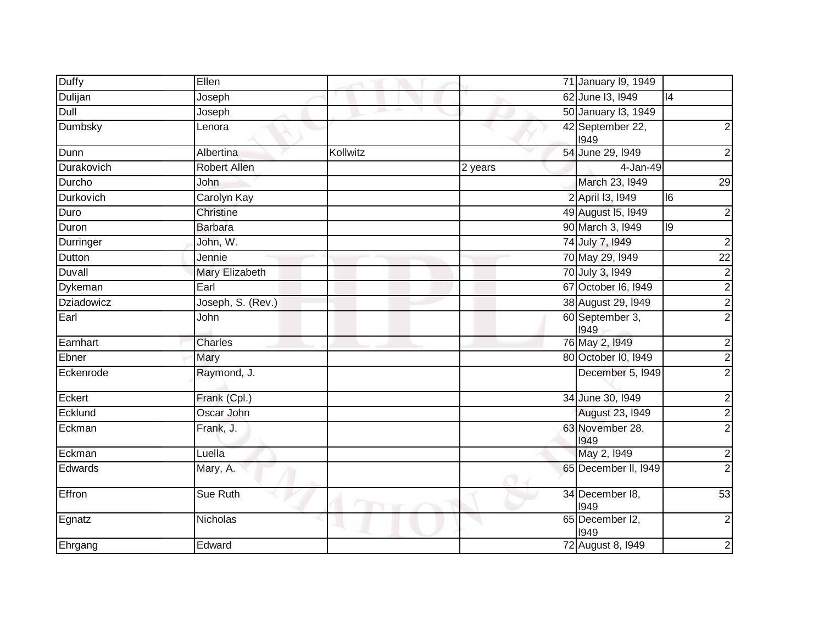| <b>Duffy</b>     | Ellen             |           |         | 71 January 19, 1949      |                 |
|------------------|-------------------|-----------|---------|--------------------------|-----------------|
| Dulijan          | Joseph            |           |         | 62 June 13, 1949         | 4               |
| Dull             | Joseph            |           |         | 50 January 13, 1949      |                 |
| Dumbsky          | Lenora            |           |         | 42 September 22,<br>1949 | $\mathbf{2}$    |
| Dunn             | Albertina         | Kollwitz  |         | 54 June 29, 1949         | $\mathbf{2}$    |
| Durakovich       | Robert Allen      |           | 2 years | 4-Jan-49                 |                 |
| Durcho           | John              |           |         | March 23, 1949           | 29              |
| <b>Durkovich</b> | Carolyn Kay       |           |         | 2 April 13, 1949         | $\overline{6}$  |
| Duro             | Christine         |           |         | 49 August 15, 1949       | $\overline{2}$  |
| Duron            | <b>Barbara</b>    |           |         | 90 March 3, 1949         | 9               |
| Durringer        | John, W.          |           |         | 74 July 7, 1949          | $\overline{2}$  |
| Dutton           | Jennie            |           |         | 70 May 29, 1949          | $\overline{22}$ |
| <b>Duvall</b>    | Mary Elizabeth    |           |         | 70 July 3, 1949          | $\overline{2}$  |
| Dykeman          | Earl              |           |         | 67 October 16, 1949      | $\frac{2}{2}$   |
| Dziadowicz       | Joseph, S. (Rev.) |           |         | 38 August 29, 1949       |                 |
| Earl             | John              |           |         | 60 September 3,<br>1949  | $\overline{2}$  |
| Earnhart         | Charles           |           |         | 76 May 2, 1949           | $\overline{2}$  |
| Ebner            | Mary              |           |         | 80 October I0, 1949      | $\overline{2}$  |
| Eckenrode        | Raymond, J.       |           |         | December 5, 1949         | $\overline{2}$  |
| Eckert           | Frank (Cpl.)      |           |         | 34 June 30, 1949         | $\mathbf{2}$    |
| Ecklund          | Oscar John        |           |         | August 23, 1949          | $\overline{2}$  |
| Eckman           | Frank, J.         |           |         | 63 November 28,<br>1949  | $\overline{2}$  |
| Eckman           | Luella            |           |         | May 2, 1949              | $\overline{c}$  |
| Edwards          | Mary, A.          |           |         | 65 December II, 1949     | $\overline{2}$  |
| Effron           | Sue Ruth          | v<br>Tur. |         | 34 December 18,<br>1949  | 53              |
| Egnatz           | <b>Nicholas</b>   |           |         | 65 December I2,<br>1949  | $\overline{2}$  |
| Ehrgang          | Edward            |           |         | 72 August 8, 1949        | $\mathbf{2}$    |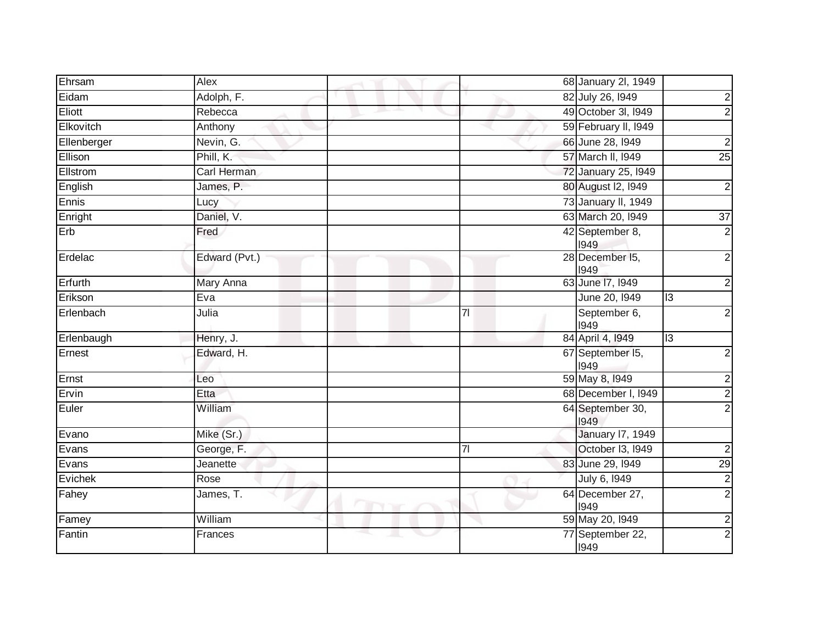| Ehrsam        | Alex             |                   |                | 68 January 2I, 1949      |                         |
|---------------|------------------|-------------------|----------------|--------------------------|-------------------------|
| Eidam         | Adolph, F.       |                   |                | 82 July 26, 1949         | $\overline{c}$          |
| <b>Eliott</b> | Rebecca          |                   |                | 49 October 3I, I949      | $\overline{2}$          |
| Elkovitch     | Anthony          |                   |                | 59 February II, 1949     |                         |
| Ellenberger   | Nevin, G.        |                   |                | 66 June 28, 1949         | $\overline{c}$          |
| Ellison       | Phill, $K$ .     |                   |                | 57 March II, 1949        | $\overline{25}$         |
| Ellstrom      | Carl Herman      |                   |                | 72 January 25, 1949      |                         |
| English       | James, P.        |                   |                | 80 August 12, 1949       | $\overline{\mathbf{c}}$ |
| Ennis         | Lucy             |                   |                | 73 January II, 1949      |                         |
| Enright       | Daniel, V.       |                   |                | 63 March 20, 1949        | $\overline{37}$         |
| Erb           | Fred             |                   |                | 42 September 8,<br>1949  | $\overline{2}$          |
| Erdelac       | Edward (Pvt.)    |                   |                | 28 December 15,<br>1949  | $\overline{2}$          |
| Erfurth       | <b>Mary Anna</b> |                   |                | 63 June 17, 1949         | $\overline{2}$          |
| Erikson       | Eva              |                   |                | June 20, 1949            | $\overline{13}$         |
| Erlenbach     | Julia            |                   | 7 <sup>1</sup> | September 6,<br>1949     | $\overline{c}$          |
| Erlenbaugh    | Henry, J.        |                   |                | 84 April 4, 1949         | $\overline{13}$         |
| Ernest        | Edward, H.       |                   |                | 67 September 15,<br>1949 | $\overline{\mathbf{c}}$ |
| Ernst         | Leo              |                   |                | 59 May 8, 1949           | $\overline{2}$          |
| Ervin         | Etta             |                   |                | 68 December I, 1949      | $\overline{2}$          |
| Euler         | William          |                   |                | 64 September 30,<br>1949 | $\overline{2}$          |
| Evano         | Mike (Sr.)       |                   |                | <b>January 17, 1949</b>  |                         |
| Evans         | George, F.       |                   | 7 <sup>1</sup> | October I3, I949         | $\overline{2}$          |
| Evans         | Jeanette         |                   |                | 83 June 29, 1949         | 29                      |
| Evichek       | Rose             |                   |                | July 6, 1949             | $\frac{2}{2}$           |
| Fahey         | James, T.        | m<br><b>Y</b> Tir |                | 64 December 27,<br>1949  |                         |
| Famey         | William          |                   |                | 59 May 20, 1949          | $\overline{2}$          |
| Fantin        | Frances          |                   |                | 77 September 22,<br>1949 | $\overline{2}$          |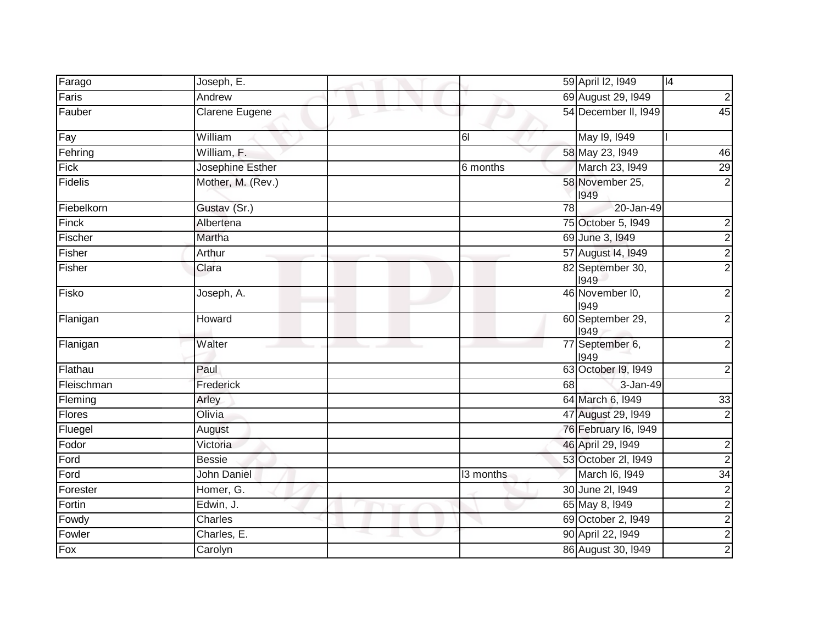| Farago     | Joseph, E.            | 4 <br>59 April I2, I949                    |
|------------|-----------------------|--------------------------------------------|
| Faris      | Andrew                | $\overline{2}$<br>69 August 29, 1949       |
| Fauber     | <b>Clarene Eugene</b> | $\overline{45}$<br>54 December II, 1949    |
| Fay        | William               | May 19, 1949<br>61                         |
| Fehring    | William, F.           | 58 May 23, 1949<br>46                      |
| Fick       | Josephine Esther      | 29<br>March 23, 1949<br>6 months           |
| Fidelis    | Mother, M. (Rev.)     | $\overline{2}$<br>58 November 25,<br>1949  |
| Fiebelkorn | Gustav (Sr.)          | 78<br>20-Jan-49                            |
| Finck      | Albertena             | $\overline{2}$<br>75 October 5, 1949       |
| Fischer    | Martha                | $\frac{2}{2}$<br>69 June 3, 1949           |
| Fisher     | Arthur                | 57 August 14, 1949                         |
| Fisher     | Clara                 | 82 September 30,<br>1949                   |
| Fisko      | Joseph, A.            | $\overline{2}$<br>46 November I0,<br>1949  |
| Flanigan   | Howard                | $\overline{2}$<br>60 September 29,<br>1949 |
| Flanigan   | Walter                | $\overline{2}$<br>77 September 6,<br>1949  |
| Flathau    | Paul                  | 63 October 19, 1949<br>$\mathbf{2}$        |
| Fleischman | Frederick             | 68<br>3-Jan-49                             |
| Fleming    | Arley                 | 64 March 6, 1949<br>33                     |
| Flores     | Olivia                | 47 August 29, 1949<br>$\overline{2}$       |
| Fluegel    | August                | 76 February 16, 1949                       |
| Fodor      | Victoria              | 46 April 29, 1949<br>$\overline{2}$        |
| Ford       | <b>Bessie</b>         | $\overline{2}$<br>53 October 2I, I949      |
| Ford       | <b>John Daniel</b>    | 34<br>March 16, 1949<br>13 months          |
| Forester   | Homer, G.             | $\frac{2}{2}$<br>30 June 2l, 1949          |
| Fortin     | Edwin, J.             | 65 May 8, 1949                             |
| Fowdy      | Charles               | $\overline{2}$<br>69 October 2, 1949       |
| Fowler     | Charles, E.           | $\frac{2}{2}$<br>90 April 22, 1949         |
| Fox        | Carolyn               | 86 August 30, 1949                         |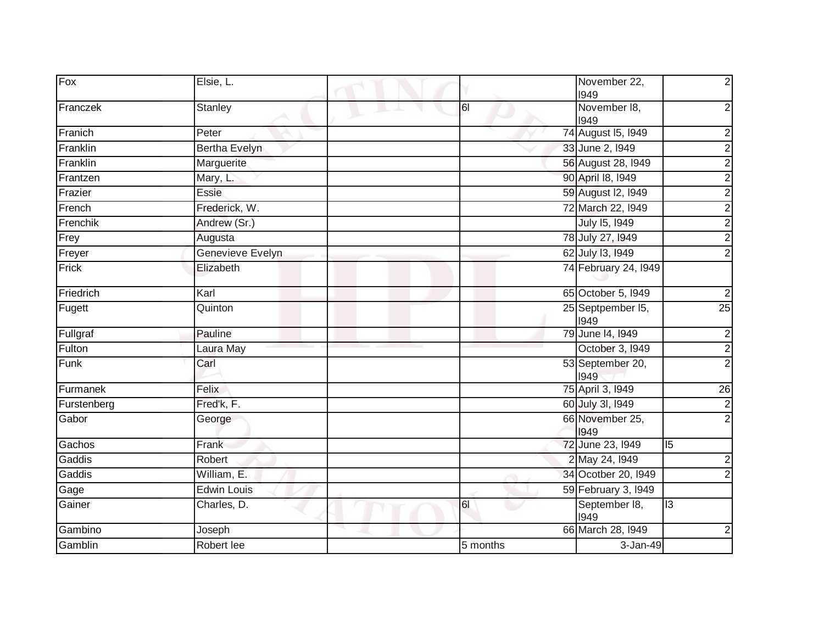| Fox         | Elsie, L.            |          | November 22,<br>1949      | $\overline{2}$          |
|-------------|----------------------|----------|---------------------------|-------------------------|
| Franczek    | <b>Stanley</b>       | 61       | November 18,<br>1949      | $\overline{c}$          |
| Franich     | Peter                |          | 74 August 15, 1949        | $\overline{\mathbf{c}}$ |
| Franklin    | <b>Bertha Evelyn</b> |          | 33 June 2, 1949           | $\overline{2}$          |
| Franklin    | Marguerite           |          | 56 August 28, 1949        | $\overline{2}$          |
| Frantzen    | Mary, L.             |          | 90 April 18, 1949         |                         |
| Frazier     | Essie                |          | 59 August I2, 1949        | $\frac{2}{2}$           |
| French      | Frederick, W.        |          | 72 March 22, 1949         |                         |
| Frenchik    | Andrew (Sr.)         |          | July 15, 1949             |                         |
| Frey        | Augusta              |          | 78 July 27, 1949          | $\frac{2}{2}$           |
| Freyer      | Genevieve Evelyn     |          | 62 July 13, 1949          |                         |
| Frick       | Elizabeth            |          | 74 February 24, 1949      |                         |
| Friedrich   | Karl                 |          | 65 October 5, 1949        | $\overline{c}$          |
| Fugett      | Quinton              |          | 25 Septpember 15,<br>1949 | 25                      |
| Fullgraf    | Pauline              |          | 79 June 14, 1949          | $\overline{2}$          |
| Fulton      | Laura May            |          | October 3, 1949           | $\overline{2}$          |
| Funk        | Carl                 |          | 53 September 20,<br>1949  | $\overline{2}$          |
| Furmanek    | Felix                |          | 75 April 3, 1949          | $\overline{26}$         |
| Furstenberg | Fred'k, F.           |          | 60 July 3I, 1949          | $\overline{2}$          |
| Gabor       | George               |          | 66 November 25,<br>1949   | $\overline{2}$          |
| Gachos      | Frank                |          | 72 June 23, 1949          | $\overline{5}$          |
| Gaddis      | Robert               |          | 2 May 24, 1949            | $\overline{\mathbf{c}}$ |
| Gaddis      | William, E.          |          | 34 Ocotber 20, 1949       | $\overline{2}$          |
| Gage        | <b>Edwin Louis</b>   |          | 59 February 3, 1949       |                         |
| Gainer      | Charles, D.          | 61       | September 18,<br>1949     | 3                       |
| Gambino     | Joseph               |          | 66 March 28, 1949         | $\boldsymbol{2}$        |
| Gamblin     | Robert lee           | 5 months | 3-Jan-49                  |                         |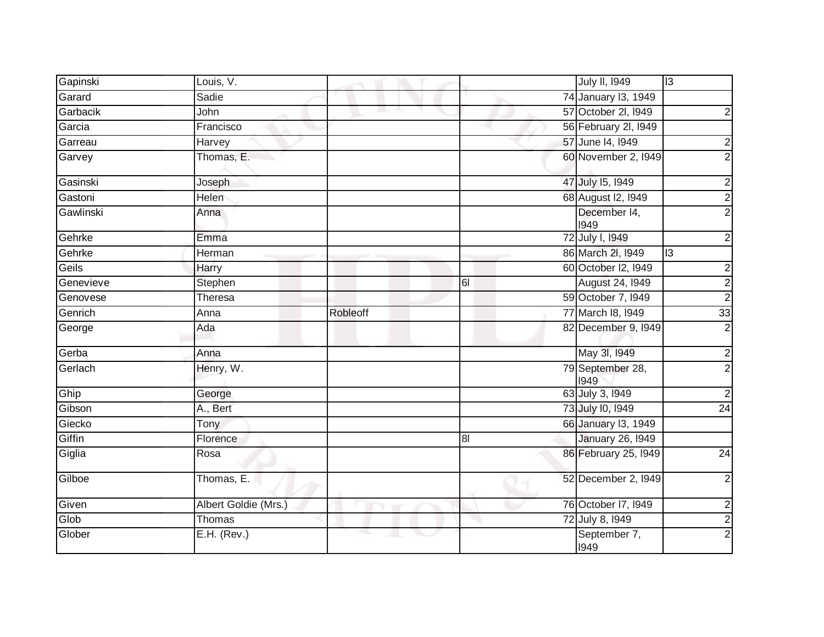| Gapinski        | Louis, V.            |          |                | <b>July II, 1949</b>     | $\overline{3}$          |
|-----------------|----------------------|----------|----------------|--------------------------|-------------------------|
| Garard          | Sadie                |          |                | 74 January 13, 1949      |                         |
| <b>Garbacik</b> | John                 |          |                | 57 October 2l, I949      | $\overline{c}$          |
| Garcia          | Francisco            |          |                | 56 February 2I, I949     |                         |
| Garreau         | Harvey               |          |                | 57 June 14, 1949         | $\overline{c}$          |
| Garvey          | Thomas, E.           |          |                | 60 November 2, 1949      | $\overline{2}$          |
| Gasinski        | Joseph               |          |                | 47 July 15, 1949         | $\overline{2}$          |
| Gastoni         | Helen                |          |                | 68 August I2, 1949       | $\overline{2}$          |
| Gawlinski       | Anna                 |          |                | December 14,<br>1949     | $\overline{2}$          |
| Gehrke          | Emma                 |          |                | 72 July I, 1949          | 2                       |
| Gehrke          | Herman               |          |                | 86 March 2I, 1949        | 13                      |
| Geils           | Harry                |          |                | 60 October I2, 1949      | $\overline{c}$          |
| Genevieve       | Stephen              |          | 61             | August 24, 1949          | $\overline{\mathbf{c}}$ |
| Genovese        | Theresa              |          |                | 59 October 7, 1949       | $\overline{2}$          |
| Genrich         | Anna                 | Robleoff |                | 77 March 18, 1949        | $\overline{33}$         |
| George          | Ada                  |          |                | 82 December 9, 1949      | $\overline{2}$          |
| Gerba           | Anna                 |          |                | May 3I, 1949             | $\overline{\mathbf{c}}$ |
| Gerlach         | Henry, W.            |          |                | 79 September 28,<br>1949 | $\overline{2}$          |
| Ghip            | George               |          |                | 63 July 3, 1949          | $\overline{2}$          |
| Gibson          | A., Bert             |          |                | 73 July 10, 1949         | $\overline{24}$         |
| Giecko          | Tony                 |          |                | 66 January 13, 1949      |                         |
| Giffin          | Florence             |          | 8 <sub>l</sub> | <b>January 26, 1949</b>  |                         |
| Giglia          | Rosa                 |          |                | 86 February 25, 1949     | $\overline{24}$         |
| Gilboe          | Thomas, E.           |          |                | 52 December 2, 1949      | $\overline{2}$          |
| Given           | Albert Goldie (Mrs.) |          |                | 76 October 17, 1949      | $\overline{\mathbf{c}}$ |
| <b>Glob</b>     | Thomas               |          |                | 72 July 8, 1949          | $\overline{2}$          |
| Glober          | E.H. (Rev.)          | a.       | $\sim$         | September 7,<br>1949     | $\overline{2}$          |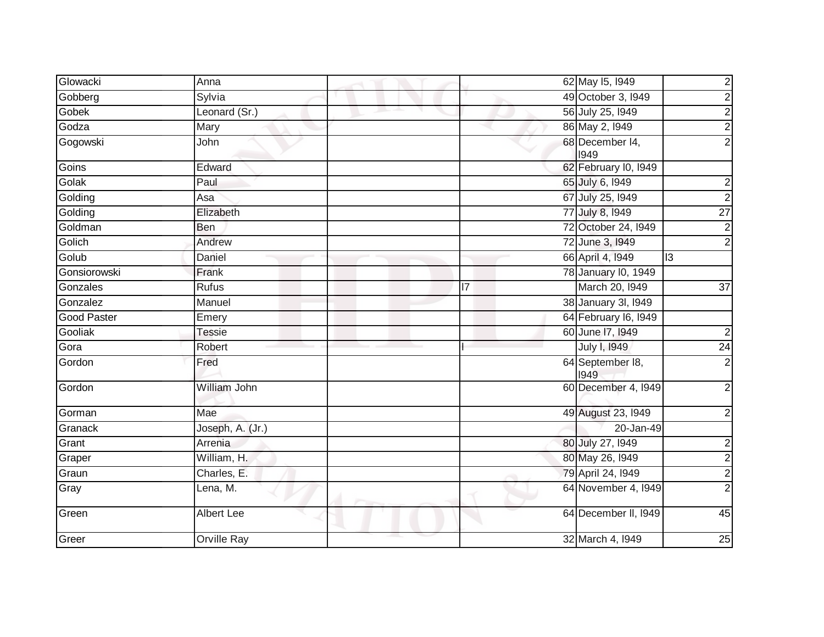| Glowacki           | Anna             |    | 62 May 15, 1949          | $\overline{2}$          |
|--------------------|------------------|----|--------------------------|-------------------------|
| Gobberg            | Sylvia           |    | 49 October 3, 1949       | $\overline{2}$          |
| Gobek              | Leonard (Sr.)    |    | 56 July 25, 1949         | $\overline{2}$          |
| Godza              | Mary             |    | 86 May 2, 1949           | $\overline{\mathbf{c}}$ |
| Gogowski           | John             |    | 68 December 14,<br>1949  | $\overline{2}$          |
| Goins              | Edward           |    | 62 February I0, 1949     |                         |
| Golak              | Paul             |    | 65 July 6, 1949          | $\overline{\mathbf{c}}$ |
| Golding            | Asa              |    | 67 July 25, 1949         | $\overline{2}$          |
| Golding            | Elizabeth        |    | 77 July 8, 1949          | $\overline{27}$         |
| Goldman            | <b>Ben</b>       |    | 72 October 24, I949      | $\overline{\mathbf{c}}$ |
| Golich             | Andrew           |    | 72 June 3, 1949          | $\overline{c}$          |
| Golub              | Daniel           |    | 66 April 4, 1949         | 13                      |
| Gonsiorowski       | Frank            |    | 78 January 10, 1949      |                         |
| Gonzales           | <b>Rufus</b>     | 17 | March 20, 1949           | 37                      |
| Gonzalez           | Manuel           |    | 38 January 3I, 1949      |                         |
| <b>Good Paster</b> | Emery            |    | 64 February 16, 1949     |                         |
| Gooliak            | <b>Tessie</b>    |    | 60 June 17, 1949         | $\overline{c}$          |
| Gora               | Robert           |    | July I, 1949             | $\overline{24}$         |
| Gordon             | Fred             |    | 64 September 18,<br>1949 | $\overline{2}$          |
| Gordon             | William John     |    | 60 December 4, 1949      | $\overline{2}$          |
| Gorman             | Mae              |    | 49 August 23, 1949       | $\overline{\mathbf{c}}$ |
| Granack            | Joseph, A. (Jr.) |    | 20-Jan-49                |                         |
| Grant              | Arrenia          |    | 80 July 27, 1949         | $\overline{\mathbf{c}}$ |
| Graper             | William, H.      |    | 80 May 26, 1949          | $\frac{2}{2}$           |
| Graun              | Charles, E.      |    | 79 April 24, 1949        |                         |
| Gray               | Lena, M.         |    | 64 November 4, 1949      | $\overline{2}$          |
| Green              | Albert Lee       |    | 64 December II, 1949     | 45                      |
| Greer              | Orville Ray      |    | 32 March 4, 1949         | 25                      |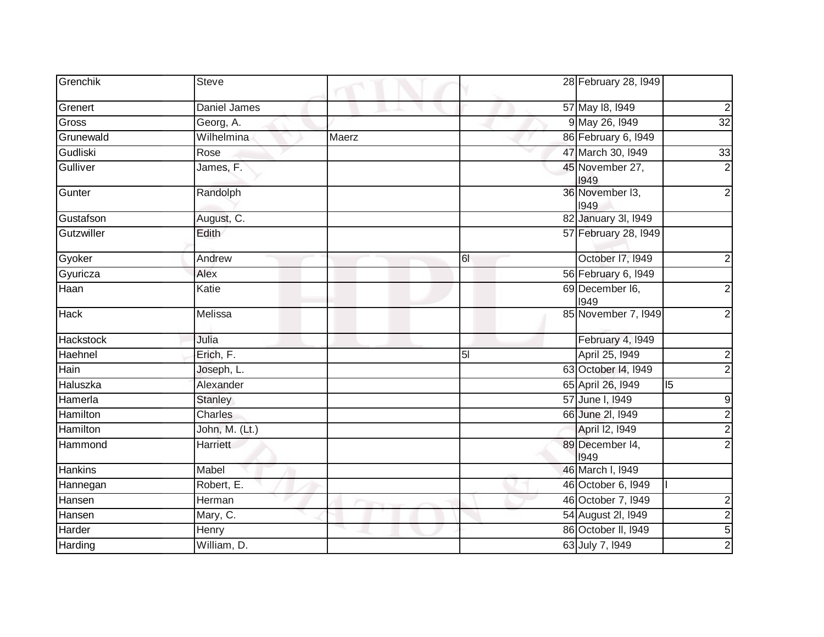| Grenchik         | <b>Steve</b>   |       |                | 28 February 28, 1949    |                 |
|------------------|----------------|-------|----------------|-------------------------|-----------------|
| Grenert          | Daniel James   |       |                | 57 May 18, 1949         | $\mathbf{2}$    |
| Gross            | Georg, A.      |       |                | 9 May 26, 1949          | $\overline{32}$ |
| Grunewald        | Wilhelmina     | Maerz |                | 86 February 6, 1949     |                 |
| Gudliski         | Rose           |       |                | 47 March 30, 1949       | 33              |
| Gulliver         | James, F.      |       |                | 45 November 27,<br>1949 | $\overline{2}$  |
| Gunter           | Randolph       |       |                | 36 November 13,<br>1949 | $\overline{2}$  |
| Gustafson        | August, C.     |       |                | 82 January 3I, 1949     |                 |
| Gutzwiller       | Edith          |       |                | 57 February 28, 1949    |                 |
| Gyoker           | Andrew         |       | 61             | October 17, 1949        | $\overline{c}$  |
| Gyuricza         | Alex           |       |                | 56 February 6, 1949     |                 |
| Haan             | Katie          |       |                | 69 December I6,<br>1949 | $\overline{2}$  |
| <b>Hack</b>      | Melissa        |       |                | 85 November 7, 1949     | $\overline{2}$  |
| <b>Hackstock</b> | Julia          |       |                | February 4, 1949        |                 |
| Haehnel          | Erich, F.      |       | 5 <sub>l</sub> | April 25, 1949          | $\overline{c}$  |
| Hain             | Joseph, L.     |       |                | 63 October 14, 1949     | $\overline{2}$  |
| Haluszka         | Alexander      |       |                | 65 April 26, 1949       | 15              |
| Hamerla          | <b>Stanley</b> |       |                | 57 June I, 1949         | 9               |
| <b>Hamilton</b>  | Charles        |       |                | 66 June 2l, 1949        | $\overline{2}$  |
| Hamilton         | John, M. (Lt.) |       |                | April 12, 1949          | $\overline{2}$  |
| Hammond          | Harriett       |       |                | 89 December 14,<br>1949 | $\overline{2}$  |
| Hankins          | Mabel          |       |                | 46 March I, 1949        |                 |
| Hannegan         | Robert, E.     |       |                | 46 October 6, 1949      |                 |
| Hansen           | Herman         |       |                | 46 October 7, 1949      | $\overline{c}$  |
| Hansen           | Mary, C.       |       |                | 54 August 2I, 1949      | $\frac{2}{5}$   |
| Harder           | Henry          |       |                | 86 October II, 1949     |                 |
| Harding          | William, D.    |       |                | 63 July 7, 1949         | $\overline{2}$  |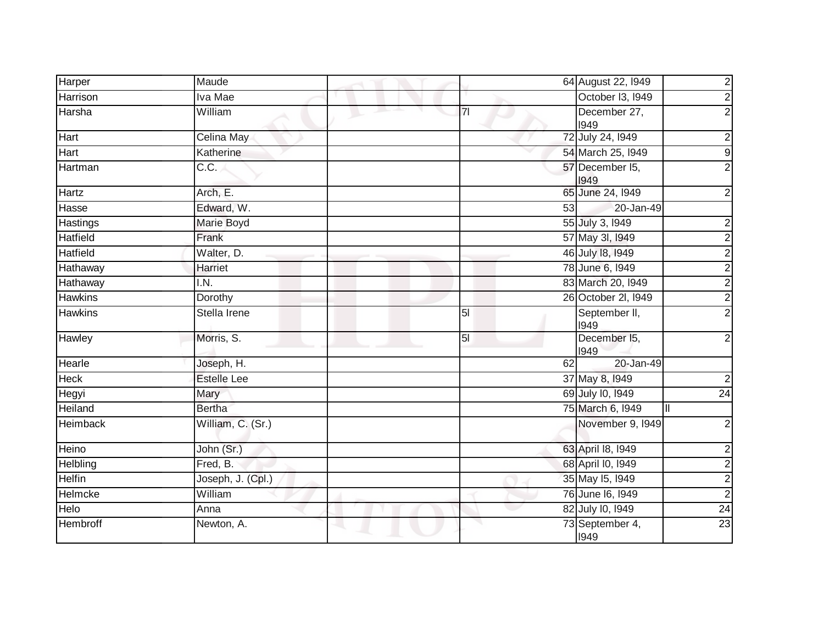| Harper          | Maude              |    |                | 64 August 22, I949                |                         |
|-----------------|--------------------|----|----------------|-----------------------------------|-------------------------|
| Harrison        | Iva Mae            |    |                | October 13, 1949                  | $\frac{2}{2}$           |
|                 |                    | m. |                |                                   |                         |
| Harsha          | William            |    | 7 <sup>1</sup> | December 27,<br>1949              | $\overline{2}$          |
| Hart            | Celina May         |    |                | 72 July 24, 1949                  | $\overline{\mathbf{c}}$ |
| Hart            | Katherine          |    |                | 54 March 25, 1949                 | 9                       |
| Hartman         | $\overline{C.C.}$  |    |                | 57 December I5,<br>1949           | $\overline{2}$          |
| Hartz           | Arch, E.           |    |                | 65 June 24, 1949                  | $\overline{2}$          |
| Hasse           | Edward, W.         |    | 53             | 20-Jan-49                         |                         |
| Hastings        | <b>Marie Boyd</b>  |    |                | 55 July 3, 1949                   | $\overline{\mathbf{c}}$ |
| Hatfield        | Frank              |    |                | 57 May 3I, 1949                   | $\overline{2}$          |
| Hatfield        | Walter, D.         |    |                | 46 July 18, 1949                  |                         |
| Hathaway        | Harriet            |    |                | 78 June 6, 1949                   | $\frac{2}{2}$           |
| Hathaway        | I.N.               |    |                | 83 March 20, 1949                 | $\overline{2}$          |
| <b>Hawkins</b>  | Dorothy            |    |                | 26 October 2I, 1949               | $\overline{c}$          |
| <b>Hawkins</b>  | Stella Irene       |    | 5 <sub>l</sub> | September II,<br>1949             | $\overline{2}$          |
| Hawley          | Morris, S.         |    | $\overline{5}$ | December 15,<br>1949              | $\overline{2}$          |
| Hearle          | Joseph, H.         |    | 62             | 20-Jan-49                         |                         |
| <b>Heck</b>     | <b>Estelle Lee</b> |    |                | 37 May 8, 1949                    | $\overline{c}$          |
| Hegyi           | Mary               |    |                | 69 July 10, 1949                  | $\overline{24}$         |
| Heiland         | <b>Bertha</b>      |    |                | 75 March 6, 1949<br>$\mathbf{II}$ |                         |
| <b>Heimback</b> | William, C. (Sr.)  |    |                | November 9, 1949                  | $\overline{2}$          |
| Heino           | John (Sr.)         |    |                | 63 April 18, 1949                 |                         |
| Helbling        | Fred, B.           |    |                | 68 April I0, 1949                 | $\frac{2}{2}$           |
| <b>Helfin</b>   | Joseph, J. (Cpl.)  |    |                | 35 May 15, 1949                   |                         |
| Helmcke         | William            |    |                | 76 June 16, 1949                  | $\frac{2}{2}$           |
| Helo            | Anna               |    |                | 82 July 10, 1949                  | 24                      |
| <b>Hembroff</b> | Newton, A.         |    |                | 73 September 4,<br>1949           | 23                      |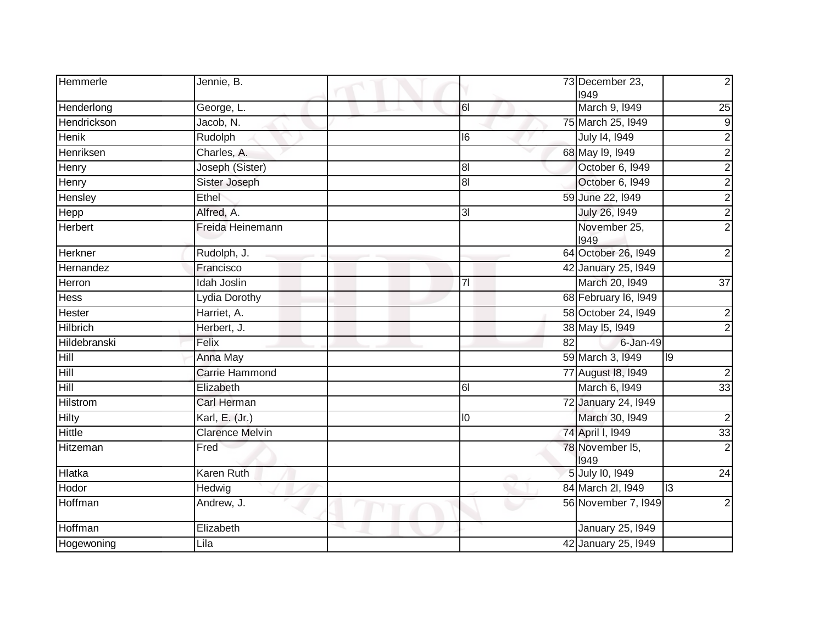| Hemmerle          | Jennie, B.             |                | 73 December 23,<br>1949 | $\overline{2}$          |
|-------------------|------------------------|----------------|-------------------------|-------------------------|
| Henderlong        | George, L.             | 61             | March 9, 1949           | 25                      |
| Hendrickson       | Jacob, N.              |                | 75 March 25, 1949       | 9                       |
| <b>Henik</b>      | Rudolph                | 16             | July 14, 1949           | $\overline{2}$          |
| Henriksen         | Charles, A.            |                | 68 May 19, 1949         | $\overline{2}$          |
| Henry             | Joseph (Sister)        | 8 <sub>l</sub> | October 6, 1949         | $\overline{2}$          |
| Henry             | Sister Joseph          | 81             | October 6, 1949         | $\overline{2}$          |
| Hensley           | Ethel                  |                | 59 June 22, 1949        | $\overline{\mathbf{c}}$ |
| Hepp              | Alfred, A.             | 3I             | July 26, 1949           | $\overline{2}$          |
| Herbert           | Freida Heinemann       |                | November 25,<br>1949    | $\overline{2}$          |
| Herkner           | Rudolph, J.            |                | 64 October 26, I949     | $\overline{2}$          |
| Hernandez         | Francisco              |                | 42 January 25, 1949     |                         |
| Herron            | Idah Joslin            | 7 <sup>1</sup> | March 20, 1949          | 37                      |
| Hess              | Lydia Dorothy          |                | 68 February 16, 1949    |                         |
| Hester            | Harriet, A.            |                | 58 October 24, 1949     | $\overline{2}$          |
| Hilbrich          | Herbert, J.            |                | 38 May 15, 1949         | $\overline{2}$          |
| Hildebranski      | Felix                  |                | 82<br>6-Jan-49          |                         |
| Hill              | Anna May               |                | 59 March 3, 1949        | Ō                       |
| Hill              | <b>Carrie Hammond</b>  |                | 77 August 18, 1949      | $\overline{c}$          |
| $\overline{Hill}$ | Elizabeth              | 61             | March 6, 1949           | 33                      |
| Hilstrom          | Carl Herman            |                | 72 January 24, 1949     |                         |
| Hilty             | Karl, E. (Jr.)         | 10             | March 30, 1949          | $\overline{c}$          |
| Hittle            | <b>Clarence Melvin</b> |                | 74 April I, 1949        | 33                      |
| Hitzeman          | Fred                   |                | 78 November 15,<br>1949 | $\overline{2}$          |
| Hlatka            | <b>Karen Ruth</b>      |                | 5 July 10, 1949         | 24                      |
| Hodor             | Hedwig                 |                | 84 March 2I, 1949       | <u>m</u>                |
| Hoffman           | Andrew, J.             |                | 56 November 7, 1949     | 2                       |
| Hoffman           | Elizabeth              |                | <b>January 25, 1949</b> |                         |
| Hogewoning        | Lila                   |                | 42 January 25, 1949     |                         |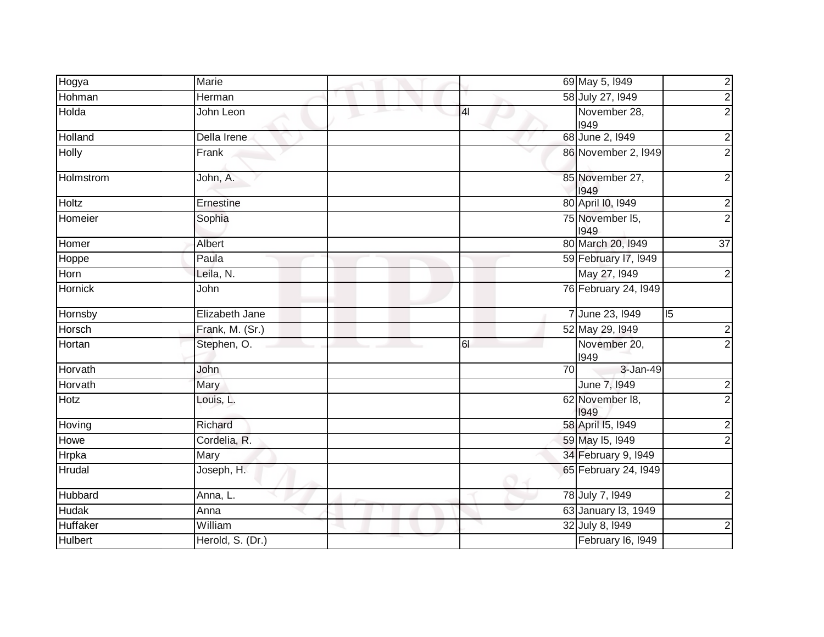| Hogya           | Marie            |                 | 69 May 5, 1949          | $\frac{2}{2}$   |
|-----------------|------------------|-----------------|-------------------------|-----------------|
| Hohman          | Herman           |                 | 58 July 27, 1949        |                 |
| Holda           | John Leon        | 4               | November 28,<br>1949    | $\overline{2}$  |
| Holland         | Della Irene      |                 | 68 June 2, 1949         | $\overline{2}$  |
| <b>Holly</b>    | Frank            |                 | 86 November 2, 1949     | $\overline{2}$  |
| Holmstrom       | John, A.         |                 | 85 November 27,<br>1949 | $\overline{2}$  |
| Holtz           | Ernestine        |                 | 80 April I0, 1949       | $\mathbf{2}$    |
| Homeier         | Sophia           |                 | 75 November 15,<br>1949 | $\overline{2}$  |
| Homer           | Albert           |                 | 80 March 20, 1949       | $\overline{37}$ |
| Hoppe           | Paula            |                 | 59 February 17, 1949    |                 |
| Horn            | Leila, N.        |                 | May 27, 1949            | $\overline{2}$  |
| Hornick         | John             |                 | 76 February 24, 1949    |                 |
| Hornsby         | Elizabeth Jane   |                 | 7 June 23, 1949         | 5               |
| <b>Horsch</b>   | Frank, M. (Sr.)  |                 | 52 May 29, 1949         | $\mathbf{2}$    |
| Hortan          | Stephen, O.      | 61              | November 20,<br>1949    | $\overline{2}$  |
| Horvath         | John             | $\overline{70}$ | 3-Jan-49                |                 |
| Horvath         | Mary             |                 | June 7, 1949            | $\overline{2}$  |
| Hotz            | Louis, L.        |                 | 62 November 18,<br>1949 | $\overline{2}$  |
| Hoving          | Richard          |                 | 58 April 15, 1949       | $\overline{2}$  |
| Howe            | Cordelia, R.     |                 | 59 May 15, 1949         | $\overline{2}$  |
| Hrpka           | Mary             |                 | 34 February 9, 1949     |                 |
| Hrudal          | Joseph, H.       |                 | 65 February 24, I949    |                 |
| Hubbard         | Anna, L.         |                 | 78 July 7, 1949         | $\overline{a}$  |
| <b>Hudak</b>    | Anna             |                 | 63 January 13, 1949     |                 |
| <b>Huffaker</b> | William          |                 | 32 July 8, 1949         | $\mathbf{2}$    |
| <b>Hulbert</b>  | Herold, S. (Dr.) |                 | February I6, 1949       |                 |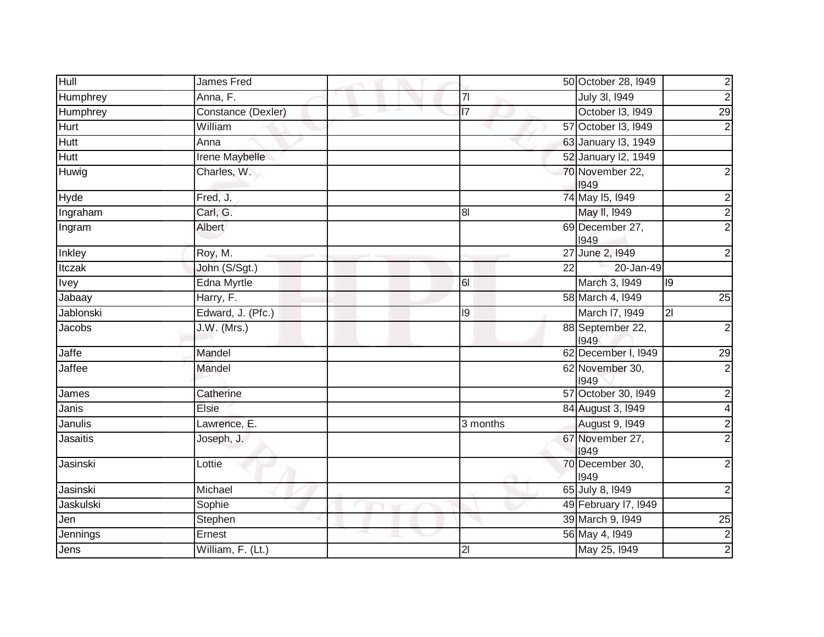| Hull            | James Fred         |                 |    | 50 October 28, I949      |                | $\frac{2}{2}$  |
|-----------------|--------------------|-----------------|----|--------------------------|----------------|----------------|
| Humphrey        | Anna, F.           | $\overline{7}$  |    | July 3I, 1949            |                |                |
| Humphrey        | Constance (Dexler) | $\overline{17}$ |    | October I3, 1949         |                | 29             |
| Hurt            | William            |                 |    | 57 October 13, 1949      |                | $\mathbf{2}$   |
| <b>Hutt</b>     | Anna               |                 |    | 63 January 13, 1949      |                |                |
| <b>Hutt</b>     | Irene Maybelle     |                 |    | 52 January I2, 1949      |                |                |
| Huwig           | Charles, W.        |                 |    | 70 November 22,<br>1949  |                | $\overline{2}$ |
| <b>Hyde</b>     | Fred, J.           |                 |    | 74 May 15, 1949          |                | $\overline{2}$ |
| Ingraham        | Carl, G.           | 8 <sup>1</sup>  |    | May II, 1949             |                | $\overline{2}$ |
| Ingram          | Albert             |                 |    | 69 December 27,<br>1949  |                | $\overline{2}$ |
| Inkley          | Roy, M.            |                 |    | 27 June 2, 1949          |                | $\mathbf{2}$   |
| Itczak          | John (S/Sgt.)      |                 | 22 | 20-Jan-49                |                |                |
| Ivey            | Edna Myrtle        | 61              |    | March 3, 1949            | 9              |                |
| Jabaay          | Harry, F.          |                 |    | 58 March 4, 1949         |                | 25             |
| Jablonski       | Edward, J. (Pfc.)  | $\overline{19}$ |    | March I7, 1949           | $\overline{2}$ |                |
| Jacobs          | J.W. (Mrs.)        |                 |    | 88 September 22,<br>1949 |                | $\mathbf{2}$   |
| Jaffe           | Mandel             |                 |    | 62 December I, 1949      |                | 29             |
| Jaffee          | Mandel             |                 |    | 62 November 30,<br>1949  |                | $\overline{2}$ |
| James           | Catherine          |                 |    | 57 October 30, 1949      |                | $\mathbf{2}$   |
| Janis           | Elsie              |                 |    | 84 August 3, 1949        |                | $\overline{4}$ |
| Janulis         | Lawrence, E.       | 3 months        |    | <b>August 9, 1949</b>    |                | $\overline{2}$ |
| <b>Jasaitis</b> | Joseph, J.         |                 |    | 67 November 27,<br>1949  |                | $\overline{2}$ |
| Jasinski        | Lottie             | ÷               |    | 70 December 30,<br>1949  |                | $\overline{2}$ |
| Jasinski        | Michael            |                 |    | 65 July 8, 1949          |                | $\overline{2}$ |
| Jaskulski       | Sophie             |                 |    | 49 February 17, 1949     |                |                |
| Jen             | Stephen            |                 |    | 39 March 9, 1949         |                | 25             |
| Jennings        | Ernest             |                 |    | 56 May 4, 1949           |                | $\frac{2}{2}$  |
| Jens            | William, F. (Lt.)  | $\overline{2}$  |    | May 25, 1949             |                |                |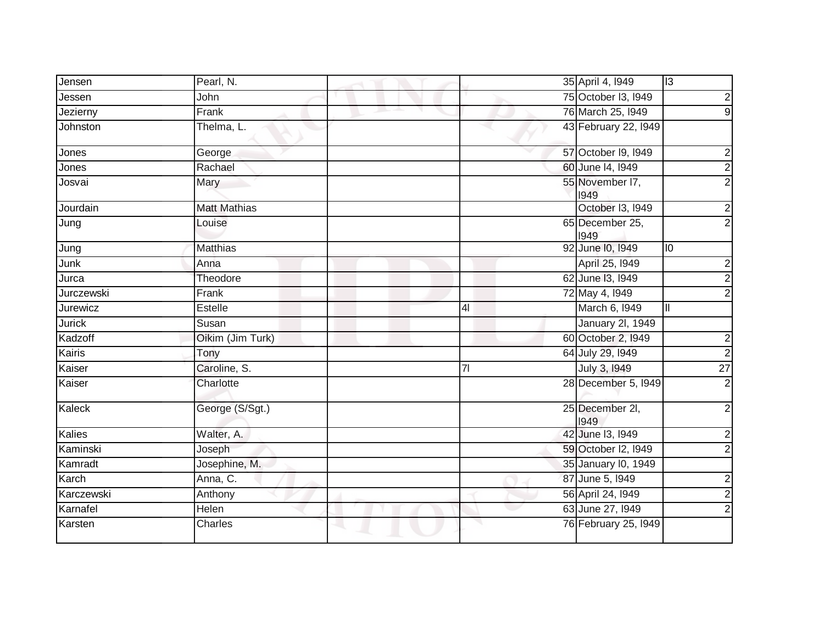| Jensen        | Pearl, N.           |                | 35 April 4, 1949        | $\overline{c}$          |
|---------------|---------------------|----------------|-------------------------|-------------------------|
| Jessen        | John                |                | 75 October 13, 1949     | $\overline{\mathbf{c}}$ |
| Jezierny      | Frank               |                | 76 March 25, 1949       | $\overline{9}$          |
| Johnston      | Thelma, L.          |                | 43 February 22, 1949    |                         |
| Jones         | George              |                | 57 October 19, 1949     | $\overline{c}$          |
| Jones         | Rachael             |                | 60 June 14, 1949        | $\overline{2}$          |
| Josvai        | Mary                |                | 55 November I7,<br>1949 | $\overline{2}$          |
| Jourdain      | <b>Matt Mathias</b> |                | October I3, 1949        | $\overline{2}$          |
| Jung          | Louise              |                | 65 December 25,<br>1949 | $\overline{2}$          |
| Jung          | Matthias            |                | 92 June 10, 1949        | 10                      |
| Junk          | Anna                |                | April 25, 1949          | $\overline{\mathbf{c}}$ |
| Jurca         | Theodore            |                | 62 June 13, 1949        | $\overline{2}$          |
| Jurczewski    | Frank               |                | 72 May 4, 1949          | $\overline{2}$          |
| Jurewicz      | Estelle             | 4 <sub>l</sub> | March 6, 1949           | Ш                       |
| <b>Jurick</b> | Susan               |                | <b>January 2l, 1949</b> |                         |
| Kadzoff       | Oikim (Jim Turk)    |                | 60 October 2, 1949      | $\overline{\mathbf{c}}$ |
| Kairis        | Tony                |                | 64 July 29, 1949        | $\overline{2}$          |
| Kaiser        | Caroline, S.        | $\overline{7}$ | July 3, 1949            | $\overline{27}$         |
| Kaiser        | Charlotte           |                | 28 December 5, 1949     | $\overline{2}$          |
| Kaleck        | George (S/Sgt.)     |                | 25 December 2I,<br>1949 | $\overline{c}$          |
| Kalies        | Walter, A.          |                | 42 June 13, 1949        | $\overline{c}$          |
| Kaminski      | Joseph              |                | 59 October I2, 1949     | $\overline{c}$          |
| Kamradt       | Josephine, M.       |                | 35 January I0, 1949     |                         |
| Karch         | Anna, C.            |                | 87 June 5, 1949         | 2                       |
| Karczewski    | Anthony             |                | 56 April 24, 1949       | $\overline{c}$          |
| Karnafel      | Helen               |                | 63 June 27, 1949        | $\overline{2}$          |
| Karsten       | Charles             |                | 76 February 25, 1949    |                         |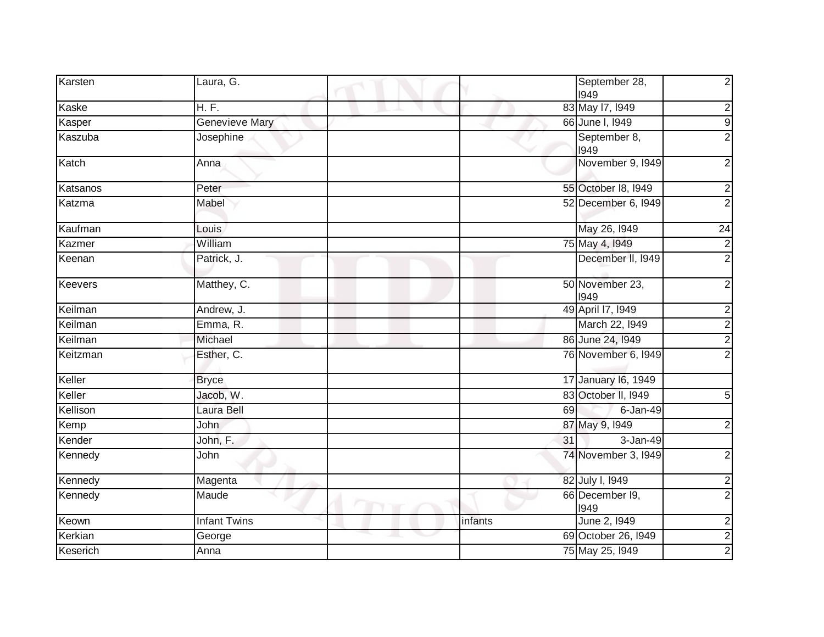| Karsten  | Laura, G.             |                              | $\overline{\mathbf{c}}$<br>September 28, |
|----------|-----------------------|------------------------------|------------------------------------------|
|          |                       | 1949                         |                                          |
| Kaske    | H. F.                 | 83 May 17, 1949              | $\overline{2}$                           |
| Kasper   | <b>Genevieve Mary</b> | 66 June I, 1949              | $\overline{9}$                           |
| Kaszuba  | Josephine             | September 8,<br>1949         | $\overline{2}$                           |
| Katch    | Anna                  |                              | November 9, 1949<br>$\mathbf 2$          |
| Katsanos | Peter                 | 55 October 18, 1949          | $\overline{2}$                           |
| Katzma   | Mabel                 |                              | $\overline{2}$<br>52 December 6, 1949    |
| Kaufman  | Louis                 | May 26, 1949                 | $\overline{24}$                          |
| Kazmer   | William               | 75 May 4, 1949               | $\overline{2}$                           |
| Keenan   | Patrick, J.           |                              | $\overline{2}$<br>December II, 1949      |
| Keevers  | Matthey, C.           | 50 November 23,<br>1949      | $\overline{2}$                           |
| Keilman  | Andrew, J.            | 49 April 17, 1949            | $\overline{\mathbf{c}}$                  |
| Keilman  | Emma, R.              |                              | $\overline{c}$<br>March 22, 1949         |
| Keilman  | Michael               | 86 June 24, 1949             | $\overline{2}$                           |
| Keitzman | Esther, C.            |                              | $\overline{2}$<br>76 November 6, 1949    |
| Keller   | <b>Bryce</b>          | 17 January 16, 1949          |                                          |
| Keller   | Jacob, W.             | 83 October II, 1949          | $\overline{5}$                           |
| Kellison | Laura Bell            | 69                           | 6-Jan-49                                 |
| Kemp     | <b>John</b>           | 87 May 9, 1949               | $\overline{2}$                           |
| Kender   | John, F.              | 31                           | 3-Jan-49                                 |
| Kennedy  | John                  |                              | 74 November 3, 1949<br>$\overline{c}$    |
| Kennedy  | Magenta               | 82 July I, 1949              | $\overline{2}$                           |
| Kennedy  | Maude                 | 66 December 19,<br>1949<br>w | $\overline{2}$                           |
| Keown    | <b>Infant Twins</b>   | June 2, 1949<br>infants      |                                          |
| Kerkian  | George                | 69 October 26, I949          | $\frac{2}{2}$                            |
| Keserich | Anna                  | 75 May 25, 1949              |                                          |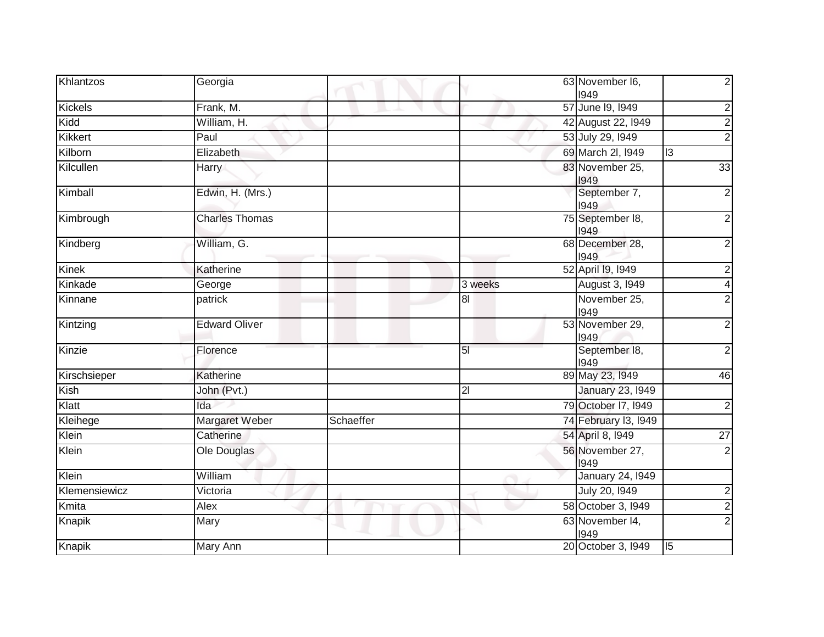| Khlantzos      | Georgia               |           |                | 63 November I6,<br>1949  |                |
|----------------|-----------------------|-----------|----------------|--------------------------|----------------|
| <b>Kickels</b> | Frank, M.             |           |                | 57 June 19, 1949         | 2              |
| Kidd           | William, H.           |           |                | 42 August 22, 1949       |                |
| <b>Kikkert</b> | Paul                  |           |                | 53 July 29, 1949         | $\overline{2}$ |
| Kilborn        | Elizabeth             |           |                | 69 March 2I, 1949        | 13             |
| Kilcullen      | Harry                 |           |                | 83 November 25,<br>1949  | 33             |
| Kimball        | Edwin, H. (Mrs.)      |           |                | September 7,<br>1949     | 2              |
| Kimbrough      | <b>Charles Thomas</b> |           |                | 75 September 18,<br>1949 | 2              |
| Kindberg       | William, G.           |           |                | 68 December 28,<br>1949  |                |
| <b>Kinek</b>   | Katherine             |           |                | 52 April 19, 1949        |                |
| Kinkade        | George                |           | 3 weeks        | August 3, 1949           |                |
| Kinnane        | patrick               |           | 8              | November 25,<br>1949     |                |
| Kintzing       | <b>Edward Oliver</b>  |           |                | 53 November 29,<br>1949  |                |
| Kinzie         | Florence              |           | 5 <sub>l</sub> | September 18,<br>1949    | $\overline{2}$ |
| Kirschsieper   | Katherine             |           |                | 89 May 23, 1949          | 46             |
| Kish           | John (Pvt.)           |           | $\overline{2}$ | <b>January 23, 1949</b>  |                |
| Klatt          | Ida                   |           |                | 79 October 17, 1949      |                |
| Kleihege       | Margaret Weber        | Schaeffer |                | 74 February 13, 1949     |                |
| Klein          | Catherine             |           |                | 54 April 8, 1949         | 27             |
| Klein          | Ole Douglas           |           |                | 56 November 27,<br>1949  |                |
| Klein          | William               |           |                | <b>January 24, 1949</b>  |                |
| Klemensiewicz  | Victoria              |           |                | July 20, 1949            | 2              |
| Kmita          | Alex                  |           |                | 58 October 3, 1949       |                |
| Knapik         | Mary                  |           |                | 63 November 14,<br>1949  |                |
| Knapik         | Mary Ann              |           |                | 20 October 3, 1949       | $\sqrt{15}$    |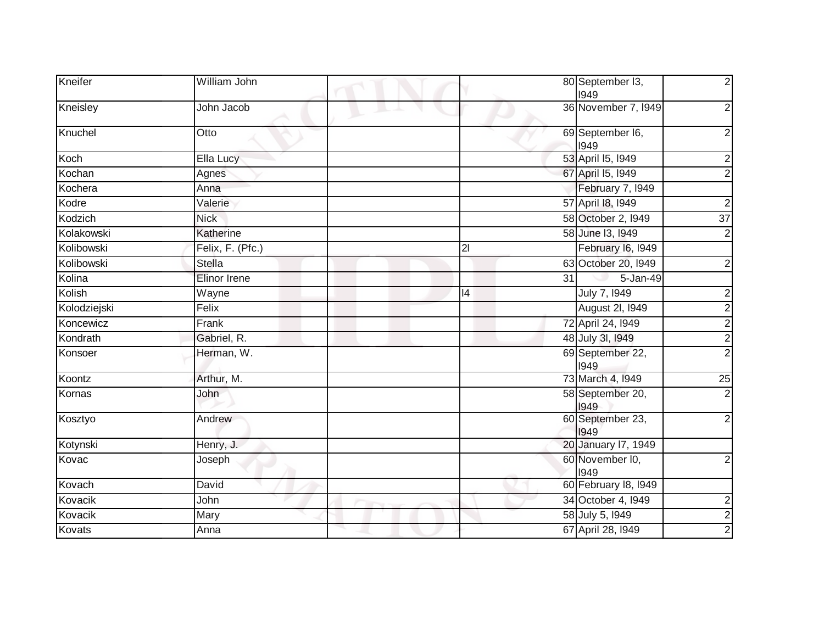| Kneifer      | William John     | 80 September 13,<br>1949 | $\overline{2}$          |
|--------------|------------------|--------------------------|-------------------------|
| Kneisley     | John Jacob       | 36 November 7, 1949      | $\boldsymbol{2}$        |
| Knuchel      | Otto             | 69 September I6,<br>1949 | $\boldsymbol{2}$        |
| Koch         | Ella Lucy        | 53 April 15, 1949        | $\overline{c}$          |
| Kochan       | Agnes            | 67 April 15, 1949        | $\overline{c}$          |
| Kochera      | Anna             | February 7, 1949         |                         |
| Kodre        | Valerie          | 57 April 18, 1949        | $\overline{c}$          |
| Kodzich      | <b>Nick</b>      | 58 October 2, 1949       | 37                      |
| Kolakowski   | Katherine        | 58 June 13, 1949         | $\overline{c}$          |
| Kolibowski   | Felix, F. (Pfc.) | February I6, 1949<br>21  |                         |
| Kolibowski   | <b>Stella</b>    | 63 October 20, 1949      | $\overline{2}$          |
| Kolina       | Elinor Irene     | 5-Jan-49<br>31           |                         |
| Kolish       | Wayne            | July 7, 1949<br>14       | $\overline{\mathbf{c}}$ |
| Kolodziejski | Felix            | August 2I, 1949          | $\overline{2}$          |
| Koncewicz    | Frank            | 72 April 24, 1949        | $\overline{2}$          |
| Kondrath     | Gabriel, R.      | 48 July 3I, 1949         | $\overline{2}$          |
| Konsoer      | Herman, W.       | 69 September 22,<br>1949 | $\overline{2}$          |
| Koontz       | Arthur, M.       | 73 March 4, 1949         | 25                      |
| Kornas       | John             | 58 September 20,<br>1949 | $\overline{2}$          |
| Kosztyo      | Andrew           | 60 September 23,<br>1949 | $\overline{2}$          |
| Kotynski     | Henry, J.        | 20 January 17, 1949      |                         |
| Kovac        | Joseph           | 60 November I0,<br>1949  | $\overline{2}$          |
| Kovach       | David            | 60 February 18, 1949     |                         |
| Kovacik      | John             | 34 October 4, 1949       | $\overline{2}$          |
| Kovacik      | Mary             | 58 July 5, 1949          | $\overline{2}$          |
| Kovats       | Anna             | 67 April 28, 1949        | $\overline{2}$          |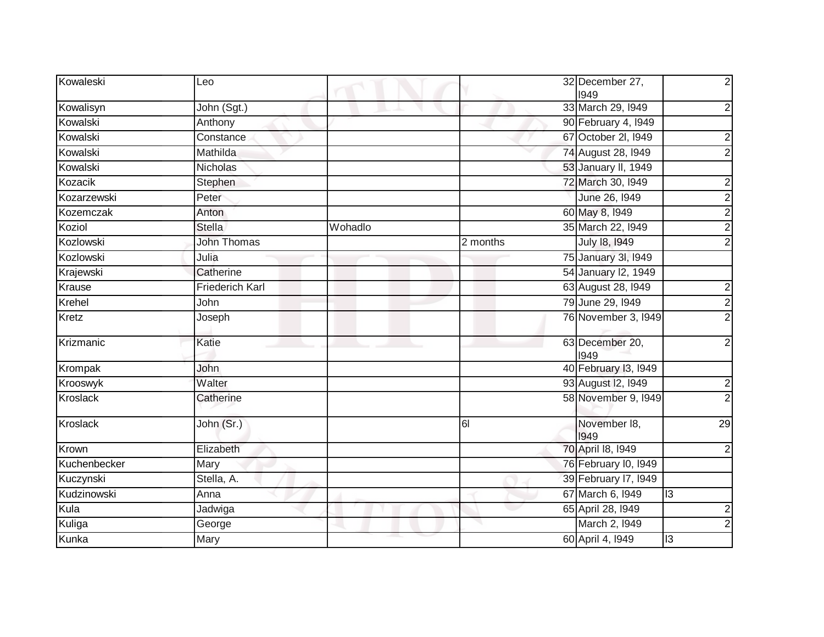| Kowaleski       | Leo                    |         |                | 32 December 27,<br>1949 |           | $\mathbf 2$             |
|-----------------|------------------------|---------|----------------|-------------------------|-----------|-------------------------|
| Kowalisyn       | John (Sgt.)            |         |                | 33 March 29, 1949       |           | $\overline{c}$          |
| Kowalski        | Anthony                |         |                | 90 February 4, 1949     |           |                         |
| Kowalski        | Constance              |         |                | 67 October 2l, I949     |           | $\overline{\mathbf{c}}$ |
| Kowalski        | Mathilda               |         |                | 74 August 28, 1949      |           | $\overline{2}$          |
| Kowalski        | Nicholas               |         |                | 53 January II, 1949     |           |                         |
| Kozacik         | Stephen                |         |                | 72 March 30, 1949       |           | $\boldsymbol{2}$        |
| Kozarzewski     | Peter                  |         |                | June 26, 1949           |           | $\overline{2}$          |
| Kozemczak       | Anton                  |         |                | 60 May 8, 1949          |           | $\overline{2}$          |
| Koziol          | <b>Stella</b>          | Wohadlo |                | 35 March 22, 1949       |           | $\overline{2}$          |
| Kozlowski       | <b>John Thomas</b>     |         | 2 months       | July 18, 1949           |           | $\overline{2}$          |
| Kozlowski       | Julia                  |         |                | 75 January 3I, 1949     |           |                         |
| Krajewski       | Catherine              |         |                | 54 January 12, 1949     |           |                         |
| <b>Krause</b>   | <b>Friederich Karl</b> |         |                | 63 August 28, 1949      |           | $\overline{\mathbf{c}}$ |
| Krehel          | John                   |         |                | 79 June 29, 1949        |           | $\overline{2}$          |
| Kretz           | Joseph                 |         |                | 76 November 3, 1949     |           | $\overline{2}$          |
| Krizmanic       | Katie                  |         |                | 63 December 20,<br>1949 |           | $\overline{2}$          |
| Krompak         | John                   |         |                | 40 February 13, 1949    |           |                         |
| Krooswyk        | Walter                 |         |                | 93 August 12, 1949      |           | $\boldsymbol{2}$        |
| Kroslack        | Catherine              |         |                | 58 November 9, 1949     |           | $\overline{2}$          |
| <b>Kroslack</b> | John (Sr.)             |         | $\overline{6}$ | November 18,<br>1949    |           | 29                      |
| Krown           | Elizabeth              |         |                | 70 April 18, 1949       |           | $\mathbf 2$             |
| Kuchenbecker    | Mary                   |         |                | 76 February I0, 1949    |           |                         |
| Kuczynski       | Stella, A.             |         |                | 39 February 17, 1949    |           |                         |
| Kudzinowski     | Anna                   |         |                | 67 March 6, 1949        | 13        |                         |
| Kula            | Jadwiga                |         |                | 65 April 28, 1949       |           | $\overline{2}$          |
| Kuliga          | George                 |         |                | March 2, 1949           |           | $\overline{2}$          |
| Kunka           | Mary                   |         |                | 60 April 4, 1949        | <u>یا</u> |                         |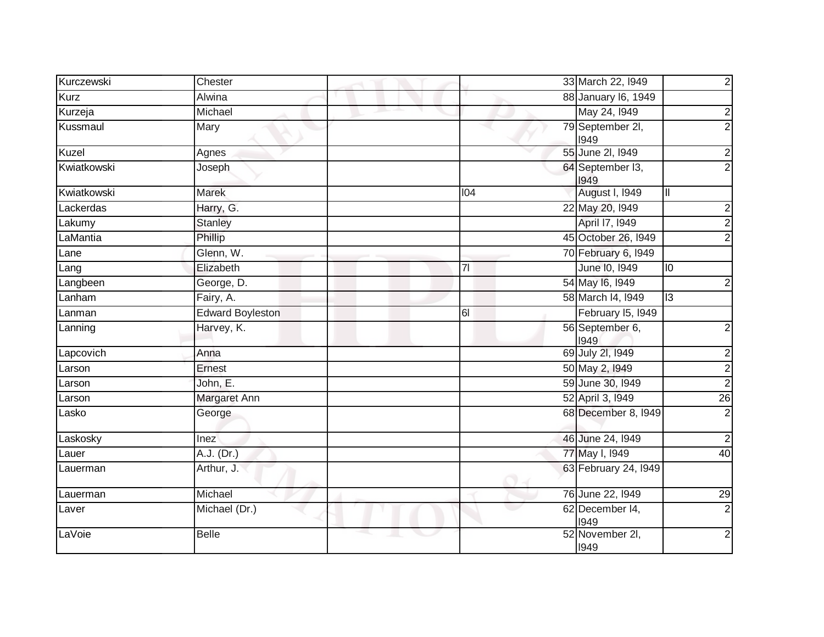| Kurczewski  | Chester                 | $\overline{2}$<br>33 March 22, 1949                 |
|-------------|-------------------------|-----------------------------------------------------|
| Kurz        | Alwina                  | 88 January 16, 1949                                 |
| Kurzeja     | Michael                 | May 24, 1949<br>$\overline{2}$                      |
| Kussmaul    | Mary                    | $\overline{2}$<br>79 September 2I,<br>1949          |
| Kuzel       | Agnes                   | 55 June 2l, 1949<br>$\overline{\mathbf{c}}$         |
| Kwiatkowski | Joseph                  | $\overline{2}$<br>64 September 13,<br>1949          |
| Kwiatkowski | Marek                   | August I, 1949<br>104<br>Ш                          |
| Lackerdas   | Harry, G.               | 22 May 20, 1949<br>$\overline{2}$                   |
| Lakumy      | <b>Stanley</b>          | $\overline{c}$<br>April 17, 1949                    |
| LaMantia    | Phillip                 | $\overline{2}$<br>45 October 26, 1949               |
| Lane        | Glenn, W.               | 70 February 6, 1949                                 |
| Lang        | Elizabeth               | June 10, 1949<br>7 <sup>1</sup><br>10               |
| Langbeen    | George, D.              | 54 May 16, 1949<br>$\overline{2}$                   |
| Lanham      | Fairy, A.               | $\overline{3}$<br>58 March 14, 1949                 |
| Lanman      | <b>Edward Boyleston</b> | 61<br>February I5, I949                             |
| Lanning     | Harvey, K.              | 56 September 6,<br>$\overline{\mathbf{c}}$<br>1949  |
| Lapcovich   | Anna                    | 69 July 2I, 1949<br>$\overline{c}$                  |
| Larson      | Ernest                  | $\overline{2}$<br>50 May 2, 1949                    |
| Larson      | John, E.                | $\overline{2}$<br>59 June 30, 1949                  |
| Larson      | Margaret Ann            | 26<br>52 April 3, 1949                              |
| Lasko       | George                  | 68 December 8, 1949<br>$\overline{c}$               |
| Laskosky    | Inez                    | $\overline{2}$<br>46 June 24, 1949                  |
| Lauer       | A.J. (Dr.)              | 40<br>77 May I, 1949                                |
| Lauerman    | Arthur, J.              | 63 February 24, 1949                                |
| Lauerman    | Michael                 | 76 June 22, 1949<br>29                              |
| Laver       | Michael (Dr.)           | $\overline{2}$<br>62 December I4,<br>o est<br>1949  |
| LaVoie      | <b>Belle</b>            | $\overline{2}$<br>52 November 2I,<br>$\sim$<br>1949 |
|             |                         |                                                     |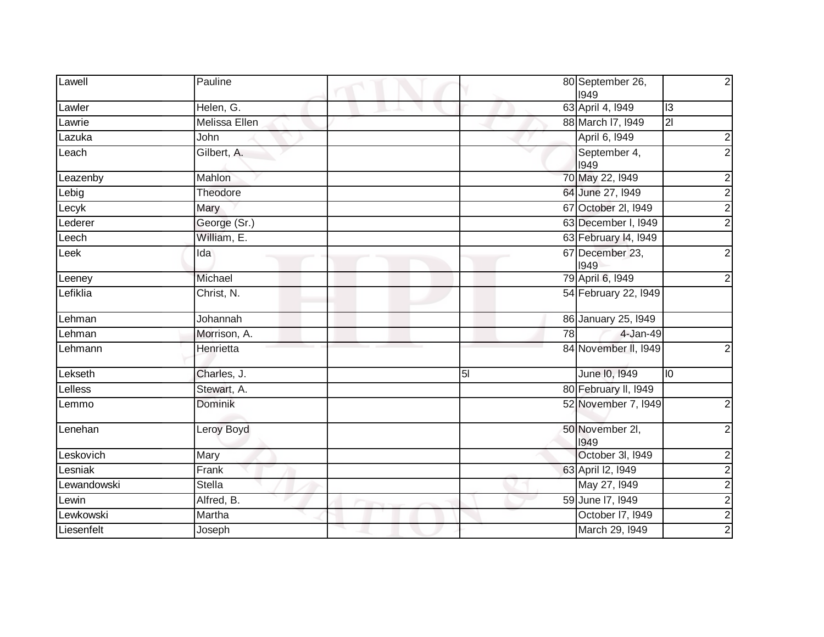| Lawell      | Pauline       | $\overline{2}$<br>80 September 26,<br>1949         |
|-------------|---------------|----------------------------------------------------|
| Lawler      | Helen, G.     | 63 April 4, 1949<br>I <sub>3</sub>                 |
| Lawrie      | Melissa Ellen | 21<br>88 March I7, 1949                            |
| Lazuka      | John          | April 6, 1949<br>2                                 |
| Leach       | Gilbert, A.   | $\overline{2}$<br>September 4,<br>1949             |
| Leazenby    | Mahlon        | 70 May 22, 1949<br>$\overline{\mathbf{c}}$         |
| Lebig       | Theodore      | $\overline{2}$<br>64 June 27, 1949                 |
| Lecyk       | Mary          | $\overline{2}$<br>67 October 2I, 1949              |
| Lederer     | George (Sr.)  | $\overline{2}$<br>63 December I, 1949              |
| Leech       | William, E.   | 63 February 14, 1949                               |
| Leek        | Ida           | 67 December 23,<br>$\mathbf 2$<br>1949             |
| Leeney      | Michael       | 79 April 6, 1949<br>$\boldsymbol{2}$               |
| Lefiklia    | Christ, N.    | 54 February 22, 1949                               |
| Lehman      | Johannah      | 86 January 25, 1949                                |
| Lehman      | Morrison, A.  | 4-Jan-49<br>78                                     |
| Lehmann     | Henrietta     | 84 November II, 1949<br>$\overline{c}$             |
| Lekseth     | Charles, J.   | June 10, 1949<br>$\overline{10}$<br>5 <sub>l</sub> |
| Lelless     | Stewart, A.   | 80 February II, 1949                               |
| Lemmo       | Dominik       | 52 November 7, 1949<br>$\overline{c}$              |
| Lenehan     | Leroy Boyd    | 50 November 2I,<br>$\mathbf 2$<br>1949             |
| Leskovich   | Mary          | October 3I, 1949<br>$\overline{c}$                 |
| Lesniak     | Frank         | $\overline{2}$<br>63 April 12, 1949                |
| Lewandowski | Stella        | $\overline{2}$<br>May 27, 1949                     |
| Lewin       | Alfred, B.    | $\overline{2}$<br>59 June 17, 1949                 |
| Lewkowski   | Martha        | $\frac{2}{2}$<br>October I7, I949                  |
| Liesenfelt  | Joseph        | March 29, 1949                                     |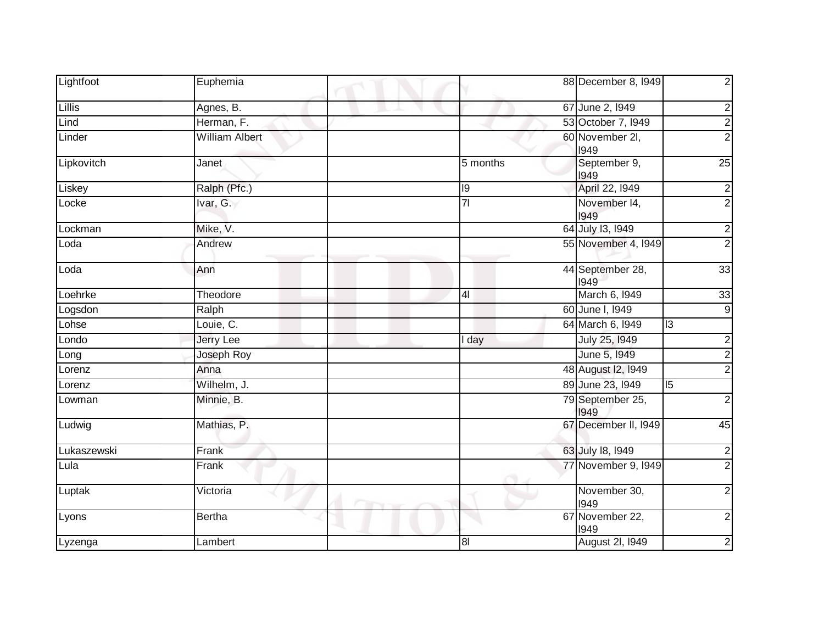| Lightfoot   | Euphemia                    | $\mathbf{2}$<br>88 December 8, 1949                          |
|-------------|-----------------------------|--------------------------------------------------------------|
| Lillis      | Agnes, B.                   | 67 June 2, 1949                                              |
| Lind        | Herman, F.                  | $\frac{2}{2}$<br>53 October 7, 1949                          |
| Linder      | <b>William Albert</b>       | $\overline{2}$<br>60 November 2I,<br>1949                    |
| Lipkovitch  | Janet                       | 25<br>September 9,<br>5 months<br>1949                       |
| Liskey      | Ralph (Pfc.)                | April 22, 1949<br>19<br>$\overline{\mathbf{c}}$              |
| Locke       | Ivar, G.                    | $\overline{2}$<br>7 <sup>1</sup><br>November 14,<br>1949     |
| Lockman     | Mike, V.                    | 64 July 13, 1949<br>$\overline{\mathbf{c}}$                  |
| Loda        | Andrew                      | $\overline{2}$<br>55 November 4, 1949                        |
| Loda        | Ann                         | 44 September 28,<br>33<br>1949                               |
| Loehrke     | Theodore                    | March 6, 1949<br>33<br>4 <sub>l</sub>                        |
| Logsdon     | Ralph                       | 60 June I, 1949<br>$\boldsymbol{9}$                          |
| Lohse       | Louie, C.                   | 64 March 6, 1949<br>$\overline{13}$                          |
| Londo       | <b>Jerry Lee</b>            | July 25, 1949<br>$\overline{2}$<br>I day                     |
| Long        | Joseph Roy                  | $\overline{2}$<br>June 5, 1949                               |
| Lorenz      | Anna                        | $\overline{2}$<br>48 August 12, 1949                         |
| Lorenz      | Wilhelm, J.                 | 89 June 23, 1949<br>$\overline{15}$                          |
| Lowman      | Minnie, B.                  | 79 September 25,<br>$\overline{c}$<br>1949                   |
| Ludwig      | Mathias, P.                 | 67 December II, 1949<br>45                                   |
| Lukaszewski | Frank                       | 63 July 18, 1949<br>$\overline{2}$                           |
| Lula        | Frank                       | $\overline{2}$<br>77 November 9, 1949                        |
| Luptak      | Victoria<br><b>All Card</b> | $\overline{2}$<br>November 30,<br>1949                       |
| Lyons       | <b>Bertha</b>               | 67 November 22,<br>$\overline{2}$<br>1949                    |
| Lyzenga     | Lambert                     | <b>August 2I, 1949</b><br>$\boldsymbol{2}$<br>8 <sub>l</sub> |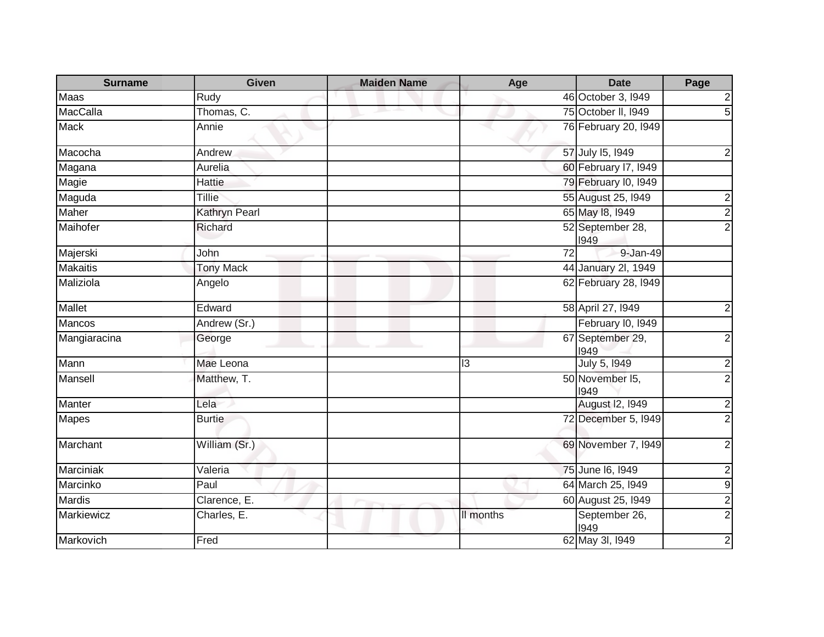| <b>Surname</b>  | <b>Given</b>         | <b>Maiden Name</b> | Age             | <b>Date</b>              | Page                    |
|-----------------|----------------------|--------------------|-----------------|--------------------------|-------------------------|
| Maas            | Rudy                 |                    |                 | 46 October 3, 1949       | $\overline{\mathbf{c}}$ |
| <b>MacCalla</b> | Thomas, C.           |                    |                 | 75 October II, 1949      | $\overline{5}$          |
| <b>Mack</b>     | Annie                |                    |                 | 76 February 20, 1949     |                         |
| Macocha         | Andrew               |                    |                 | 57 July 15, 1949         | $\overline{c}$          |
| Magana          | Aurelia              |                    |                 | 60 February 17, 1949     |                         |
| Magie           | Hattie               |                    |                 | 79 February I0, 1949     |                         |
| Maguda          | <b>Tillie</b>        |                    |                 | 55 August 25, 1949       | $\overline{2}$          |
| <b>Maher</b>    | <b>Kathryn Pearl</b> |                    |                 | 65 May 18, 1949          | $\overline{2}$          |
| Maihofer        | Richard              |                    |                 | 52 September 28,<br>1949 | $\overline{2}$          |
| Majerski        | John                 |                    | $\overline{72}$ | 9-Jan-49                 |                         |
| <b>Makaitis</b> | <b>Tony Mack</b>     |                    |                 | 44 January 2I, 1949      |                         |
| Maliziola       | Angelo               |                    |                 | 62 February 28, 1949     |                         |
| Mallet          | Edward               |                    |                 | 58 April 27, 1949        | $\overline{\mathbf{c}}$ |
| Mancos          | Andrew (Sr.)         |                    |                 | February I0, 1949        |                         |
| Mangiaracina    | George               |                    |                 | 67 September 29,<br>1949 | $\overline{2}$          |
| Mann            | Mae Leona            |                    | 13              | July 5, 1949             | $\boldsymbol{2}$        |
| Mansell         | Matthew, T.          |                    |                 | 50 November 15,<br>1949  | $\overline{2}$          |
| Manter          | Lela                 |                    |                 | August I2, 1949          | $\overline{2}$          |
| <b>Mapes</b>    | <b>Burtie</b>        |                    |                 | 72 December 5, 1949      | $\overline{2}$          |
| Marchant        | William (Sr.)        |                    |                 | 69 November 7, 1949      | $\overline{2}$          |
| Marciniak       | Valeria              |                    |                 | 75 June 16, 1949         | $\overline{\mathbf{c}}$ |
| Marcinko        | Paul                 |                    |                 | 64 March 25, 1949        | $\boldsymbol{9}$        |
| <b>Mardis</b>   | Clarence, E.         |                    |                 | 60 August 25, 1949       | $\overline{2}$          |
| Markiewicz      | Charles, E.          |                    | II months       | September 26,<br>1949    | $\overline{2}$          |
| Markovich       | Fred                 |                    |                 | 62 May 3I, 1949          | $\overline{2}$          |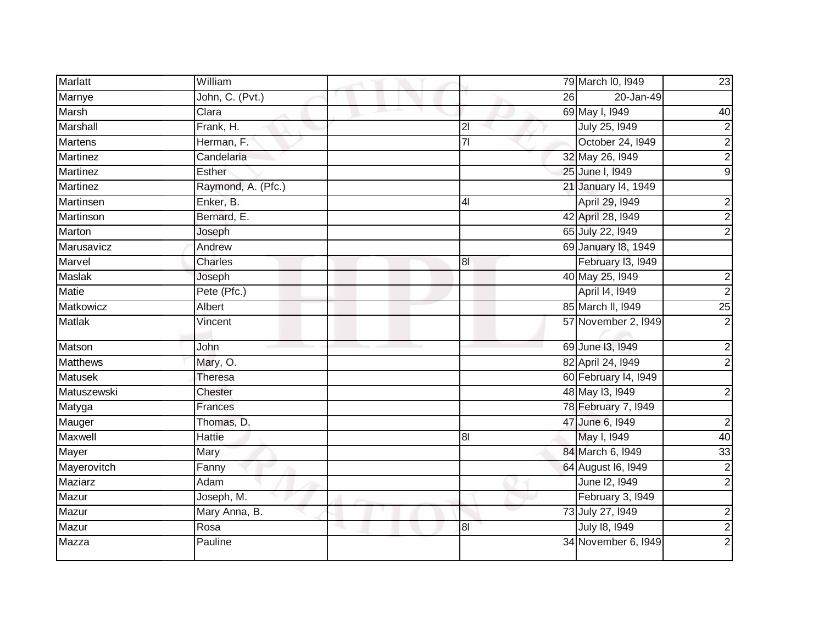| <b>Marlatt</b>  | William            |                | 79 March I0, 1949    | 23                      |
|-----------------|--------------------|----------------|----------------------|-------------------------|
| Marnye          | John, C. (Pvt.)    | 26             | 20-Jan-49            |                         |
| Marsh           | Clara              |                | 69 May I, 1949       | 40                      |
| Marshall        | Frank, H.          | 2 <sub>l</sub> | July 25, 1949        | $\overline{\mathbf{c}}$ |
| <b>Martens</b>  | Herman, F.         | $\overline{7}$ | October 24, 1949     | $\overline{2}$          |
| Martinez        | Candelaria         |                | 32 May 26, 1949      | $\overline{\mathbf{c}}$ |
| Martinez        | Esther             |                | 25 June I, 1949      | $\overline{9}$          |
| Martinez        | Raymond, A. (Pfc.) |                | 21 January 14, 1949  |                         |
| Martinsen       | Enker, B.          | 4 <sub>l</sub> | April 29, 1949       | $\overline{\mathbf{c}}$ |
| Martinson       | Bernard, E.        |                | 42 April 28, 1949    | $\overline{2}$          |
| Marton          | Joseph             |                | 65 July 22, 1949     | $\overline{2}$          |
| Marusavicz      | Andrew             |                | 69 January 18, 1949  |                         |
| Marvel          | Charles            | $\overline{8}$ | February 13, 1949    |                         |
| Maslak          | Joseph             |                | 40 May 25, 1949      | $\overline{2}$          |
| <b>Matie</b>    | Pete (Pfc.)        |                | April 14, 1949       | $\overline{2}$          |
| Matkowicz       | Albert             |                | 85 March II, 1949    | $\overline{25}$         |
| <b>Matlak</b>   | Vincent            |                | 57 November 2, 1949  | $\overline{2}$          |
| Matson          | John               |                | 69 June 13, 1949     | $\overline{2}$          |
| <b>Matthews</b> | Mary, O.           |                | 82 April 24, 1949    | $\overline{2}$          |
| <b>Matusek</b>  | <b>Theresa</b>     |                | 60 February 14, 1949 |                         |
| Matuszewski     | Chester            |                | 48 May 13, 1949      | $\overline{\mathbf{c}}$ |
| Matyga          | Frances            |                | 78 February 7, 1949  |                         |
| Mauger          | Thomas, D.         |                | 47 June 6, 1949      | $\overline{2}$          |
| Maxwell         | <b>Hattie</b>      | 8 <sub>l</sub> | May I, 1949          | 40                      |
| Mayer           | Mary               |                | 84 March 6, 1949     | $\overline{33}$         |
| Mayerovitch     | Fanny              |                | 64 August 16, 1949   |                         |
| <b>Maziarz</b>  | Adam               |                | June 12, 1949        | $\frac{2}{2}$           |
| Mazur           | Joseph, M.         |                | February 3, 1949     |                         |
| Mazur           | Mary Anna, B.      |                | 73 July 27, 1949     | $\overline{\mathbf{c}}$ |
| Mazur           | Rosa               | 8 <sub>l</sub> | July 18, 1949        | $\overline{2}$          |
| Mazza           | Pauline            |                | 34 November 6, 1949  | $\overline{2}$          |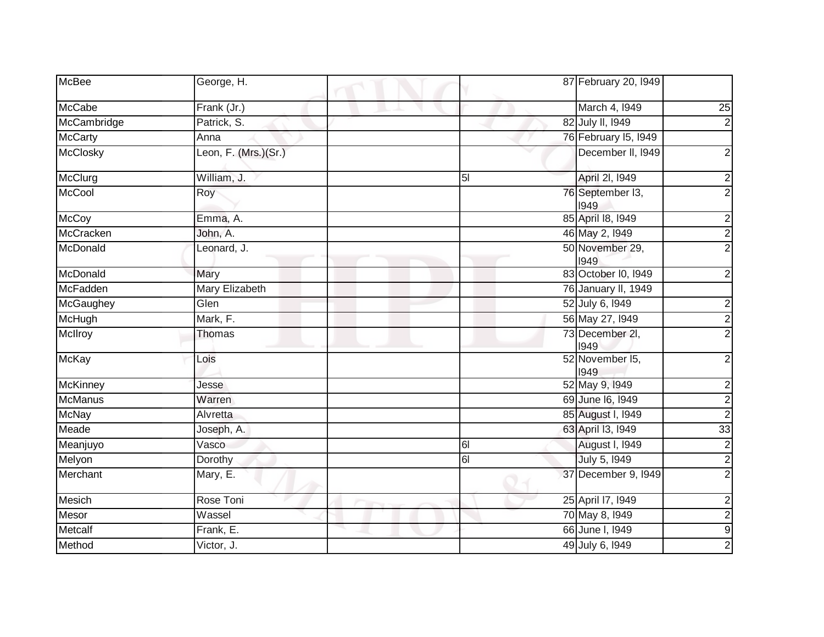| <b>McBee</b>    | George, H.           | 87 February 20, 1949             |
|-----------------|----------------------|----------------------------------|
| McCabe          | Frank (Jr.)          | March 4, 1949<br>25              |
| McCambridge     | Patrick, S.          | 82 July II, 1949                 |
| <b>McCarty</b>  | Anna                 | 76 February 15, 1949             |
| <b>McClosky</b> | Leon, F. (Mrs.)(Sr.) | December II, 1949                |
| McClurg         | William, J.          | April 2I, 1949<br>5 <sub>l</sub> |
| McCool          | Roy                  | 76 September I3,<br>1949         |
| McCoy           | Emma, A.             | 85 April 18, 1949                |
| McCracken       | John, A.             | 46 May 2, 1949                   |
| McDonald        | Leonard, J.          | 50 November 29,<br>1949          |
| McDonald        | Mary                 | 83 October I0, I949              |
| McFadden        | Mary Elizabeth       | 76 January II, 1949              |
| McGaughey       | Glen                 | 52 July 6, 1949                  |
| McHugh          | Mark, F.             | 56 May 27, 1949                  |
| McIlroy         | Thomas               | 73 December 2I,<br>1949          |
| <b>McKay</b>    | Lois                 | 52 November 15,<br>1949          |
| <b>McKinney</b> | Jesse                | 52 May 9, 1949                   |
| <b>McManus</b>  | Warren               | 69 June 16, 1949                 |
| <b>McNay</b>    | Alvretta             | 85 August I, 1949                |
| Meade           | Joseph, A.           | 33<br>63 April 13, 1949          |
| Meanjuyo        | Vasco                | <b>August I, 1949</b><br>61      |
| Melyon          | Dorothy              | July 5, 1949<br>61               |
| Merchant        | Mary, E.             | 37 December 9, 1949              |
| <b>Mesich</b>   | Rose Toni            | 25 April 17, 1949                |
| Mesor           | Wassel               | 70 May 8, 1949                   |
| Metcalf         | Frank, E.            | 66 June I, 1949                  |
| Method          | Victor, J.           | 49 July 6, 1949                  |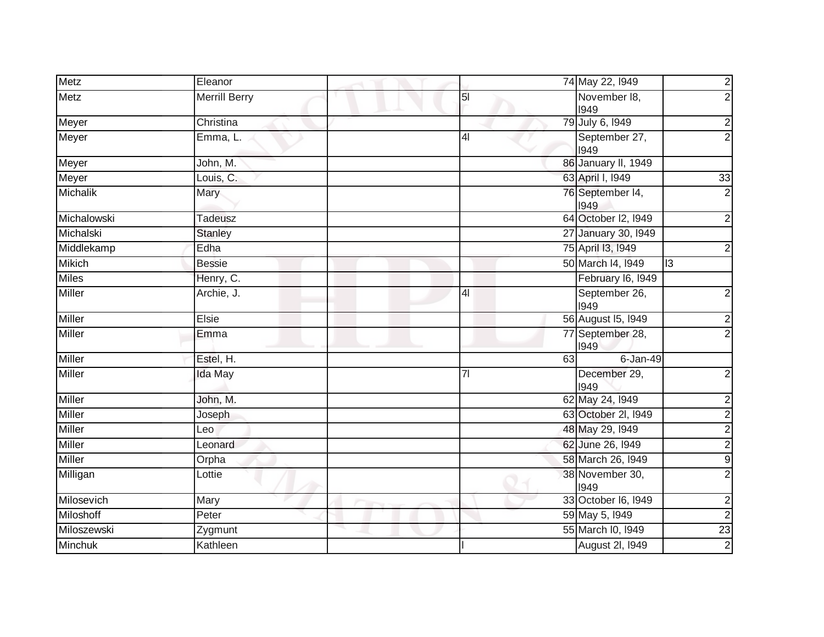| Metz           | Eleanor              |                | 74 May 22, 1949          | $\frac{2}{2}$           |
|----------------|----------------------|----------------|--------------------------|-------------------------|
| <b>Metz</b>    | <b>Merrill Berry</b> | 5 <sub>l</sub> | November 18,<br>1949     |                         |
| Meyer          | Christina            |                | 79 July 6, 1949          | $\overline{c}$          |
| Meyer          | Emma, L.             | 4 <sub>l</sub> | September 27,<br>1949    | $\overline{2}$          |
| Meyer          | John, M.             |                | 86 January II, 1949      |                         |
| Meyer          | Louis, C.            |                | 63 April I, 1949         | 33                      |
| Michalik       | Mary                 |                | 76 September 14,<br>1949 | $\overline{2}$          |
| Michalowski    | <b>Tadeusz</b>       |                | 64 October I2, I949      | $\boldsymbol{2}$        |
| Michalski      | <b>Stanley</b>       |                | 27 January 30, 1949      |                         |
| Middlekamp     | Edha                 |                | 75 April 13, 1949        | $\overline{\mathbf{c}}$ |
| <b>Mikich</b>  | <b>Bessie</b>        |                | 50 March 14, 1949        | <u>ی</u>                |
| <b>Miles</b>   | Henry, C.            |                | February I6, 1949        |                         |
| Miller         | Archie, J.           | 4 <sub>l</sub> | September 26,<br>1949    | $\overline{c}$          |
| Miller         | Elsie                |                | 56 August 15, 1949       | <u>ی</u> ا              |
| Miller         | Emma                 |                | 77 September 28,<br>1949 |                         |
| <b>Miller</b>  | Estel, H.            | 63             | $6 - Jan-49$             |                         |
| <b>Miller</b>  | Ida May              | 7 <sup>1</sup> | December 29,<br>1949     | $\overline{2}$          |
| Miller         | John, M.             |                | 62 May 24, 1949          | $\overline{\mathbf{c}}$ |
| Miller         | Joseph               |                | 63 October 2I, I949      | $\overline{2}$          |
| Miller         | Leo                  |                | 48 May 29, 1949          | $\frac{2}{2}$           |
| Miller         | Leonard              |                | 62 June 26, 1949         |                         |
| Miller         | Orpha                |                | 58 March 26, 1949        | $\overline{9}$          |
| Milligan       | Lottie               |                | 38 November 30,<br>1949  | $\overline{2}$          |
| Milosevich     | Mary                 |                | 33 October 16, 1949      | $\overline{2}$          |
| Miloshoff      | Peter                |                | 59 May 5, 1949           | $\overline{c}$          |
| Miloszewski    | Zygmunt              |                | 55 March I0, 1949        | 23                      |
| <b>Minchuk</b> | Kathleen             |                | <b>August 2I, 1949</b>   | $\overline{2}$          |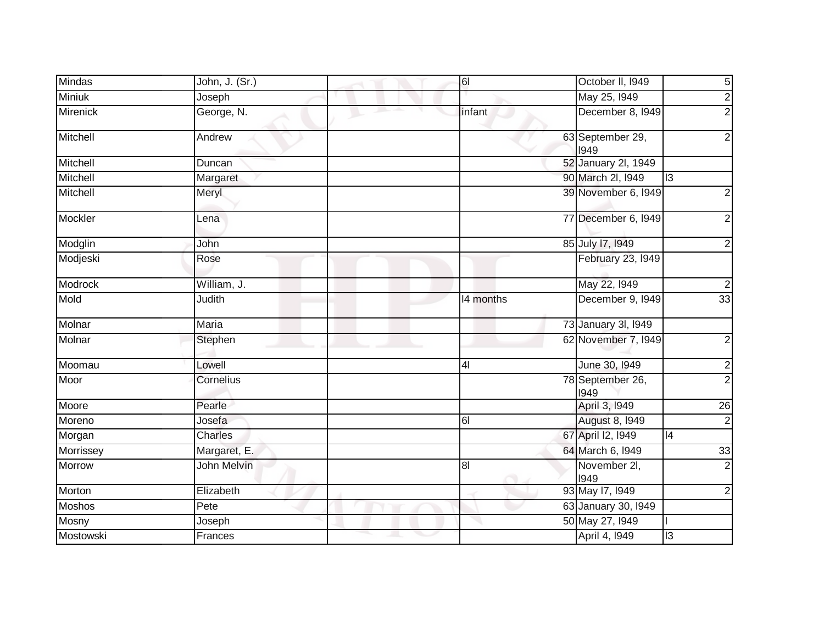| Mindas          | John, J. (Sr.)     |   | $\overline{6}$                       | October II, 1949         | $\overline{5}$          |
|-----------------|--------------------|---|--------------------------------------|--------------------------|-------------------------|
| <b>Miniuk</b>   | Joseph             |   |                                      | May 25, 1949             | $\overline{2}$          |
| <b>Mirenick</b> | George, N.         |   | infant                               | December 8, 1949         | $\overline{2}$          |
| Mitchell        | Andrew             |   |                                      | 63 September 29,<br>1949 | $\overline{c}$          |
| Mitchell        | Duncan             |   |                                      | 52 January 2l, 1949      |                         |
| Mitchell        | Margaret           |   |                                      | 90 March 2I, 1949        | $\overline{13}$         |
| Mitchell        | Meryl              |   |                                      | 39 November 6, 1949      | $\overline{\mathbf{c}}$ |
| Mockler         | Lena               |   |                                      | 77 December 6, 1949      | $\overline{2}$          |
| Modglin         | John               |   |                                      | 85 July 17, 1949         | $\overline{2}$          |
| Modjeski        | Rose               |   |                                      | February 23, 1949        |                         |
| Modrock         | William, J.        |   |                                      | May 22, 1949             | $\overline{2}$          |
| Mold            | Judith             |   | 14 months                            | December 9, 1949         | 33                      |
| Molnar          | Maria              |   |                                      | 73 January 3I, 1949      |                         |
| Molnar          | Stephen            |   |                                      | 62 November 7, 1949      | $\overline{2}$          |
| Moomau          | Lowell             |   | 4 <sub>l</sub>                       | June 30, 1949            |                         |
| Moor            | Cornelius          |   |                                      | 78 September 26,<br>1949 | $\frac{2}{2}$           |
| Moore           | Pearle             |   |                                      | April 3, 1949            | $\overline{26}$         |
| Moreno          | Josefa             |   | 61                                   | <b>August 8, 1949</b>    | $\overline{\mathbf{c}}$ |
| Morgan          | Charles            |   |                                      | 67 April 12, 1949        | 4                       |
| Morrissey       | Margaret, E.       |   |                                      | 64 March 6, 1949         | 33                      |
| Morrow          | <b>John Melvin</b> |   | 8 <sub>l</sub><br>$\curvearrowright$ | November 2I,<br>1949     | $\overline{2}$          |
| Morton          | Elizabeth          |   |                                      | 93 May 17, 1949          | $\overline{2}$          |
| <b>Moshos</b>   | Pete               |   |                                      | 63 January 30, 1949      |                         |
| Mosny           | Joseph             |   |                                      | 50 May 27, 1949          |                         |
| Mostowski       | Frances            | ◡ |                                      | April 4, 1949            | 13                      |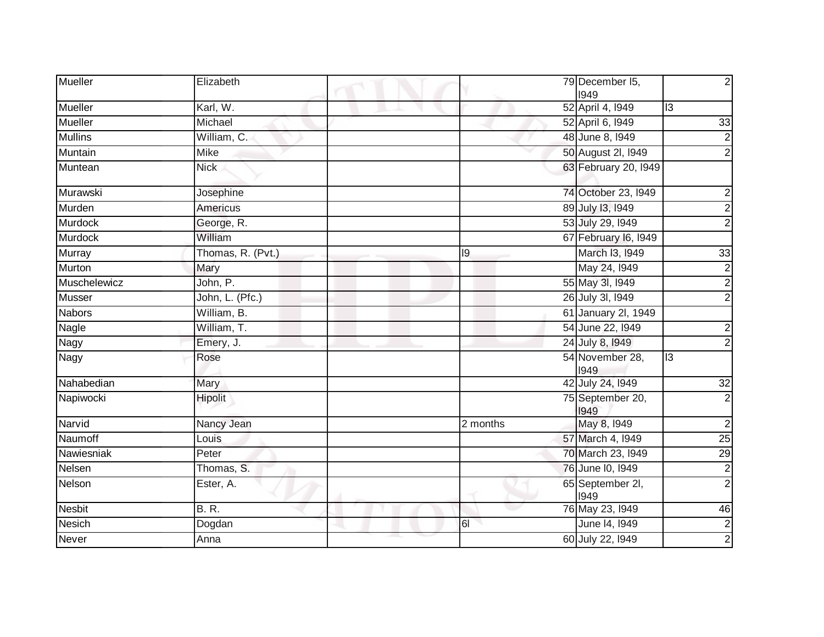| <b>Mueller</b> | Elizabeth         |          | 79 December 15,<br>1949  | $\overline{2}$          |
|----------------|-------------------|----------|--------------------------|-------------------------|
| Mueller        | Karl, W.          |          | 52 April 4, 1949         | $\overline{13}$         |
| <b>Mueller</b> | Michael           |          | 52 April 6, 1949         | 33                      |
| <b>Mullins</b> | William, C.       |          | 48 June 8, 1949          | $\overline{2}$          |
| Muntain        | Mike              |          | 50 August 2l, I949       | $\overline{2}$          |
| Muntean        | <b>Nick</b>       |          | 63 February 20, 1949     |                         |
| Murawski       | Josephine         |          | 74 October 23, 1949      | $\overline{\mathbf{c}}$ |
| Murden         | <b>Americus</b>   |          | 89 July 13, 1949         | $\overline{2}$          |
| Murdock        | George, R.        |          | 53 July 29, 1949         | $\overline{2}$          |
| <b>Murdock</b> | William           |          | 67 February 16, 1949     |                         |
| <b>Murray</b>  | Thomas, R. (Pvt.) | 9        | March 13, 1949           | 33                      |
| Murton         | Mary              |          | May 24, 1949             | $\overline{\mathbf{c}}$ |
| Muschelewicz   | John, P.          |          | 55 May 3l, I949          | $\overline{2}$          |
| <b>Musser</b>  | John, L. (Pfc.)   |          | 26 July 3I, 1949         | $\overline{2}$          |
| <b>Nabors</b>  | William, B.       |          | 61 January 2l, 1949      |                         |
| Nagle          | William, T.       |          | 54 June 22, 1949         | $\overline{\mathbf{c}}$ |
| Nagy           | Emery, J.         |          | 24 July 8, 1949          | $\overline{2}$          |
| <b>Nagy</b>    | Rose              |          | 54 November 28,<br>1949  | $\overline{13}$         |
| Nahabedian     | Mary              |          | 42 July 24, 1949         | 32                      |
| Napiwocki      | Hipolit           |          | 75 September 20,<br>1949 | $\overline{2}$          |
| Narvid         | Nancy Jean        | 2 months | May 8, 1949              | $\overline{2}$          |
| Naumoff        | Louis             |          | 57 March 4, 1949         | $\overline{25}$         |
| Nawiesniak     | Peter             |          | 70 March 23, 1949        | 29                      |
| Nelsen         | Thomas, S.        |          | 76 June 10, 1949         | $\overline{2}$          |
| Nelson         | Ester, A.         |          | 65 September 2I,<br>1949 | $\overline{2}$          |
| <b>Nesbit</b>  | <b>B.R.</b>       |          | 76 May 23, 1949          | 46                      |
| <b>Nesich</b>  | Dogdan            | 61       | June 14, 1949            | $\frac{2}{2}$           |
| <b>Never</b>   | Anna              |          | 60 July 22, 1949         |                         |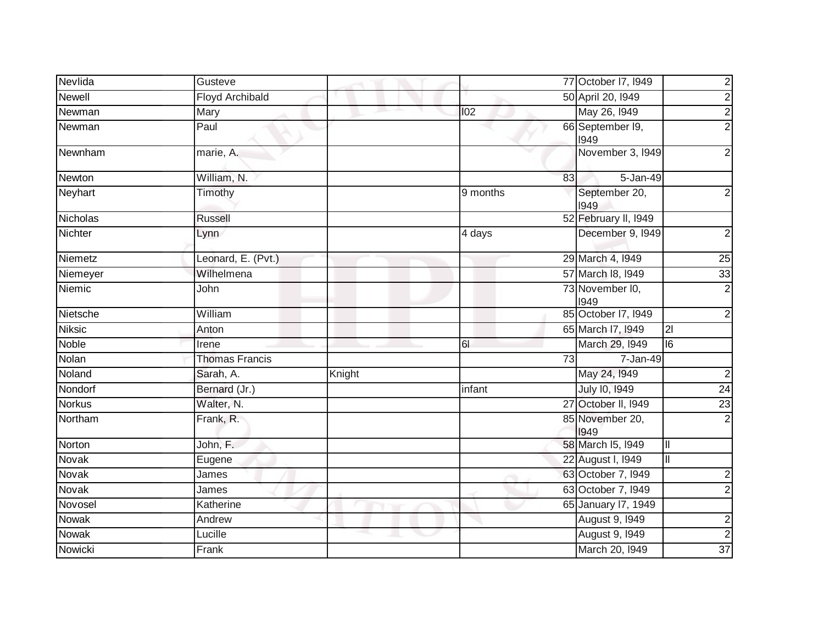| Nevlida        | Gusteve                |                 |                 | 77 October 17, 1949      | 2               |
|----------------|------------------------|-----------------|-----------------|--------------------------|-----------------|
| <b>Newell</b>  | <b>Floyd Archibald</b> |                 |                 | 50 April 20, 1949        |                 |
| Newman         | Mary                   | and the project | 102             | May 26, 1949             |                 |
| Newman         | Paul                   |                 |                 | 66 September 19,<br>1949 |                 |
| Newnham        | marie, A.              |                 |                 | November 3, 1949         |                 |
| Newton         | William, N.            |                 | 83              | 5-Jan-49                 |                 |
| Neyhart        | Timothy                |                 | 9 months        | September 20,<br>1949    |                 |
| Nicholas       | <b>Russell</b>         |                 |                 | 52 February II, 1949     |                 |
| <b>Nichter</b> | Lynn                   |                 | 4 days          | December 9, 1949         |                 |
| Niemetz        | Leonard, E. (Pvt.)     |                 |                 | 29 March 4, 1949         | 25              |
| Niemeyer       | Wilhelmena             |                 |                 | 57 March 18, 1949        | 33              |
| Niemic         | John                   |                 |                 | 73 November I0,<br>1949  |                 |
| Nietsche       | William                |                 |                 | 85 October 17, 1949      |                 |
| <b>Niksic</b>  | Anton                  |                 |                 | 65 March 17, 1949        | $\overline{2}$  |
| Noble          | Irene                  |                 | 61              | March 29, 1949           | $\overline{16}$ |
| Nolan          | <b>Thomas Francis</b>  |                 | $\overline{73}$ | 7-Jan-49                 |                 |
| Noland         | Sarah, A.              | Knight          |                 | May 24, 1949             |                 |
| Nondorf        | Bernard (Jr.)          |                 | infant          | July 10, 1949            | 24              |
| <b>Norkus</b>  | Walter, N.             |                 |                 | 27 October II, I949      | $\overline{23}$ |
| Northam        | Frank, R.              |                 |                 | 85 November 20,<br>1949  |                 |
| Norton         | John, F.               |                 |                 | 58 March 15, 1949        | IШ              |
| Novak          | Eugene                 |                 |                 | 22 August I, 1949        | III             |
| Novak          | James                  |                 |                 | 63 October 7, 1949       |                 |
| Novak          | James                  |                 |                 | 63 October 7, 1949       |                 |
| Novosel        | Katherine              |                 |                 | 65 January 17, 1949      |                 |
| <b>Nowak</b>   | Andrew                 |                 |                 | <b>August 9, 1949</b>    |                 |
| Nowak          | Lucille                |                 |                 | August 9, 1949           |                 |
| Nowicki        | Frank                  |                 |                 | March 20, 1949           | $\overline{37}$ |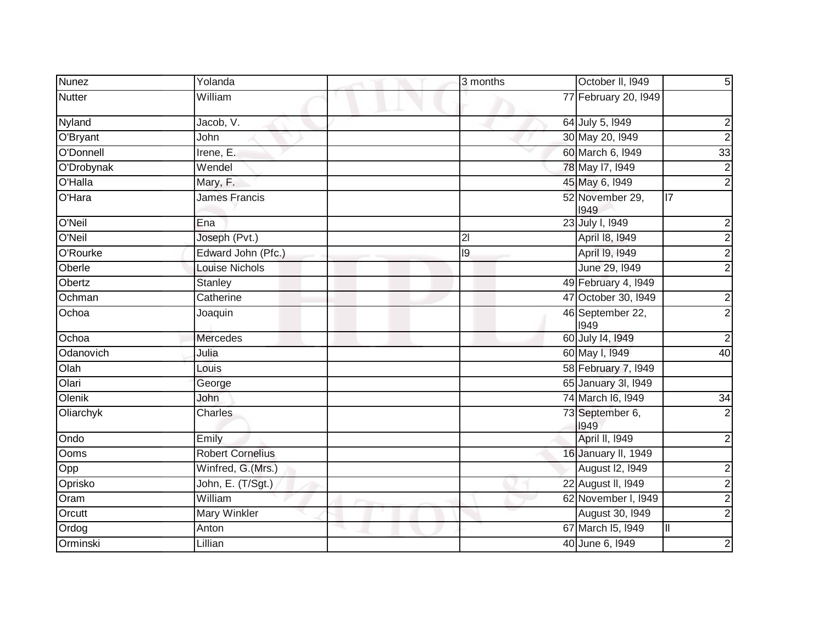| <b>Nunez</b>  | Yolanda                 | 3 months       | October II, 1949         | $\overline{5}$          |
|---------------|-------------------------|----------------|--------------------------|-------------------------|
| <b>Nutter</b> | William                 |                | 77 February 20, 1949     |                         |
| Nyland        | Jacob, V.               |                | 64 July 5, 1949          | $\overline{c}$          |
| O'Bryant      | John                    |                | 30 May 20, 1949          | $\overline{2}$          |
| O'Donnell     | Irene, E.               |                | 60 March 6, 1949         | 33                      |
| O'Drobynak    | Wendel                  |                | 78 May 17, 1949          | $\overline{2}$          |
| O'Halla       | Mary, F.                |                | 45 May 6, 1949           | $\overline{2}$          |
| O'Hara        | <b>James Francis</b>    |                | 52 November 29,<br>1949  | $\overline{17}$         |
| O'Neil        | Ena                     |                | 23 July I, 1949          | $\overline{\mathbf{c}}$ |
| O'Neil        | Joseph (Pvt.)           | $\overline{2}$ | April 18, 1949           | $\overline{2}$          |
| O'Rourke      | Edward John (Pfc.)      | 19             | April 19, 1949           | $\overline{2}$          |
| Oberle        | <b>Louise Nichols</b>   |                | June 29, 1949            | $\overline{2}$          |
| Obertz        | <b>Stanley</b>          |                | 49 February 4, 1949      |                         |
| Ochman        | Catherine               |                | 47 October 30, 1949      | $\frac{2}{2}$           |
| Ochoa         | Joaquin                 |                | 46 September 22,<br>1949 |                         |
| Ochoa         | <b>Mercedes</b>         |                | 60 July 14, 1949         | $\overline{c}$          |
| Odanovich     | Julia                   |                | 60 May I, 1949           | 40                      |
| Olah          | Louis                   |                | 58 February 7, 1949      |                         |
| Olari         | George                  |                | 65 January 3I, 1949      |                         |
| Olenik        | John                    |                | 74 March 16, 1949        | 34                      |
| Oliarchyk     | Charles                 |                | 73 September 6,<br>1949  | $\overline{2}$          |
| Ondo          | Emily                   |                | April II, 1949           | $\overline{\mathbf{c}}$ |
| Ooms          | <b>Robert Cornelius</b> |                | 16 January II, 1949      |                         |
| Opp           | Winfred, G.(Mrs.)       |                | August I2, I949          | $\overline{\mathbf{c}}$ |
| Oprisko       | John, E. (T/Sgt.)       |                | 22 August II, 1949       | $\overline{2}$          |
| Oram          | William                 |                | 62 November I, I949      | $\overline{2}$          |
| Orcutt        | <b>Mary Winkler</b>     |                | August 30, 1949          | $\overline{2}$          |
| Ordog         | Anton                   |                | 67 March 15, 1949        | Ш                       |
| Orminski      | Lillian                 |                | 40 June 6, 1949          | $\boldsymbol{2}$        |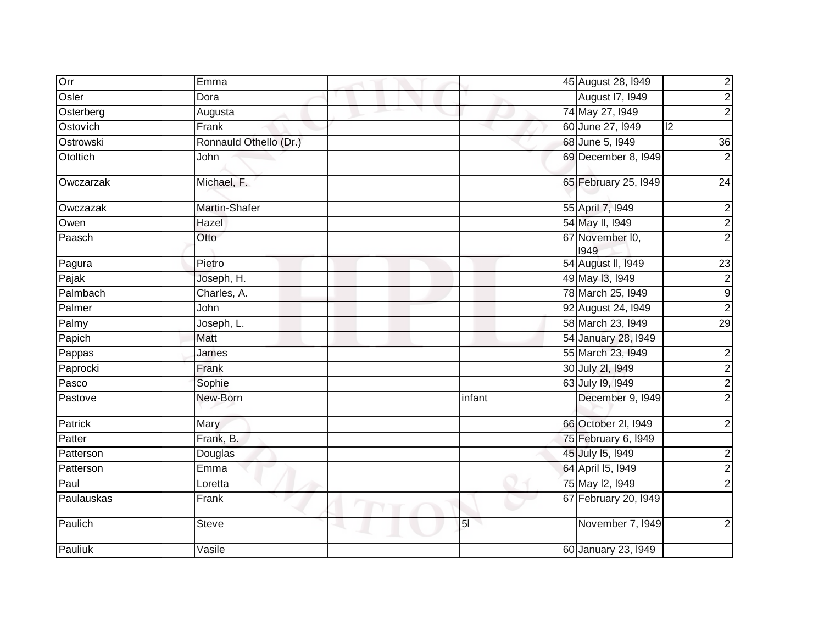| Orr        | Emma                   | 45 August 28, 1949                    |
|------------|------------------------|---------------------------------------|
| Osler      | Dora                   | August 17, 1949                       |
| Osterberg  | Augusta                | 74 May 27, 1949                       |
| Ostovich   | Frank                  | 60 June 27, 1949<br>$\overline{12}$   |
| Ostrowski  | Ronnauld Othello (Dr.) | 68 June 5, 1949<br>36                 |
| Otoltich   | John                   | 69 December 8, 1949                   |
| Owczarzak  | Michael, F.            | 65 February 25, 1949<br>24            |
| Owczazak   | Martin-Shafer          | 55 April 7, 1949                      |
| Owen       | Hazel                  | 54 May II, 1949                       |
| Paasch     | Otto                   | 67 November I0,<br>1949               |
| Pagura     | Pietro                 | 54 August II, 1949<br>$\overline{23}$ |
| Pajak      | Joseph, H.             | 49 May 13, 1949                       |
| Palmbach   | Charles, A.            | 78 March 25, 1949                     |
| Palmer     | John                   | 92 August 24, 1949                    |
| Palmy      | Joseph, L.             | 58 March 23, 1949<br>29               |
| Papich     | Matt                   | 54 January 28, 1949                   |
| Pappas     | James                  | 55 March 23, 1949                     |
| Paprocki   | Frank                  | 30 July 2l, 1949                      |
| Pasco      | Sophie                 | 63 July 19, 1949                      |
| Pastove    | New-Born               | December 9, 1949<br>infant            |
| Patrick    | Mary                   | 66 October 2I, 1949                   |
| Patter     | Frank, B.              | 75 February 6, 1949                   |
| Patterson  | Douglas                | 45 July 15, 1949                      |
| Patterson  | Emma                   | 64 April 15, 1949                     |
| Paul       | Loretta                | 75 May 12, 1949                       |
| Paulauskas | Frank                  | 67 February 20, 1949                  |
| Paulich    | <b>Steve</b>           | 5 <sub>l</sub><br>November 7, 1949    |
| Pauliuk    | Vasile                 | 60 January 23, 1949                   |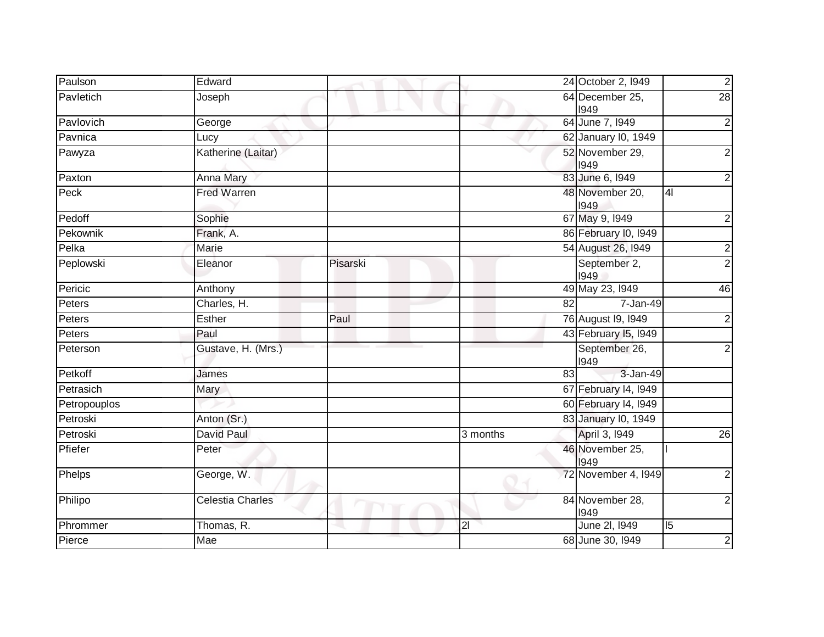| Paulson      | Edward                  |          |                |                         | 24 October 2, 1949      | $\overline{c}$          |
|--------------|-------------------------|----------|----------------|-------------------------|-------------------------|-------------------------|
| Pavletich    | Joseph                  |          |                | 64 December 25,<br>1949 |                         | 28                      |
| Pavlovich    | George                  |          |                |                         | 64 June 7, 1949         | $\overline{2}$          |
| Pavnica      | Lucy                    |          |                |                         | 62 January I0, 1949     |                         |
| Pawyza       | Katherine (Laitar)      |          |                |                         | 52 November 29,<br>1949 | $\overline{c}$          |
| Paxton       | Anna Mary               |          |                |                         | 83 June 6, 1949         | $\overline{c}$          |
| Peck         | <b>Fred Warren</b>      |          |                |                         | 48 November 20,<br>1949 | 4                       |
| Pedoff       | Sophie                  |          |                |                         | 67 May 9, 1949          | $\overline{c}$          |
| Pekownik     | Frank, A.               |          |                |                         | 86 February I0, I949    |                         |
| Pelka        | Marie                   |          |                |                         | 54 August 26, 1949      | $\overline{2}$          |
| Peplowski    | Eleanor                 | Pisarski |                |                         | September 2,<br>1949    | $\overline{2}$          |
| Pericic      | Anthony                 |          |                |                         | 49 May 23, 1949         | 46                      |
| Peters       | Charles, H.             |          |                | 82                      | 7-Jan-49                |                         |
| Peters       | Esther                  | Paul     |                |                         | 76 August 19, 1949      | $\overline{c}$          |
| Peters       | Paul                    |          |                |                         | 43 February 15, 1949    |                         |
| Peterson     | Gustave, H. (Mrs.)      |          |                |                         | September 26,<br>1949   | $\overline{2}$          |
| Petkoff      | James                   |          |                | 83                      | 3-Jan-49                |                         |
| Petrasich    | Mary                    |          |                |                         | 67 February 14, 1949    |                         |
| Petropouplos |                         |          |                |                         | 60 February 14, 1949    |                         |
| Petroski     | Anton (Sr.)             |          |                |                         | 83 January I0, 1949     |                         |
| Petroski     | David Paul              |          | 3 months       |                         | April 3, 1949           | $\overline{26}$         |
| Pfiefer      | Peter                   |          |                |                         | 46 November 25,<br>1949 |                         |
| Phelps       | George, W.              |          |                |                         | 72 November 4, 1949     | $\overline{2}$          |
| Philipo      | <b>Celestia Charles</b> |          |                |                         | 84 November 28,<br>1949 | $\overline{c}$          |
| Phrommer     | Thomas, R.              |          | $\overline{2}$ |                         | June 2I, 1949           | $\overline{5}$          |
| Pierce       | Mae                     |          |                |                         | 68 June 30, 1949        | $\overline{\mathbf{c}}$ |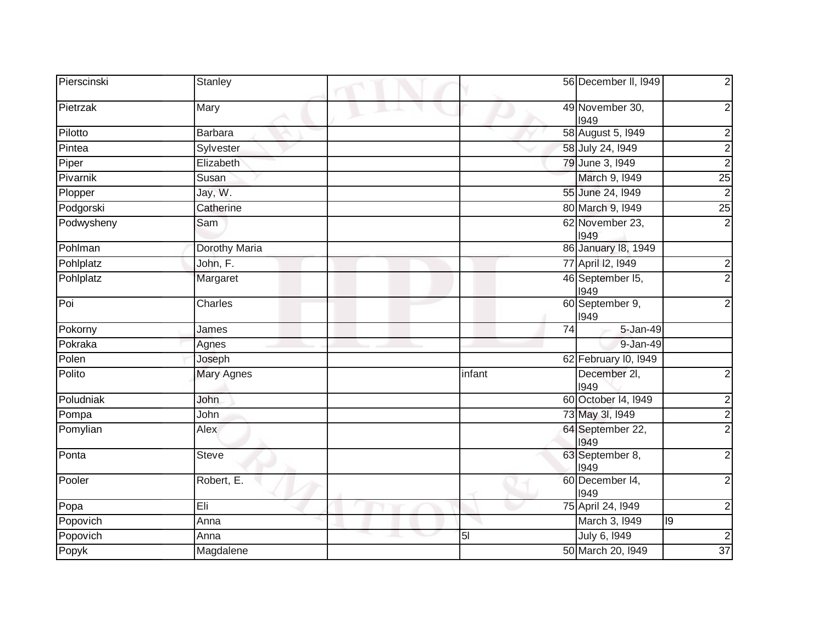| Pierscinski | Stanley              | 56 December II, 1949                                  |
|-------------|----------------------|-------------------------------------------------------|
| Pietrzak    | Mary                 | 49 November 30,<br>2<br>1949                          |
| Pilotto     | <b>Barbara</b>       | 58 August 5, 1949<br>2                                |
| Pintea      | Sylvester            | 58 July 24, 1949<br>$\overline{c}$                    |
| Piper       | Elizabeth            | $\overline{2}$<br>79 June 3, 1949                     |
| Pivarnik    | Susan                | $\overline{25}$<br>March 9, 1949                      |
| Plopper     | Jay, W.              | $\overline{2}$<br>55 June 24, 1949                    |
| Podgorski   | Catherine            | 80 March 9, 1949<br>25                                |
| Podwysheny  | Sam                  | 62 November 23,<br>$\overline{2}$<br>1949             |
| Pohlman     | <b>Dorothy Maria</b> | 86 January 18, 1949                                   |
| Pohlplatz   | John, F.             | 77 April 12, 1949<br>2                                |
| Pohlplatz   | Margaret             | 46 September 15,<br>2<br>1949                         |
| Poi         | Charles              | 60 September 9,<br>1949                               |
| Pokorny     | James                | $\overline{74}$<br>5-Jan-49                           |
| Pokraka     | Agnes                | 9-Jan-49                                              |
| Polen       | Joseph               | 62 February 10, 1949                                  |
| Polito      | <b>Mary Agnes</b>    | infant<br>December 2I,<br>2<br>1949                   |
| Poludniak   | John                 | 60 October 14, 1949<br>2                              |
| Pompa       | John                 | 73 May 3I, 1949<br>$\overline{2}$                     |
| Pomylian    | Alex                 | 64 September 22,<br>1949                              |
| Ponta       | Steve                | 63 September 8,<br>1949                               |
| Pooler      | Robert, E.           | 60 December 14,<br>2<br>1949                          |
| Popa        | Eli                  | 75 April 24, 1949<br>2                                |
| Popovich    | Anna                 | March 3, 1949<br>19                                   |
| Popovich    | Anna                 | July 6, 1949<br>5 <sub>l</sub><br>$\overline{c}$<br>╰ |
| Popyk       | Magdalene            | 50 March 20, 1949<br>$\overline{37}$                  |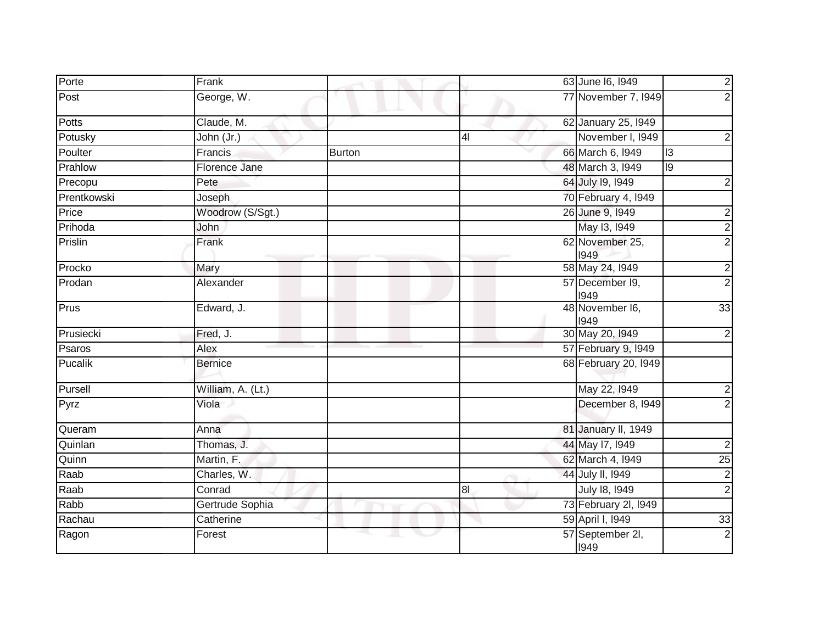| Porte        | Frank             |              |                | 63 June 16, 1949         | $\overline{2}$  |
|--------------|-------------------|--------------|----------------|--------------------------|-----------------|
| Post         | George, W.        |              |                | 77 November 7, 1949      | $\overline{2}$  |
| <b>Potts</b> | Claude, M.        |              |                | 62 January 25, 1949      |                 |
| Potusky      | John (Jr.)        |              | 4 <sub>l</sub> | November I, 1949         | $\overline{2}$  |
| Poulter      | Francis           | Burton       |                | 66 March 6, 1949         | 13              |
| Prahlow      | Florence Jane     |              |                | 48 March 3, 1949         | 9               |
| Precopu      | Pete              |              |                | 64 July 19, 1949         |                 |
| Prentkowski  | Joseph            |              |                | 70 February 4, 1949      |                 |
| Price        | Woodrow (S/Sgt.)  |              |                | 26 June 9, 1949          | $\overline{2}$  |
| Prihoda      | <b>John</b>       |              |                | May 13, 1949             | $\overline{2}$  |
| Prislin      | Frank             |              |                | 62 November 25,<br>1949  | $\overline{2}$  |
| Procko       | Mary              |              |                | 58 May 24, 1949          | $\overline{c}$  |
| Prodan       | Alexander         |              |                | 57 December 19,<br>1949  | $\overline{2}$  |
| Prus         | Edward, J.        |              |                | 48 November I6,<br>1949  | 33              |
| Prusiecki    | Fred, J.          |              |                | 30 May 20, 1949          | $\overline{2}$  |
| Psaros       | Alex              |              |                | 57 February 9, 1949      |                 |
| Pucalik      | <b>Bernice</b>    |              |                | 68 February 20, 1949     |                 |
| Pursell      | William, A. (Lt.) |              |                | May 22, 1949             | $\overline{2}$  |
| Pyrz         | Viola             |              |                | December 8, 1949         | $\overline{2}$  |
| Queram       | Anna              |              |                | 81 January II, 1949      |                 |
| Quinlan      | Thomas, J.        |              |                | 44 May 17, 1949          | $\overline{c}$  |
| Quinn        | Martin, F.        |              |                | 62 March 4, 1949         | $\overline{25}$ |
| Raab         | Charles, W.       |              |                | 44 July II, 1949         | $\overline{c}$  |
| Raab         | Conrad            |              | 8 <sub>l</sub> | July 18, 1949            | $\overline{2}$  |
| Rabb         | Gertrude Sophia   |              |                | 73 February 2l, I949     |                 |
| Rachau       | Catherine         |              |                | 59 April I, 1949         | 33              |
| Ragon        | Forest            | a.<br>$\sim$ |                | 57 September 2I,<br>1949 | $\overline{c}$  |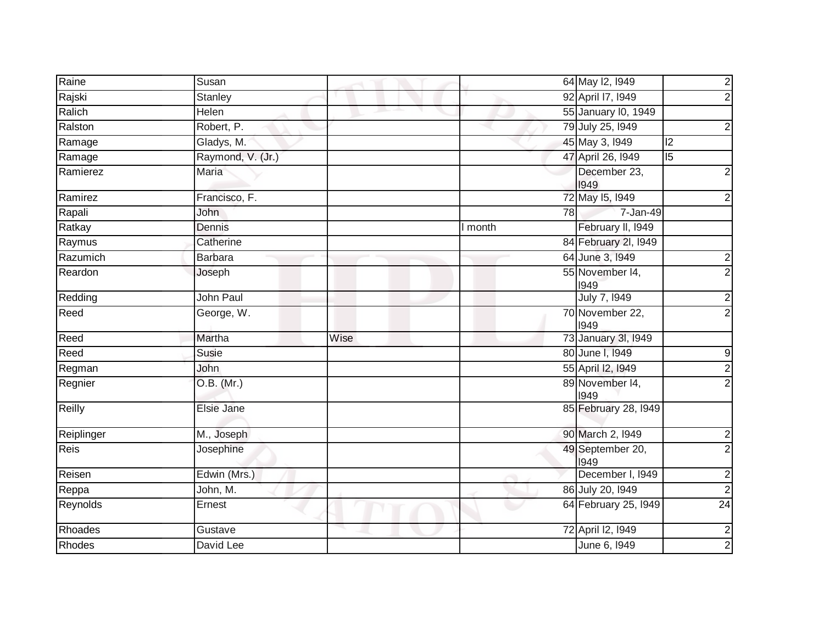| Raine          | Susan             |      |         | 64 May 12, 1949          | $\overline{2}$ |
|----------------|-------------------|------|---------|--------------------------|----------------|
| Rajski         | <b>Stanley</b>    |      |         | 92 April 17, 1949        | $\overline{2}$ |
| Ralich         | Helen             |      |         | 55 January I0, 1949      |                |
| Ralston        | Robert, P.        |      |         | 79 July 25, 1949         | $\mathbf{2}$   |
| Ramage         | Gladys, M.        |      |         | 45 May 3, 1949           | $\overline{2}$ |
| Ramage         | Raymond, V. (Jr.) |      |         | 47 April 26, 1949        | $\overline{5}$ |
| Ramierez       | <b>Maria</b>      |      |         | December 23,<br>1949     | $\mathbf{2}$   |
| Ramirez        | Francisco, F.     |      |         | 72 May 15, 1949          | $\mathbf{2}$   |
| Rapali         | John              |      | 78      | 7-Jan-49                 |                |
| Ratkay         | Dennis            |      | I month | February II, 1949        |                |
| Raymus         | Catherine         |      |         | 84 February 2I, 1949     |                |
| Razumich       | <b>Barbara</b>    |      |         | 64 June 3, 1949          | $\frac{2}{2}$  |
| Reardon        | Joseph            |      |         | 55 November 14,<br>1949  |                |
| Redding        | John Paul         |      |         | July 7, 1949             | $\overline{2}$ |
| Reed           | George, W.        |      |         | 70 November 22,<br>1949  | $\overline{2}$ |
| Reed           | Martha            | Wise |         | 73 January 3I, 1949      |                |
| Reed           | Susie             |      |         | 80 June I, 1949          | $\overline{9}$ |
| Regman         | John              |      |         | 55 April I2, 1949        | $\overline{2}$ |
| Regnier        | O.B. (Mr.)        |      |         | 89 November 14,<br>1949  | $\overline{2}$ |
| Reilly         | Elsie Jane        |      |         | 85 February 28, 1949     |                |
| Reiplinger     | M., Joseph        |      |         | 90 March 2, 1949         | $\frac{2}{2}$  |
| <b>Reis</b>    | Josephine         |      |         | 49 September 20,<br>1949 |                |
| Reisen         | Edwin (Mrs.)      |      |         | December I, 1949         | $\overline{2}$ |
| Reppa          | John, M.          |      |         | 86 July 20, 1949         | $\overline{2}$ |
| Reynolds       | Ernest            |      |         | 64 February 25, 1949     | 24             |
| <b>Rhoades</b> | Gustave           |      |         | 72 April 12, 1949        | $\overline{c}$ |
| Rhodes         | David Lee         |      |         | June 6, 1949             | $\overline{2}$ |
|                |                   |      |         |                          |                |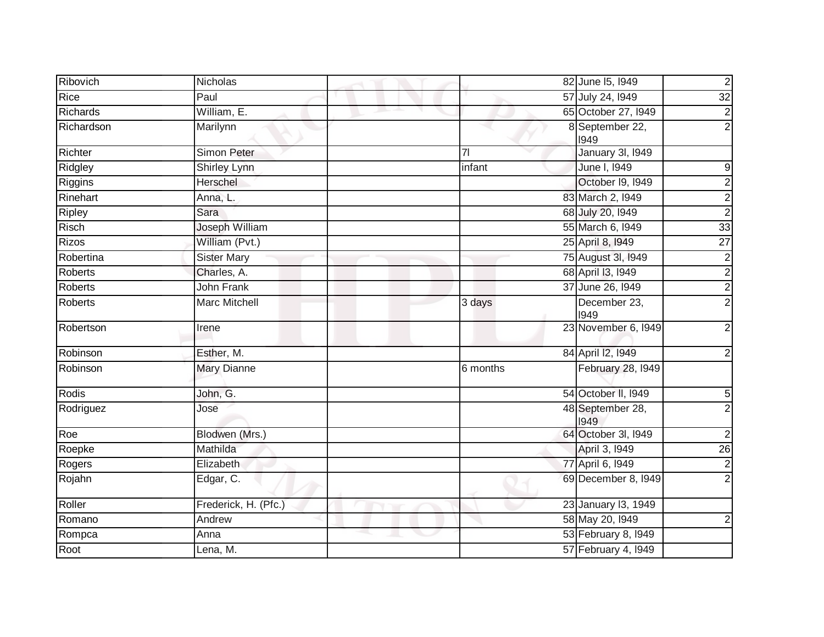| Ribovich       | Nicholas             | 82 June 15, 1949               | $\overline{2}$   |
|----------------|----------------------|--------------------------------|------------------|
| Rice           | Paul                 | 57 July 24, 1949               | 32               |
| Richards       | William, E.          | 65 October 27, 1949            | $\overline{2}$   |
| Richardson     | Marilynn             | 8 September 22,<br>1949        | $\overline{2}$   |
| Richter        | <b>Simon Peter</b>   | January 3I, 1949<br>71         |                  |
| Ridgley        | Shirley Lynn         | June I, 1949<br>infant         | 9                |
| Riggins        | Herschel             | October 19, 1949               | $\frac{2}{2}$    |
| Rinehart       | Anna, L.             | 83 March 2, 1949               |                  |
| Ripley         | Sara                 | 68 July 20, 1949               | $\overline{2}$   |
| Risch          | Joseph William       | 55 March 6, 1949               | 33               |
| <b>Rizos</b>   | William (Pvt.)       | 25 April 8, 1949               | $\overline{27}$  |
| Robertina      | <b>Sister Mary</b>   | 75 August 3I, 1949             | $\frac{2}{2}$    |
| Roberts        | Charles, A.          | 68 April 13, 1949              |                  |
| Roberts        | <b>John Frank</b>    | 37 June 26, 1949               | $\overline{2}$   |
| <b>Roberts</b> | <b>Marc Mitchell</b> | December 23,<br>3 days<br>1949 | $\overline{2}$   |
| Robertson      | Irene                | 23 November 6, 1949            | $\overline{c}$   |
| Robinson       | Esther, M.           | 84 April 12, 1949              | $\mathbf 2$      |
| Robinson       | <b>Mary Dianne</b>   | February 28, 1949<br>6 months  |                  |
| Rodis          | John, G.             | 54 October II, 1949            | 5                |
| Rodriguez      | Jose                 | 48 September 28,<br>1949       | $\overline{2}$   |
| Roe            | Blodwen (Mrs.)       | 64 October 3I, I949            | $\boldsymbol{2}$ |
| Roepke         | Mathilda             | April 3, 1949                  | $\overline{26}$  |
| Rogers         | Elizabeth            | 77 April 6, 1949               | $\overline{2}$   |
| Rojahn         | Edgar, C.            | 69 December 8, 1949            | $\overline{2}$   |
| Roller         | Frederick, H. (Pfc.) | 23 January 13, 1949            |                  |
| Romano         | Andrew               | 58 May 20, 1949                | $\overline{2}$   |
| Rompca         | Anna                 | 53 February 8, 1949            |                  |
| Root           | Lena, M.             | 57 February 4, 1949            |                  |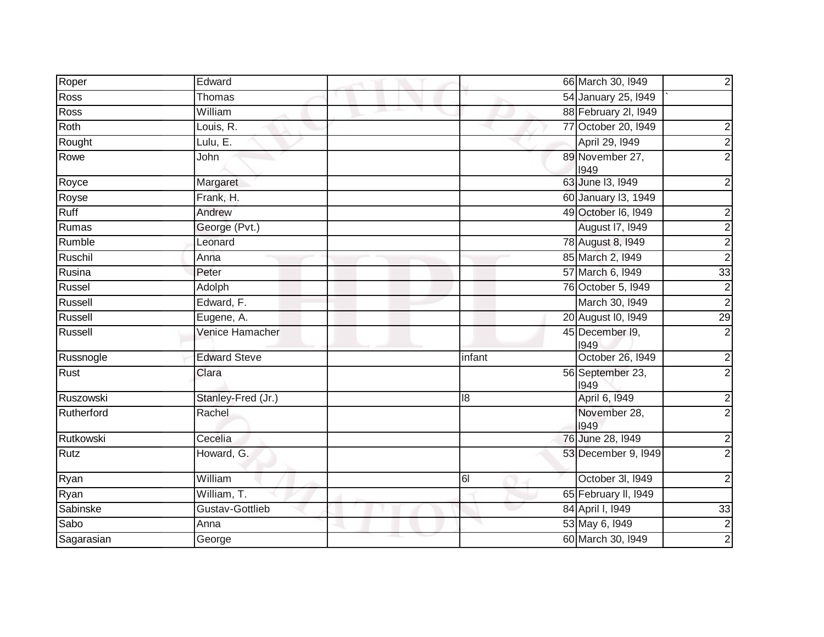| Roper      | Edward              |        | 66 March 30, 1949        | $\overline{2}$          |
|------------|---------------------|--------|--------------------------|-------------------------|
| Ross       | <b>Thomas</b>       |        | 54 January 25, 1949      |                         |
| Ross       | William             |        | 88 February 2I, 1949     |                         |
| Roth       | Louis, R.           |        | 77 October 20, 1949      | $\overline{\mathbf{c}}$ |
| Rought     | Lulu, $E$ .         |        | April 29, 1949           | $\overline{c}$          |
| Rowe       | John                |        | 89 November 27,<br>1949  | $\overline{2}$          |
| Royce      | Margaret            |        | 63 June 13, 1949         | $\overline{c}$          |
| Royse      | Frank, H.           |        | 60 January 13, 1949      |                         |
| Ruff       | Andrew              |        | 49 October 16, 1949      | $\overline{\mathbf{c}}$ |
| Rumas      | George (Pvt.)       |        | <b>August 17, 1949</b>   | $\overline{2}$          |
| Rumble     | Leonard             |        | 78 August 8, 1949        | $\overline{2}$          |
| Ruschil    | Anna                |        | 85 March 2, 1949         | $\overline{2}$          |
| Rusina     | Peter               |        | 57 March 6, 1949         | $\overline{33}$         |
| Russel     | Adolph              |        | 76 October 5, 1949       | $\overline{2}$          |
| Russell    | Edward, F.          |        | March 30, 1949           | $\overline{2}$          |
| Russell    | Eugene, A.          |        | 20 August I0, 1949       | 29                      |
| Russell    | Venice Hamacher     |        | 45 December I9,<br>1949  | $\overline{2}$          |
| Russnogle  | <b>Edward Steve</b> | infant | October 26, 1949         | $\overline{c}$          |
| Rust       | Clara               |        | 56 September 23,<br>1949 | $\overline{2}$          |
| Ruszowski  | Stanley-Fred (Jr.)  | 8      | April 6, 1949            | $\overline{\mathbf{c}}$ |
| Rutherford | Rachel              |        | November 28,<br>1949     | $\overline{2}$          |
| Rutkowski  | Cecelia             |        | 76 June 28, 1949         | $\boldsymbol{2}$        |
| Rutz       | Howard, G.          |        | 53 December 9, 1949      | $\overline{2}$          |
| Ryan       | William             | 61     | October 3I, 1949         | $\overline{2}$          |
| Ryan       | William, T.         |        | 65 February II, I949     |                         |
| Sabinske   | Gustav-Gottlieb     |        | 84 April I, 1949         | 33                      |
| Sabo       | Anna                |        | 53 May 6, 1949           | $\frac{2}{2}$           |
| Sagarasian | George              |        | 60 March 30, 1949        |                         |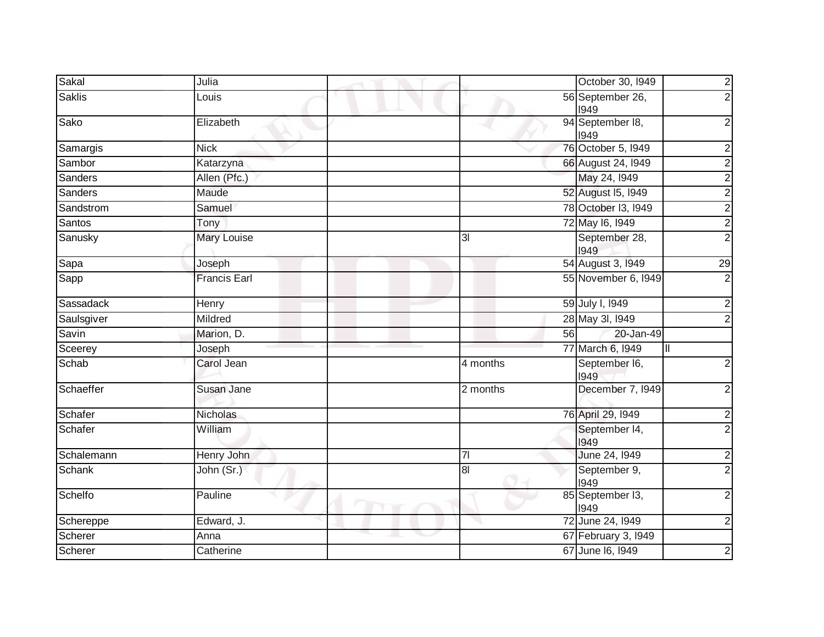| Sakal         | Julia               | $\overline{2}$<br>October 30, 1949                       |
|---------------|---------------------|----------------------------------------------------------|
| <b>Saklis</b> | Louis               | $\overline{2}$<br>56 September 26,<br>1949               |
| Sako          | Elizabeth           | $\overline{2}$<br>94 September 18,<br>1949               |
| Samargis      | <b>Nick</b>         | 76 October 5, 1949<br>$\overline{2}$                     |
| Sambor        | Katarzyna           | 66 August 24, 1949                                       |
| Sanders       | Allen (Pfc.)        | $\frac{2}{2}$<br>May 24, 1949                            |
| Sanders       | Maude               | 52 August 15, 1949                                       |
| Sandstrom     | Samuel              | $\frac{2}{2}$<br>78 October 13, 1949                     |
| Santos        | Tony                | $\frac{2}{2}$<br>72 May 16, 1949                         |
| Sanusky       | <b>Mary Louise</b>  | September 28,<br>3 <sub>l</sub><br>1949                  |
| Sapa          | Joseph              | 54 August 3, 1949<br>29                                  |
| Sapp          | <b>Francis Earl</b> | $\overline{2}$<br>55 November 6, 1949                    |
| Sassadack     | Henry               | 59 July I, 1949<br>$\mathbf{2}$                          |
| Saulsgiver    | Mildred             | $\overline{2}$<br>28 May 3I, 1949                        |
| Savin         | Marion, D.          | 20-Jan-49<br>56                                          |
| Sceerey       | Joseph              | 77 March 6, 1949<br>Ш                                    |
| Schab         | Carol Jean          | $\overline{2}$<br>4 months<br>September I6,<br>1949      |
| Schaeffer     | Susan Jane          | December 7, 1949<br>$\mathbf{2}$<br>2 months             |
| Schafer       | <b>Nicholas</b>     | 76 April 29, 1949<br>$\overline{2}$                      |
| Schafer       | William             | $\overline{2}$<br>September 14,<br>1949                  |
| Schalemann    | Henry John          | June 24, 1949<br>$\overline{7}$<br>$\mathbf{2}$          |
| <b>Schank</b> | John (Sr.)          | $\overline{2}$<br>September 9,<br>8 <sub>l</sub><br>1949 |
| Schelfo       | Pauline             | 85 September 13,<br>$\overline{2}$<br>1949               |
| Schereppe     | Edward, J.          | 72 June 24, 1949<br>$\mathbf{2}$                         |
| Scherer       | Anna                | 67 February 3, 1949                                      |
| Scherer       | Catherine           | 67 June 16, 1949<br>$\overline{\mathbf{c}}$              |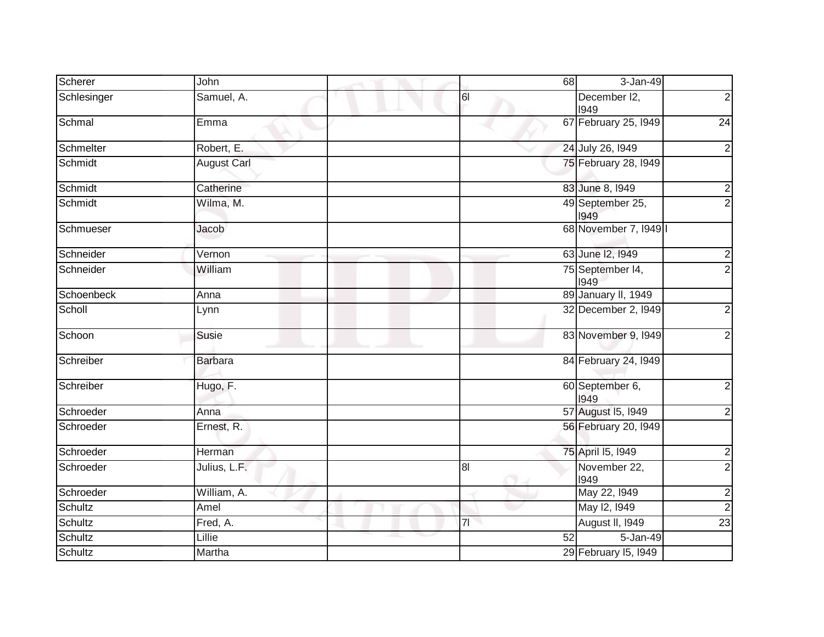| Scherer     | John               | 68              | 3-Jan-49                 |                |
|-------------|--------------------|-----------------|--------------------------|----------------|
| Schlesinger | Samuel, A.         | 61              | December I2,<br>1949     | $\overline{2}$ |
| Schmal      | Emma               |                 | 67 February 25, 1949     | 24             |
| Schmelter   | Robert, E.         |                 | 24 July 26, 1949         | $\overline{2}$ |
| Schmidt     | <b>August Carl</b> |                 | 75 February 28, I949     |                |
| Schmidt     | Catherine          |                 | 83 June 8, 1949          | $\overline{2}$ |
| Schmidt     | Wilma, M.          |                 | 49 September 25,<br>1949 | $\overline{2}$ |
| Schmueser   | Jacob              |                 | 68 November 7, 1949      |                |
| Schneider   | Vernon             |                 | 63 June 12, 1949         | $\overline{c}$ |
| Schneider   | William            |                 | 75 September 14,<br>1949 | $\overline{2}$ |
| Schoenbeck  | Anna               |                 | 89 January II, 1949      |                |
| Scholl      | Lynn               |                 | 32 December 2, 1949      | $2 \vert$      |
| Schoon      | Susie              |                 | 83 November 9, 1949      | $\overline{2}$ |
| Schreiber   | <b>Barbara</b>     |                 | 84 February 24, 1949     |                |
| Schreiber   | Hugo, F.           |                 | 60 September 6,<br>1949  | $\mathbf{2}$   |
| Schroeder   | Anna               |                 | 57 August 15, 1949       | $\mathbf{2}$   |
| Schroeder   | Ernest, R.         |                 | 56 February 20, 1949     |                |
| Schroeder   | Herman             |                 | 75 April 15, 1949        | $\mathbf{2}$   |
| Schroeder   | Julius, L.F.       | 8 <sub>l</sub>  | November 22,<br>1949     | $\overline{2}$ |
| Schroeder   | William, A.        |                 | May 22, 1949             | $\overline{2}$ |
| Schultz     | Amel               |                 | May 12, 1949             | $\overline{2}$ |
| Schultz     | Fred, A.           | 71              | August II, 1949          | 23             |
| Schultz     | Lillie             | $\overline{52}$ | $5 - Jan-49$             |                |
| Schultz     | Martha             |                 | 29 February 15, 1949     |                |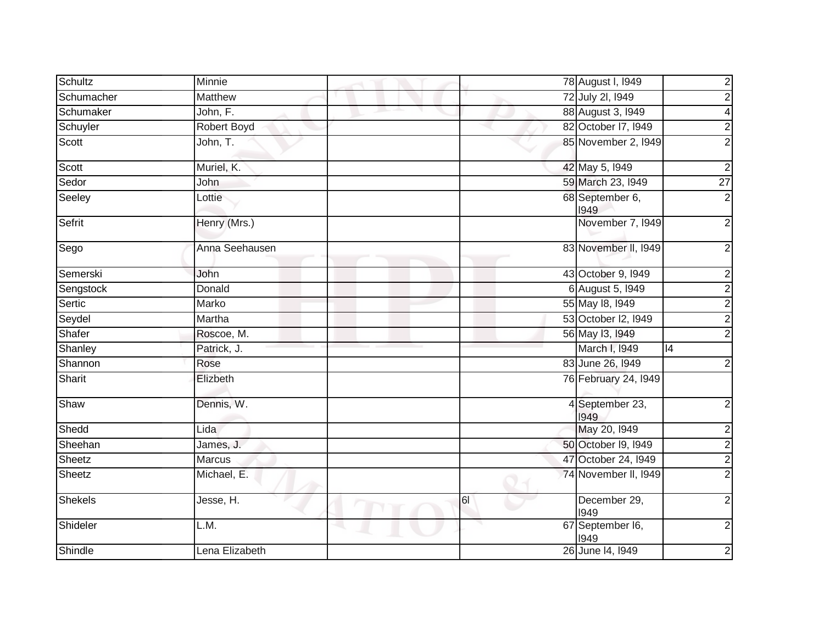| Schultz        | <b>Minnie</b>      |    | 78 August I, 1949        | $\overline{2}$          |
|----------------|--------------------|----|--------------------------|-------------------------|
| Schumacher     | Matthew            |    | 72 July 2I, 1949         | $\overline{c}$          |
| Schumaker      | John, F.           |    | 88 August 3, 1949        | $\overline{\mathbf{4}}$ |
| Schuyler       | <b>Robert Boyd</b> |    | 82 October 17, 1949      | $\overline{2}$          |
| Scott          | John, T.           |    | 85 November 2, 1949      | $\overline{2}$          |
| Scott          | Muriel, K.         |    | 42 May 5, 1949           | $\overline{2}$          |
| Sedor          | John               |    | 59 March 23, 1949        | $\overline{27}$         |
| Seeley         | Lottie             |    | 68 September 6,<br>1949  | $\overline{2}$          |
| Sefrit         | Henry (Mrs.)       |    | November 7, 1949         | $\overline{2}$          |
| Sego           | Anna Seehausen     |    | 83 November II, 1949     | $\overline{2}$          |
| Semerski       | John               |    | 43 October 9, 1949       | $\overline{2}$          |
| Sengstock      | Donald             |    | 6 August 5, 1949         | $\overline{2}$          |
| Sertic         | Marko              |    | 55 May 18, 1949          | $\overline{2}$          |
| Seydel         | Martha             |    | 53 October I2, I949      | $\overline{2}$          |
| Shafer         | Roscoe, M.         |    | 56 May 13, 1949          | $\overline{2}$          |
| Shanley        | Patrick, J.        |    | March I, 1949            | 4                       |
| Shannon        | Rose               |    | 83 June 26, 1949         | $\overline{2}$          |
| Sharit         | Elizbeth           |    | 76 February 24, 1949     |                         |
| Shaw           | Dennis, W.         |    | 4 September 23,<br>1949  | $\overline{2}$          |
| Shedd          | Lida               |    | May 20, 1949             | $\overline{2}$          |
| Sheehan        | James, J.          |    | 50 October 19, 1949      |                         |
| Sheetz         | <b>Marcus</b>      |    | 47 October 24, 1949      | $\frac{2}{2}$           |
| Sheetz         | Michael, E.        |    | 74 November II, 1949     | $\overline{2}$          |
| <b>Shekels</b> | Jesse, H.          | 61 | December 29,<br>1949     | $\overline{2}$          |
| Shideler       | L.M.<br>a.         |    | 67 September I6,<br>1949 | $\overline{c}$          |
| Shindle        | Lena Elizabeth     |    | 26 June 14, 1949         | $\boldsymbol{2}$        |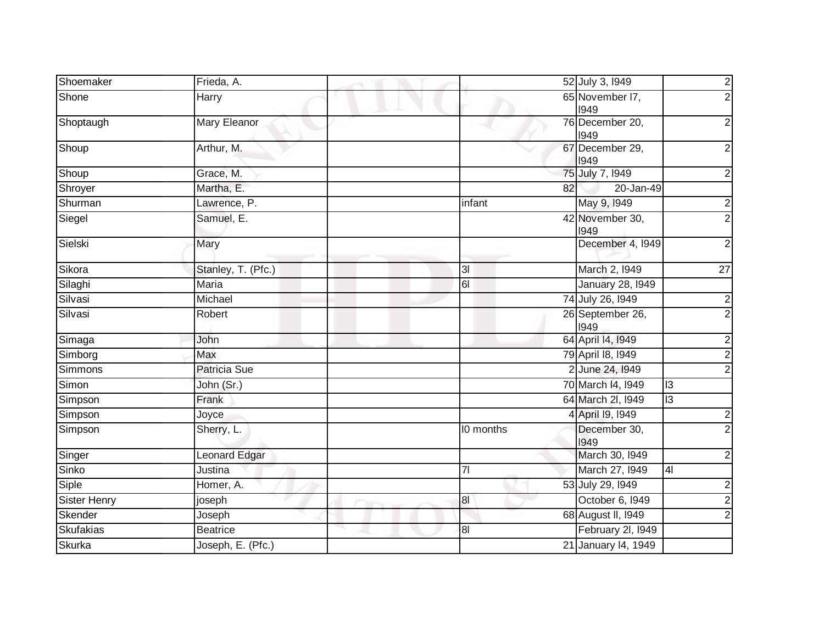| Shoemaker           | Frieda, A.           | 52 July 3, 1949<br>$\overline{2}$                   |
|---------------------|----------------------|-----------------------------------------------------|
| Shone               | Harry                | 65 November I7,<br>$\overline{2}$<br>1949           |
| Shoptaugh           | <b>Mary Eleanor</b>  | 76 December 20,<br>2<br>1949                        |
| Shoup               | Arthur, M.           | 67 December 29,<br>2<br>1949                        |
| Shoup               | Grace, M.            | 75 July 7, 1949<br>$\overline{2}$                   |
| Shroyer             | Martha, E.           | 82<br>20-Jan-49                                     |
| Shurman             | Lawrence, P.         | May 9, 1949<br>infant<br>$\overline{2}$             |
| Siegel              | Samuel, E.           | 42 November 30,<br>$\overline{2}$<br>1949           |
| Sielski             | Mary                 | December 4, 1949<br>$\overline{2}$                  |
| Sikora              | Stanley, T. (Pfc.)   | March 2, 1949<br>3I<br>27                           |
| Silaghi             | <b>Maria</b>         | 61<br><b>January 28, 1949</b>                       |
| Silvasi             | Michael              | 74 July 26, 1949<br>$\overline{c}$                  |
| Silvasi             | Robert               | 26 September 26,<br>$\overline{2}$<br>1949          |
| Simaga              | John                 | 64 April 14, 1949<br>$\overline{2}$                 |
| Simborg             | Max                  | 79 April 18, 1949<br>$\overline{2}$                 |
| <b>Simmons</b>      | Patricia Sue         | 2 June 24, 1949<br>$\overline{2}$                   |
| Simon               | John (Sr.)           | 70 March 14, 1949<br> 3                             |
| Simpson             | Frank                | 64 March 2I, 1949<br>$\overline{3}$                 |
| Simpson             | Joyce                | 4 April 19, 1949<br>$\overline{2}$                  |
| Simpson             | Sherry, L.           | December 30,<br>I0 months<br>$\overline{2}$<br>1949 |
| Singer              | <b>Leonard Edgar</b> | March 30, 1949<br>$\overline{c}$                    |
| Sinko               | Justina              | March 27, 1949<br> 4 <br>7 <sup>1</sup>             |
| Siple               | Homer, A.            | 53 July 29, 1949<br>$\overline{c}$                  |
| <b>Sister Henry</b> | joseph               | October 6, 1949<br>$\overline{8}$<br>$\overline{c}$ |
| <b>Skender</b>      | Joseph               | 68 August II, 1949<br>2                             |
| <b>Skufakias</b>    | <b>Beatrice</b>      | February 2I, 1949<br>8 <sub>l</sub>                 |
| <b>Skurka</b>       | Joseph, E. (Pfc.)    | 21 January 14, 1949                                 |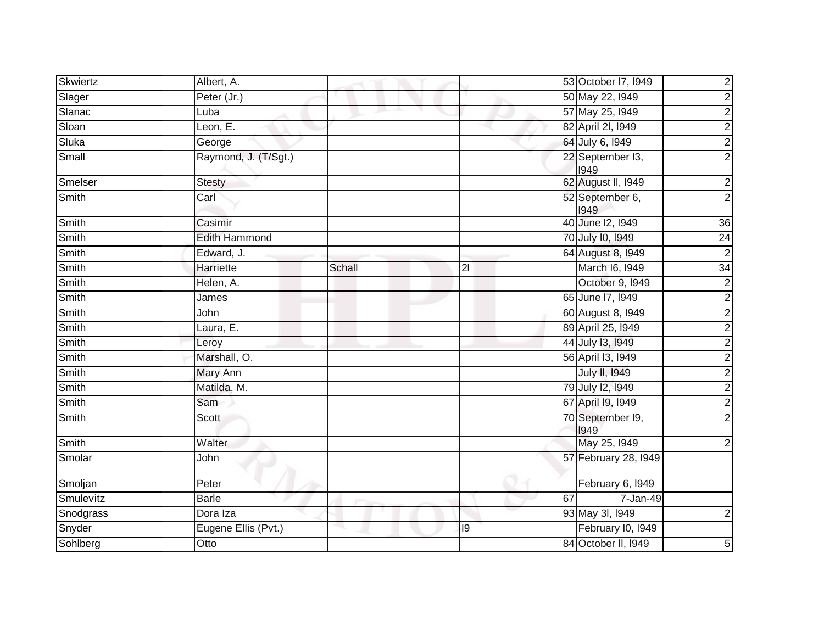| Skwiertz  | Albert, A.           |        |    |    | 53 October 17, 1949      | $\overline{\mathbf{c}}$ |
|-----------|----------------------|--------|----|----|--------------------------|-------------------------|
| Slager    | Peter (Jr.)          |        |    |    | 50 May 22, 1949          | $\overline{c}$          |
| Slanac    | Luba                 |        |    |    | 57 May 25, 1949          | $\overline{2}$          |
| Sloan     | Leon, $E$ .          |        |    |    | 82 April 2I, 1949        |                         |
| Sluka     | George               |        |    |    | 64 July 6, 1949          | $\frac{2}{2}$           |
| Small     | Raymond, J. (T/Sgt.) |        |    |    | 22 September I3,<br>1949 | $\overline{2}$          |
| Smelser   | <b>Stesty</b>        |        |    |    | 62 August II, 1949       | $\frac{2}{2}$           |
| Smith     | Carl                 |        |    |    | 52 September 6,<br>1949  |                         |
| Smith     | Casimir              |        |    |    | 40 June 12, 1949         | 36                      |
| Smith     | <b>Edith Hammond</b> |        |    |    | 70 July 10, 1949         | 24                      |
| Smith     | Edward, J.           |        |    |    | 64 August 8, 1949        | $\overline{2}$          |
| Smith     | Harriette            | Schall | 21 |    | March 16, 1949           | 34                      |
| Smith     | Helen, A.            |        |    |    | October 9, 1949          | $\overline{2}$          |
| Smith     | James                |        |    |    | 65 June 17, 1949         | $\overline{2}$          |
| Smith     | John                 |        |    |    | 60 August 8, 1949        | $\frac{2}{2}$           |
| Smith     | Laura, E.            |        |    |    | 89 April 25, 1949        |                         |
| Smith     | Leroy                |        |    |    | 44 July 13, 1949         | $\overline{2}$          |
| Smith     | Marshall, O.         |        |    |    | 56 April 13, 1949        | $\frac{2}{2}$           |
| Smith     | <b>Mary Ann</b>      |        |    |    | <b>July II, 1949</b>     |                         |
| Smith     | Matilda, M.          |        |    |    | 79 July 12, 1949         |                         |
| Smith     | Sam                  |        |    |    | 67 April 19, 1949        | $\overline{2}$          |
| Smith     | <b>Scott</b>         |        |    |    | 70 September I9,<br>1949 | $\overline{2}$          |
| Smith     | Walter               |        |    |    | May 25, 1949             | $\overline{2}$          |
| Smolar    | John                 |        |    |    | 57 February 28, 1949     |                         |
| Smoljan   | Peter                |        |    |    | February 6, 1949         |                         |
| Smulevitz | <b>Barle</b>         |        |    | 67 | 7-Jan-49                 |                         |
| Snodgrass | Dora Iza             |        |    |    | 93 May 3I, 1949          | $\overline{\mathbf{c}}$ |
| Snyder    | Eugene Ellis (Pvt.)  |        | 19 |    | February I0, I949        |                         |
| Sohlberg  | Otto                 |        |    |    | 84 October II, 1949      | 5                       |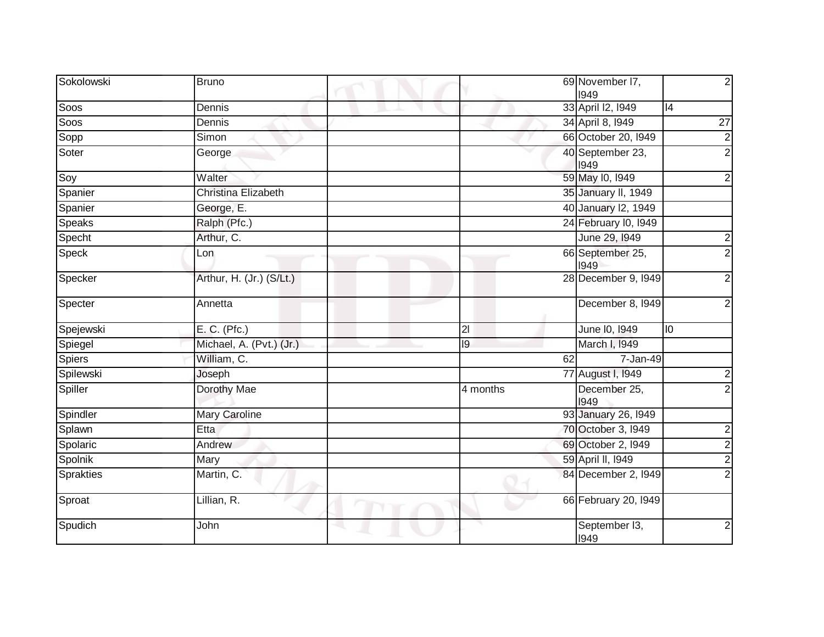| Sokolowski       | <b>Bruno</b>               |                 |    | 69 November I7,<br>1949  |                 | $\overline{2}$  |
|------------------|----------------------------|-----------------|----|--------------------------|-----------------|-----------------|
| Soos             | Dennis                     |                 |    | 33 April 12, 1949        | 4               |                 |
| Soos             | Dennis                     |                 |    | 34 April 8, 1949         |                 | $\overline{27}$ |
| Sopp             | Simon                      |                 |    | 66 October 20, 1949      |                 |                 |
| Soter            | George                     |                 |    | 40 September 23,<br>1949 |                 | $\frac{1}{2}$   |
| Soy              | Walter                     |                 |    | 59 May 10, 1949          |                 | $\overline{2}$  |
| Spanier          | <b>Christina Elizabeth</b> |                 |    | 35 January II, 1949      |                 |                 |
| Spanier          | George, E.                 |                 |    | 40 January 12, 1949      |                 |                 |
| Speaks           | Ralph (Pfc.)               |                 |    | 24 February I0, 1949     |                 |                 |
| Specht           | Arthur, C.                 |                 |    | June 29, 1949            |                 | $\mathbf{2}$    |
| Speck            | Lon                        |                 |    | 66 September 25,<br>1949 |                 | $\overline{2}$  |
| Specker          | Arthur, H. (Jr.) (S/Lt.)   |                 |    | 28 December 9, 1949      |                 | $\overline{2}$  |
| Specter          | Annetta                    |                 |    | December 8, 1949         |                 | $\overline{2}$  |
| Spejewski        | E. C. (Pfc.)               | 21              |    | June 10, 1949            | $\overline{10}$ |                 |
| Spiegel          | Michael, A. (Pvt.) (Jr.)   | $\overline{19}$ |    | March I, 1949            |                 |                 |
| Spiers           | William, C.                |                 | 62 | 7-Jan-49                 |                 |                 |
| Spilewski        | Joseph                     |                 |    | 77 August I, 1949        |                 | $\overline{c}$  |
| Spiller          | Dorothy Mae                | 4 months        |    | December 25,<br>1949     |                 | $\overline{2}$  |
| Spindler         | <b>Mary Caroline</b>       |                 |    | 93 January 26, 1949      |                 |                 |
| Splawn           | Etta                       |                 |    | 70 October 3, 1949       |                 | $\overline{a}$  |
| Spolaric         | Andrew                     |                 |    | 69 October 2, 1949       |                 | $\overline{2}$  |
| Spolnik          | Mary                       |                 |    | 59 April II, 1949        |                 | $\overline{2}$  |
| <b>Sprakties</b> | Martin, C.                 |                 |    | 84 December 2, 1949      |                 | $\overline{2}$  |
| Sproat           | Lillian, R.                |                 |    | 66 February 20, 1949     |                 |                 |
| Spudich          | John                       |                 |    | September I3,<br>1949    |                 | $\overline{2}$  |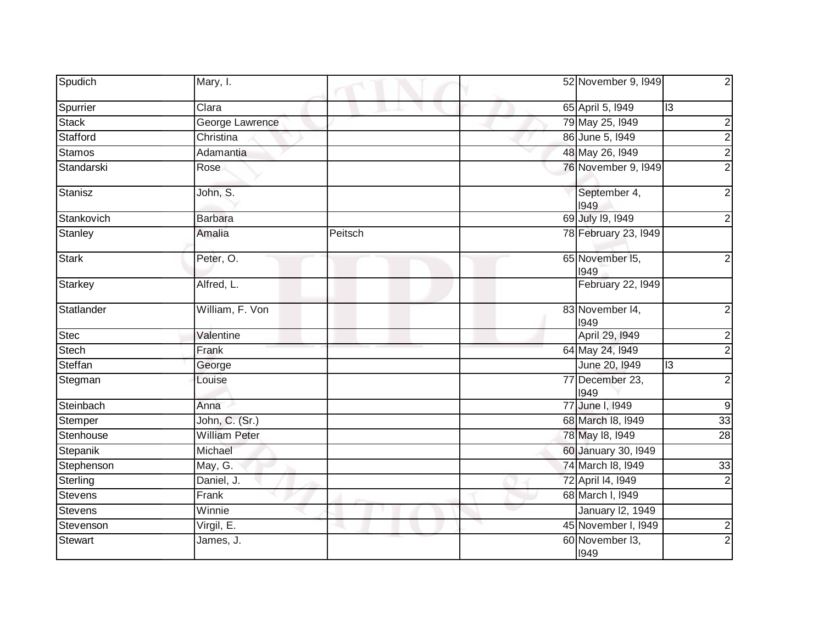| Spudich        | Mary, I.             |         | 52 November 9, 1949     |                         |
|----------------|----------------------|---------|-------------------------|-------------------------|
| Spurrier       | Clara                |         | 65 April 5, 1949        | $\overline{c}$          |
| <b>Stack</b>   | George Lawrence      |         | 79 May 25, 1949         | 2                       |
| Stafford       | Christina            |         | 86 June 5, 1949         | 2                       |
| <b>Stamos</b>  | Adamantia            |         | 48 May 26, 1949         | 2                       |
| Standarski     | Rose                 |         | 76 November 9, 1949     |                         |
| Stanisz        | John, S.             |         | September 4,<br>1949    |                         |
| Stankovich     | <b>Barbara</b>       |         | 69 July 19, 1949        |                         |
| Stanley        | Amalia               | Peitsch | 78 February 23, I949    |                         |
| Stark          | Peter, O.            |         | 65 November 15,<br>1949 |                         |
| Starkey        | Alfred, L.           |         | February 22, 1949       |                         |
| Statlander     | William, F. Von      |         | 83 November 14,<br>1949 | 2                       |
| <b>Stec</b>    | Valentine            |         | April 29, 1949          | 2                       |
| Stech          | Frank                |         | 64 May 24, 1949         |                         |
| Steffan        | George               |         | June 20, 1949           | $\overline{3}$          |
| Stegman        | Louise               |         | 77 December 23,<br>1949 | 2                       |
| Steinbach      | Anna                 |         | 77 June I, 1949         | 9                       |
| Stemper        | John, C. (Sr.)       |         | 68 March 18, 1949       | 33                      |
| Stenhouse      | <b>William Peter</b> |         | 78 May 18, 1949         | $\overline{28}$         |
| Stepanik       | Michael              |         | 60 January 30, 1949     |                         |
| Stephenson     | May, G.              |         | 74 March 18, 1949       | 33                      |
| Sterling       | Daniel, J.           |         | 72 April 14, 1949       |                         |
| <b>Stevens</b> | Frank                |         | 68 March I, 1949        |                         |
| <b>Stevens</b> | Winnie               |         | January 12, 1949        |                         |
| Stevenson      | Virgil, E.           |         | 45 November I, 1949     | $\overline{\mathbf{c}}$ |
| Stewart        | James, J.            |         | 60 November 13,<br>1949 | 2                       |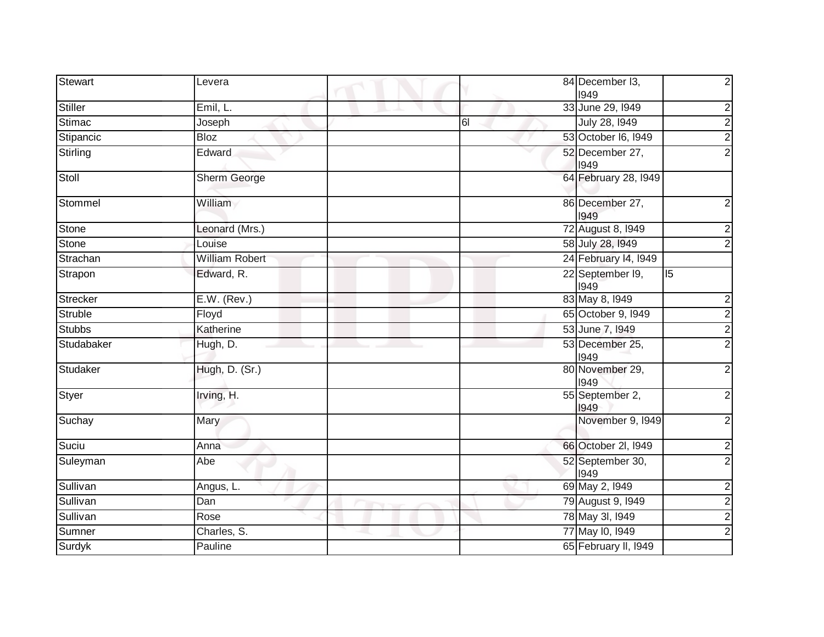| Stewart         | Levera                |    | 84 December I3,<br>1949  |    | $\overline{c}$          |
|-----------------|-----------------------|----|--------------------------|----|-------------------------|
| <b>Stiller</b>  | Emil, L.              |    | 33 June 29, 1949         |    | $\boldsymbol{2}$        |
| <b>Stimac</b>   | Joseph                | 61 | July 28, 1949            |    | $\overline{2}$          |
| Stipancic       | <b>Bloz</b>           |    | 53 October 16, 1949      |    | $\overline{2}$          |
| Stirling        | Edward                |    | 52 December 27,<br>1949  |    | $\overline{2}$          |
| Stoll           | Sherm George          |    | 64 February 28, 1949     |    |                         |
| Stommel         | William               |    | 86 December 27,<br>1949  |    | $\overline{c}$          |
| Stone           | Leonard (Mrs.)        |    | 72 August 8, 1949        |    | $\overline{c}$          |
| Stone           | Louise                |    | 58 July 28, 1949         |    | $\overline{2}$          |
| Strachan        | <b>William Robert</b> |    | 24 February 14, 1949     |    |                         |
| Strapon         | Edward, R.            |    | 22 September 19,<br>1949 | 15 |                         |
| <b>Strecker</b> | E.W. (Rev.)           |    | 83 May 8, 1949           |    | $\overline{c}$          |
| Struble         | Floyd                 |    | 65 October 9, 1949       |    | $\overline{2}$          |
| <b>Stubbs</b>   | Katherine             |    | 53 June 7, 1949          |    | $\overline{c}$          |
| Studabaker      | Hugh, D.              |    | 53 December 25,<br>1949  |    | $\overline{2}$          |
| Studaker        | Hugh, D. (Sr.)        |    | 80 November 29,<br>1949  |    | $\overline{a}$          |
| <b>Styer</b>    | Irving, H.            |    | 55 September 2,<br>1949  |    | $\overline{2}$          |
| Suchay          | Mary                  |    | November 9, 1949         |    | $\overline{2}$          |
| Suciu           | Anna                  |    | 66 October 2l, I949      |    | $\boldsymbol{2}$        |
| Suleyman        | Abe                   |    | 52 September 30,<br>1949 |    | $\overline{2}$          |
| Sullivan        | Angus, L.             |    | 69 May 2, 1949           |    | $\overline{\mathbf{c}}$ |
| Sullivan        | Dan                   |    | 79 August 9, 1949        |    | $\overline{2}$          |
| Sullivan        | Rose                  |    | 78 May 3I, 1949          |    | $\overline{2}$          |
| Sumner          | Charles, S.           |    | 77 May 10, 1949          |    | $\overline{2}$          |
| Surdyk          | Pauline               |    | 65 February II, 1949     |    |                         |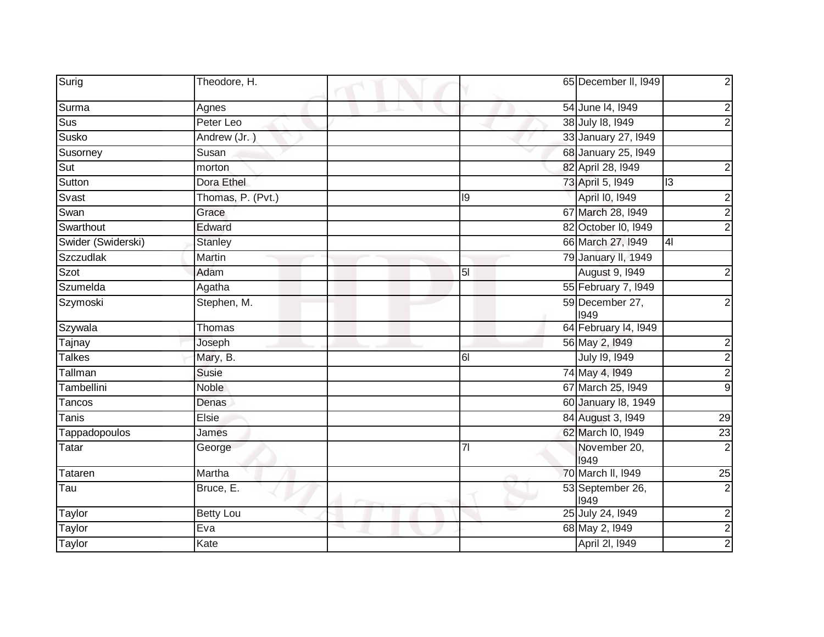| Surig                   | Theodore, H.      |                | 65 December II, I949     | $\overline{2}$          |
|-------------------------|-------------------|----------------|--------------------------|-------------------------|
| Surma                   | Agnes             |                | 54 June 14, 1949         | $\overline{\mathbf{c}}$ |
| $\overline{\text{Sus}}$ | Peter Leo         |                | 38 July 18, 1949         | $\overline{2}$          |
| Susko                   | Andrew (Jr.)      |                | 33 January 27, 1949      |                         |
| Susorney                | Susan             |                | 68 January 25, 1949      |                         |
| Sut                     | morton            |                | 82 April 28, 1949        | $\overline{\mathbf{c}}$ |
| Sutton                  | Dora Ethel        |                | 73 April 5, 1949         | I <sub>3</sub>          |
| Svast                   | Thomas, P. (Pvt.) | 19             | April I0, 1949           | $\overline{2}$          |
| Swan                    | Grace             |                | 67 March 28, 1949        | $\overline{2}$          |
| Swarthout               | Edward            |                | 82 October I0, 1949      | $\overline{2}$          |
| Swider (Swiderski)      | <b>Stanley</b>    |                | 66 March 27, 1949        | 4 <sub>l</sub>          |
| Szczudlak               | Martin            |                | 79 January II, 1949      |                         |
| Szot                    | Adam              | $\overline{5}$ | <b>August 9, 1949</b>    | $\overline{\mathbf{c}}$ |
| Szumelda                | Agatha            |                | 55 February 7, 1949      |                         |
| Szymoski                | Stephen, M.       |                | 59 December 27,<br>1949  | $\overline{2}$          |
| Szywala                 | Thomas            |                | 64 February 14, 1949     |                         |
| Tajnay                  | Joseph            |                | 56 May 2, 1949           | $\overline{\mathbf{c}}$ |
| Talkes                  | Mary, B.          | 61             | July 19, 1949            | $\overline{2}$          |
| Tallman                 | Susie             |                | 74 May 4, 1949           | $\overline{2}$          |
| Tambellini              | <b>Noble</b>      |                | 67 March 25, 1949        | $\overline{9}$          |
| Tancos                  | Denas             |                | 60 January 18, 1949      |                         |
| Tanis                   | Elsie             |                | 84 August 3, 1949        | $\overline{29}$         |
| Tappadopoulos           | James             |                | 62 March I0, 1949        | $\overline{23}$         |
| Tatar                   | George            | 7 <sup>1</sup> | November 20,<br>1949     | $\overline{2}$          |
| Tataren                 | Martha            |                | 70 March II, 1949        | $\overline{25}$         |
| Tau                     | Bruce, E.         |                | 53 September 26,<br>1949 | $\overline{2}$          |
| Taylor                  | <b>Betty Lou</b>  |                | 25 July 24, 1949         | $\overline{2}$          |
| <b>Taylor</b>           | Eva               |                | 68 May 2, 1949           | $\frac{2}{2}$           |
| Taylor                  | Kate              |                | April 2I, 1949           |                         |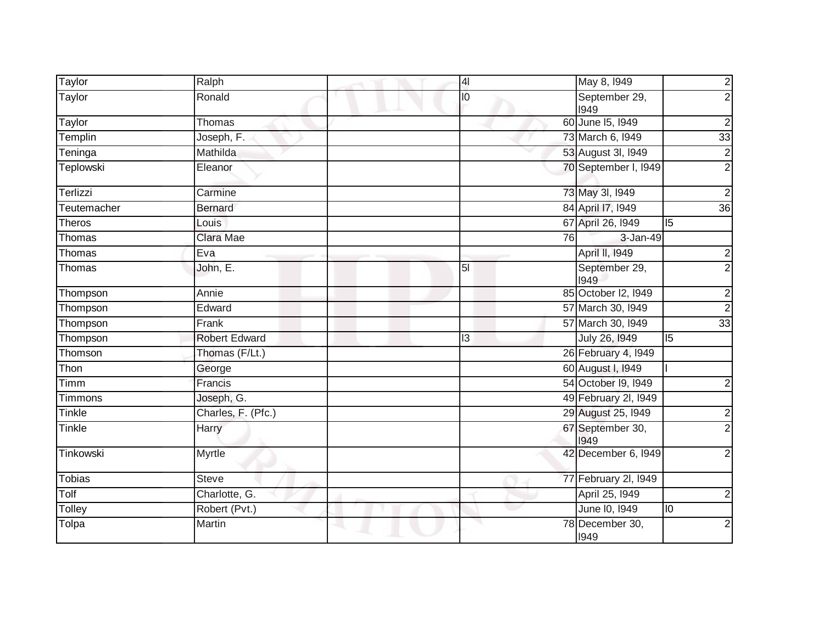| <b>Taylor</b> | Ralph                | $\overline{4}$ |    | May 8, 1949              |                 | $\overline{c}$          |
|---------------|----------------------|----------------|----|--------------------------|-----------------|-------------------------|
| <b>Taylor</b> | Ronald               | I <sub>O</sub> |    | September 29,<br>1949    |                 | $\overline{2}$          |
| <b>Taylor</b> | Thomas               |                |    | 60 June 15, 1949         |                 | $\boldsymbol{2}$        |
| Templin       | Joseph, F.           |                |    | 73 March 6, 1949         |                 | 33                      |
| Teninga       | Mathilda             |                |    | 53 August 3I, 1949       |                 | $\overline{2}$          |
| Teplowski     | Eleanor              |                |    | 70 September I, I949     |                 | $\overline{2}$          |
| Terlizzi      | Carmine              |                |    | 73 May 3I, 1949          |                 | $\overline{2}$          |
| Teutemacher   | <b>Bernard</b>       |                |    | 84 April 17, 1949        |                 | 36                      |
| Theros        | Louis                |                |    | 67 April 26, 1949        | $\overline{5}$  |                         |
| Thomas        | Clara Mae            |                | 76 | 3-Jan-49                 |                 |                         |
| Thomas        | Eva                  |                |    | April II, 1949           |                 | ט ט                     |
| Thomas        | John, E.             | 5 <sub>l</sub> |    | September 29,<br>1949    |                 |                         |
| Thompson      | Annie                |                |    | 85 October I2, 1949      |                 | $\overline{2}$          |
| Thompson      | Edward               |                |    | 57 March 30, 1949        |                 | $\overline{2}$          |
| Thompson      | Frank                |                |    | 57 March 30, 1949        |                 | 33                      |
| Thompson      | <b>Robert Edward</b> | 3              |    | July 26, 1949            | 5               |                         |
| Thomson       | Thomas (F/Lt.)       |                |    | 26 February 4, 1949      |                 |                         |
| Thon          | George               |                |    | 60 August I, 1949        |                 |                         |
| Timm          | Francis              |                |    | 54 October 19, 1949      |                 | $\overline{c}$          |
| Timmons       | Joseph, G.           |                |    | 49 February 2I, I949     |                 |                         |
| Tinkle        | Charles, F. (Pfc.)   |                |    | 29 August 25, 1949       |                 | $\overline{\mathbf{c}}$ |
| Tinkle        | Harry                |                |    | 67 September 30,<br>1949 |                 | $\overline{2}$          |
| Tinkowski     | Myrtle               |                |    | 42 December 6, 1949      |                 | $\overline{2}$          |
| <b>Tobias</b> | <b>Steve</b>         |                |    | 77 February 2I, 1949     |                 |                         |
| Tolf          | Charlotte, G.        |                |    | April 25, 1949           |                 | $\overline{\mathbf{c}}$ |
| Tolley        | Robert (Pvt.)        |                |    | June 10, 1949            | $\overline{10}$ |                         |
| Tolpa         | Martin               |                |    | 78 December 30,<br>1949  |                 | $\overline{2}$          |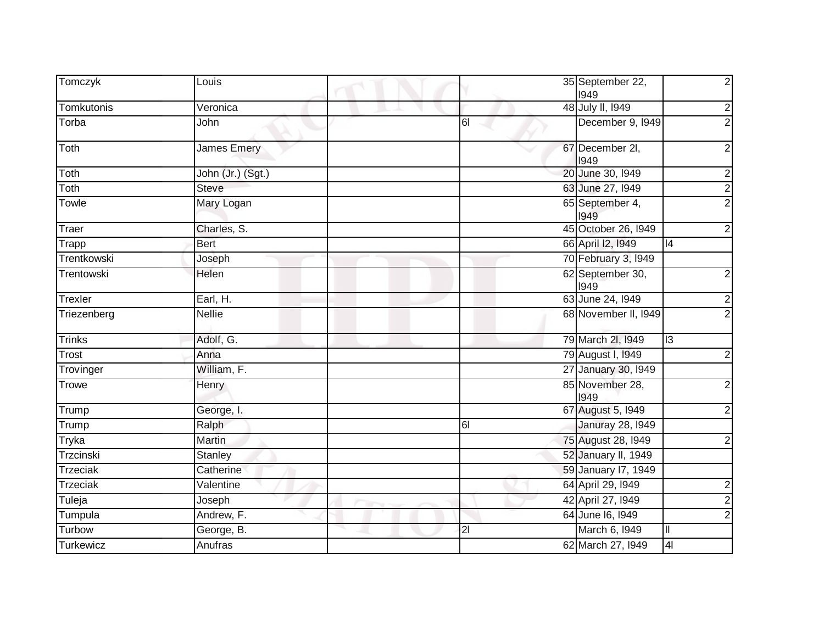| Tomczyk         | Louis              |                | 35 September 22,<br>1949 | $\overline{c}$          |
|-----------------|--------------------|----------------|--------------------------|-------------------------|
| Tomkutonis      | Veronica           |                | 48 July II, 1949         | $\overline{2}$          |
| Torba           | John               | $\overline{6}$ | December 9, 1949         | $\overline{2}$          |
| Toth            | <b>James Emery</b> |                | 67 December 2I,<br>1949  | $\overline{c}$          |
| Toth            | John (Jr.) (Sgt.)  |                | 20 June 30, 1949         |                         |
| Toth            | <b>Steve</b>       |                | 63 June 27, 1949         | $\frac{2}{2}$           |
| Towle           | Mary Logan         |                | 65 September 4,<br>1949  | $\overline{2}$          |
| Traer           | Charles, S.        |                | 45 October 26, 1949      | $\overline{a}$          |
| Trapp           | <b>Bert</b>        |                | 66 April 12, 1949        | 4                       |
| Trentkowski     | Joseph             |                | 70 February 3, 1949      |                         |
| Trentowski      | Helen              |                | 62 September 30,<br>1949 | $\overline{2}$          |
| Trexler         | Earl, H.           |                | 63 June 24, 1949         | $\overline{2}$          |
| Triezenberg     | <b>Nellie</b>      |                | 68 November II, 1949     | $\overline{2}$          |
| <b>Trinks</b>   | Adolf, G.          |                | 79 March 2I, 1949        | $\overline{3}$          |
| Trost           | Anna               |                | 79 August I, 1949        | $\overline{c}$          |
| Trovinger       | William, F.        |                | 27 January 30, 1949      |                         |
| Trowe           | Henry              |                | 85 November 28,<br>1949  | $\overline{c}$          |
| Trump           | George, I.         |                | 67 August 5, 1949        | $\overline{2}$          |
| Trump           | Ralph              | $\overline{6}$ | <b>Januray 28, 1949</b>  |                         |
| Tryka           | <b>Martin</b>      |                | 75 August 28, 1949       | $\boldsymbol{2}$        |
| Trzcinski       | Stanley            |                | 52 January II, 1949      |                         |
| Trzeciak        | Catherine          |                | 59 January 17, 1949      |                         |
| <b>Trzeciak</b> | Valentine          |                | 64 April 29, 1949        | $\overline{\mathbf{c}}$ |
| Tuleja          | Joseph             |                | 42 April 27, 1949        | $\overline{2}$          |
| Tumpula         | Andrew, F.         |                | 64 June 16, 1949         | $\overline{c}$          |
| Turbow          | George, B.         | 21             | March 6, 1949            | Ш                       |
| Turkewicz       | Anufras            |                | 62 March 27, 1949        | 4                       |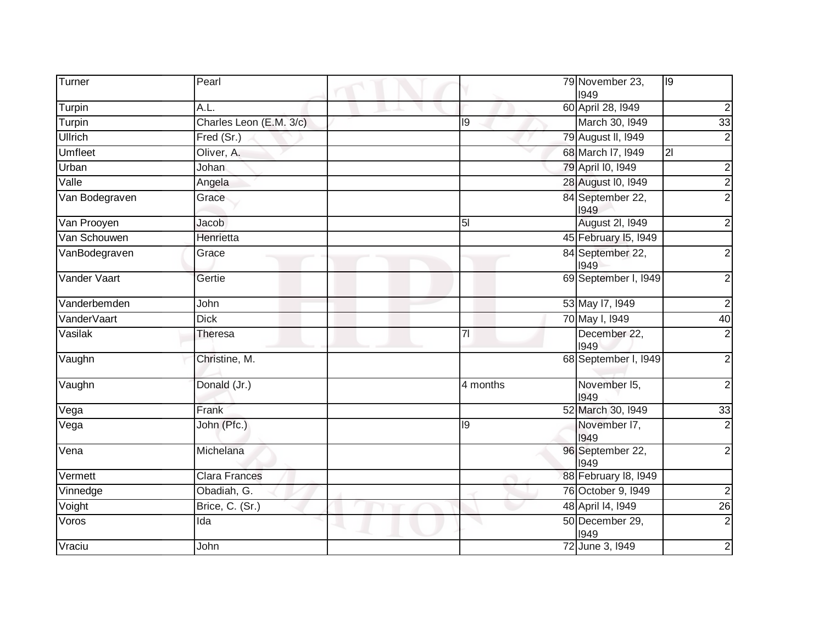| Turner         | Pearl                   |                | 79 November 23,<br>1949  | 19              |
|----------------|-------------------------|----------------|--------------------------|-----------------|
| Turpin         | A.L.                    |                | 60 April 28, 1949        | $\mathbf{2}$    |
| Turpin         | Charles Leon (E.M. 3/c) | 19             | March 30, 1949           | 33              |
| <b>Ullrich</b> | Fred (Sr.)              |                | 79 August II, 1949       | $\mathbf{2}$    |
| Umfleet        | Oliver, A.              |                | 68 March I7, 1949        | 21              |
| Urban          | <b>Johan</b>            |                | 79 April I0, 1949        | $\overline{2}$  |
| Valle          | Angela                  |                | 28 August I0, 1949       | $\overline{2}$  |
| Van Bodegraven | Grace                   |                | 84 September 22,<br>1949 | $\overline{2}$  |
| Van Prooyen    | Jacob                   | 5 <sub>l</sub> | <b>August 2I, I949</b>   | $\mathbf{2}$    |
| Van Schouwen   | Henrietta               |                | 45 February 15, 1949     |                 |
| VanBodegraven  | Grace                   |                | 84 September 22,<br>1949 | $\overline{2}$  |
| Vander Vaart   | Gertie                  |                | 69 September I, I949     | $\overline{2}$  |
| Vanderbemden   | John                    |                | 53 May 17, 1949          | $\mathbf{2}$    |
| VanderVaart    | <b>Dick</b>             |                | 70 May I, 1949           | 40              |
| Vasilak        | Theresa                 | 7 <sup>1</sup> | December 22,<br>1949     | $\overline{2}$  |
| Vaughn         | Christine, M.           |                | 68 September I, 1949     | $\overline{2}$  |
| Vaughn         | Donald (Jr.)            | 4 months       | November 15,<br>1949     | $\overline{2}$  |
| Vega           | Frank                   |                | 52 March 30, I949        | 33              |
| Vega           | John (Pfc.)             | 19             | November I7,<br>1949     | $\overline{2}$  |
| Vena           | Michelana               |                | 96 September 22,<br>1949 | $\overline{2}$  |
| Vermett        | <b>Clara Frances</b>    |                | 88 February 18, 1949     |                 |
| Vinnedge       | Obadiah, G.             |                | 76 October 9, 1949       | $\overline{2}$  |
| Voight         | Brice, C. (Sr.)         |                | 48 April 14, 1949        | $\overline{26}$ |
| Voros          | Ida                     |                | 50 December 29,<br>1949  | $\overline{2}$  |
| Vraciu         | John                    |                | 72 June 3, 1949          | $\mathbf{2}$    |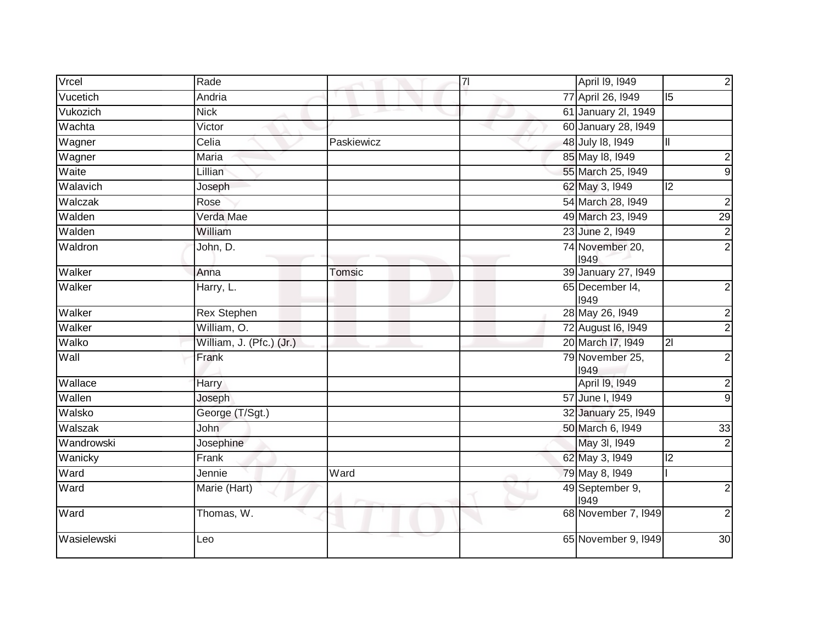| Vrcel       | Rade                     |            | $\overline{7}$ | April 19, 1949          | $\overline{2}$          |
|-------------|--------------------------|------------|----------------|-------------------------|-------------------------|
| Vucetich    | Andria                   |            |                | 77 April 26, 1949       | $\overline{5}$          |
| Vukozich    | <b>Nick</b>              |            |                | 61 January 2l, 1949     |                         |
| Wachta      | Victor                   |            |                | 60 January 28, 1949     |                         |
| Wagner      | Celia                    | Paskiewicz |                | 48 July 18, 1949        | $\mathbf{II}$           |
| Wagner      | Maria                    |            |                | 85 May 18, 1949         | $\overline{\mathbf{c}}$ |
| Waite       | Lillian                  |            |                | 55 March 25, 1949       | $\overline{9}$          |
| Walavich    | Joseph                   |            |                | 62 May 3, 1949          | $\overline{c}$          |
| Walczak     | Rose                     |            |                | 54 March 28, 1949       | $\overline{2}$          |
| Walden      | Verda Mae                |            |                | 49 March 23, 1949       | $\overline{29}$         |
| Walden      | William                  |            |                | 23 June 2, 1949         | $\frac{2}{2}$           |
| Waldron     | John, D.                 |            |                | 74 November 20,<br>1949 |                         |
| Walker      | Anna                     | Tomsic     |                | 39 January 27, 1949     |                         |
| Walker      | Harry, L.                |            |                | 65 December 14,<br>1949 | $\overline{c}$          |
| Walker      | <b>Rex Stephen</b>       |            |                | 28 May 26, 1949         | $\overline{2}$          |
| Walker      | William, O.              |            |                | 72 August 16, 1949      | $\overline{c}$          |
| Walko       | William, J. (Pfc.) (Jr.) |            |                | 20 March I7, 1949       |                         |
| Wall        | Frank                    |            |                | 79 November 25,<br>1949 | $\overline{2}$          |
| Wallace     | Harry                    |            |                | April 19, 1949          | $\overline{2}$          |
| Wallen      | Joseph                   |            |                | 57 June I, 1949         | $\overline{9}$          |
| Walsko      | George (T/Sgt.)          |            |                | 32 January 25, 1949     |                         |
| Walszak     | John                     |            |                | 50 March 6, 1949        | 33                      |
| Wandrowski  | Josephine                |            |                | May 3I, 1949            | $\overline{2}$          |
| Wanicky     | Frank                    |            |                | 62 May 3, 1949          | $\overline{c}$          |
| Ward        | Jennie                   | Ward       |                | 79 May 8, 1949          |                         |
| Ward        | Marie (Hart)             |            |                | 49 September 9,<br>1949 | $\overline{2}$          |
| Ward        | Thomas, W.               |            |                | 68 November 7, 1949     | $\overline{2}$          |
| Wasielewski | Leo                      |            |                | 65 November 9, 1949     | 30                      |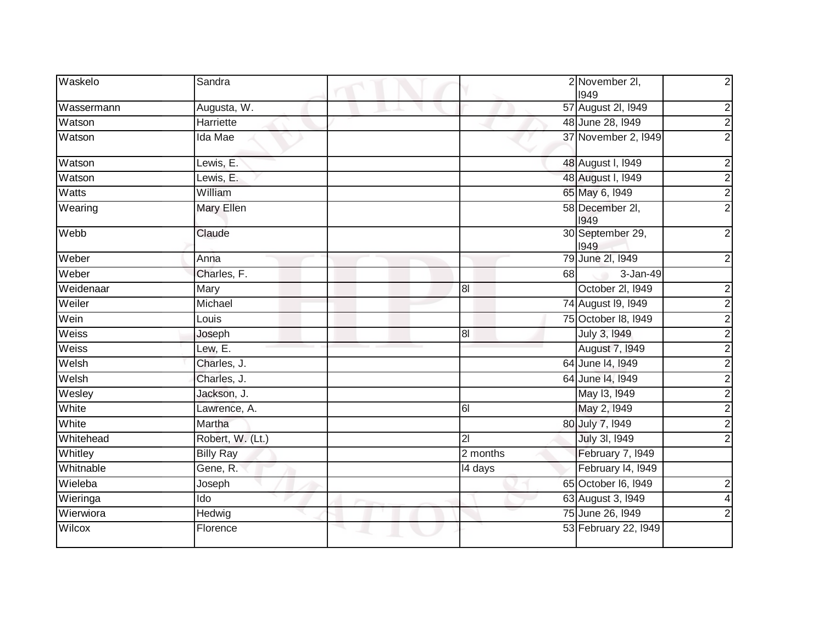| Waskelo      | Sandra            |                | 2 November 2I,<br>1949   | $\overline{2}$          |
|--------------|-------------------|----------------|--------------------------|-------------------------|
| Wassermann   | Augusta, W.       |                | 57 August 2I, 1949       | $\overline{2}$          |
| Watson       | <b>Harriette</b>  |                | 48 June 28, 1949         | $\overline{2}$          |
| Watson       | Ida Mae           |                | 37 November 2, 1949      | $\overline{2}$          |
| Watson       | Lewis, E.         |                | 48 August I, 1949        | $\overline{2}$          |
| Watson       | Lewis, E.         |                | 48 August I, 1949        | $\frac{2}{2}$           |
| <b>Watts</b> | William           |                | 65 May 6, 1949           |                         |
| Wearing      | <b>Mary Ellen</b> |                | 58 December 2I,<br>1949  | $\overline{2}$          |
| Webb         | Claude            |                | 30 September 29,<br>1949 | $\overline{2}$          |
| Weber        | Anna              |                | 79 June 2l, 1949         | $\overline{2}$          |
| Weber        | Charles, F.       | 68             | 3-Jan-49                 |                         |
| Weidenaar    | Mary              | 8 <sub>l</sub> | October 2I, I949         | $\overline{c}$          |
| Weiler       | Michael           |                | 74 August 19, 1949       | $\overline{2}$          |
| Wein         | Louis             |                | 75 October 18, 1949      | $\frac{2}{2}$           |
| Weiss        | Joseph            | 8 <sub>l</sub> | July 3, 1949             |                         |
| Weiss        | Lew, E.           |                | August 7, 1949           | $\overline{2}$          |
| Welsh        | Charles, J.       |                | 64 June 14, 1949         | $\frac{2}{2}$           |
| Welsh        | Charles, J.       |                | 64 June 14, 1949         |                         |
| Wesley       | Jackson, J.       |                | May 13, 1949             | $\frac{1}{2}$           |
| White        | Lawrence, A.      | 61             | May 2, 1949              |                         |
| White        | Martha            |                | 80 July 7, 1949          |                         |
| Whitehead    | Robert, W. (Lt.)  | 21             | July 3I, 1949            | $\overline{2}$          |
| Whitley      | <b>Billy Ray</b>  | 2 months       | February 7, 1949         |                         |
| Whitnable    | Gene, R.          | 14 days        | February 14, 1949        |                         |
| Wieleba      | Joseph            |                | 65 October 16, 1949      | $\overline{a}$          |
| Wieringa     | Ido               |                | 63 August 3, 1949        | $\overline{\mathbf{4}}$ |
| Wierwiora    | Hedwig            |                | 75 June 26, 1949         | $\overline{2}$          |
| Wilcox       | Florence          |                | 53 February 22, 1949     |                         |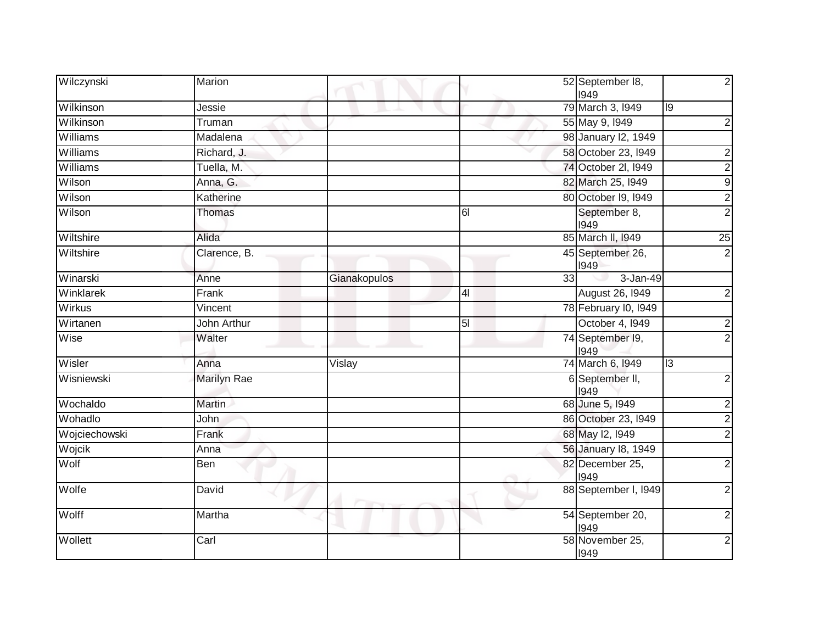| Wilczynski    | Marion             |              |                | 52 September 18,<br>1949 | $\overline{2}$ |
|---------------|--------------------|--------------|----------------|--------------------------|----------------|
| Wilkinson     | Jessie             |              |                | 79 March 3, 1949         | 9              |
| Wilkinson     | Truman             |              |                | 55 May 9, 1949           | $\overline{2}$ |
| Williams      | Madalena           |              |                | 98 January 12, 1949      |                |
| Williams      | Richard, J.        |              |                | 58 October 23, 1949      | $\overline{2}$ |
| Williams      | Tuella, M.         |              |                | 74 October 2I, 1949      | $\frac{2}{9}$  |
| Wilson        | Anna, G.           |              |                | 82 March 25, 1949        |                |
| Wilson        | Katherine          |              |                | 80 October 19, 1949      | $\overline{2}$ |
| Wilson        | <b>Thomas</b>      |              | 61             | September 8,<br>1949     | $\overline{2}$ |
| Wiltshire     | Alida              |              |                | 85 March II, 1949        | 25             |
| Wiltshire     | Clarence, B.       |              |                | 45 September 26,<br>1949 | $\overline{2}$ |
| Winarski      | Anne               | Gianakopulos | 33             | 3-Jan-49                 |                |
| Winklarek     | Frank              |              | 4 <sub>l</sub> | <b>August 26, 1949</b>   | $\mathbf{2}$   |
| <b>Wirkus</b> | Vincent            |              |                | 78 February I0, 1949     |                |
| Wirtanen      | John Arthur        |              | 5 <sub>l</sub> | October 4, I949          | $\frac{2}{2}$  |
| Wise          | Walter             |              |                | 74 September 19,<br>1949 |                |
| Wisler        | Anna               | Vislay       |                | 74 March 6, 1949         | 13             |
| Wisniewski    | <b>Marilyn Rae</b> |              |                | 6 September II,<br>1949  | $\overline{2}$ |
| Wochaldo      | <b>Martin</b>      |              |                | 68 June 5, 1949          | $\overline{2}$ |
| Wohadlo       | John               |              |                | 86 October 23, 1949      | $\frac{2}{2}$  |
| Wojciechowski | Frank              |              |                | 68 May 12, 1949          |                |
| Wojcik        | Anna               |              |                | 56 January 18, 1949      |                |
| Wolf          | Ben                |              |                | 82 December 25,<br>1949  | $\overline{2}$ |
| Wolfe         | David              |              |                | 88 September I, I949     | $\overline{2}$ |
| Wolff         | Martha             |              |                | 54 September 20,<br>1949 | $\overline{2}$ |
| Wollett       | Carl               |              |                | 58 November 25,<br>1949  | $\mathbf{2}$   |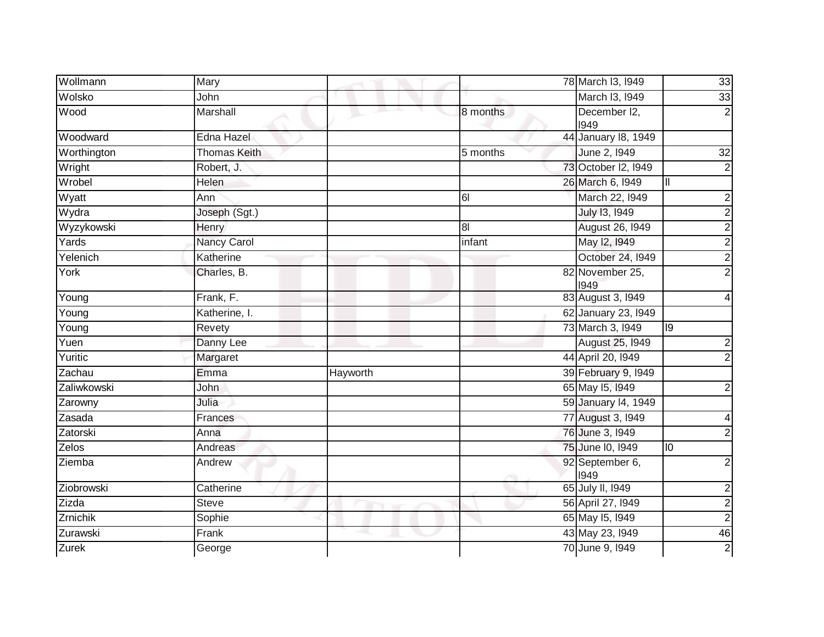| Wollmann     | Mary                |          |                | 78 March 13, 1949       | 33               |
|--------------|---------------------|----------|----------------|-------------------------|------------------|
| Wolsko       | John                |          |                | March I3, 1949          | 33               |
| Wood         | Marshall            |          | 8 months       | December I2,<br>1949    | $\overline{2}$   |
| Woodward     | Edna Hazel          |          |                | 44 January 18, 1949     |                  |
| Worthington  | <b>Thomas Keith</b> |          | 5 months       | June 2, 1949            | 32               |
| Wright       | Robert, J.          |          |                | 73 October I2, 1949     | $\overline{2}$   |
| Wrobel       | Helen               |          |                | 26 March 6, 1949        | III              |
| Wyatt        | Ann                 |          | 61             | March 22, 1949          | $\overline{2}$   |
| Wydra        | Joseph (Sgt.)       |          |                | July 13, 1949           | $\overline{2}$   |
| Wyzykowski   | Henry               |          | 8 <sup>1</sup> | August 26, 1949         | $\overline{2}$   |
| Yards        | Nancy Carol         |          | infant         | May 12, 1949            | $\overline{2}$   |
| Yelenich     | Katherine           |          |                | October 24, 1949        | $\overline{2}$   |
| York         | Charles, B.         |          |                | 82 November 25,<br>1949 | $\overline{2}$   |
| Young        | Frank, F.           |          |                | 83 August 3, 1949       |                  |
| Young        | Katherine, I.       |          |                | 62 January 23, 1949     |                  |
| Young        | Revety              |          |                | 73 March 3, 1949        | 19               |
| Yuen         | Danny Lee           |          |                | August 25, 1949         | $\overline{c}$   |
| Yuritic      | Margaret            |          |                | 44 April 20, 1949       | $\overline{2}$   |
| Zachau       | Emma                | Hayworth |                | 39 February 9, 1949     |                  |
| Zaliwkowski  | John                |          |                | 65 May 15, 1949         | $\overline{2}$   |
| Zarowny      | Julia               |          |                | 59 January 14, 1949     |                  |
| Zasada       | Frances             |          |                | 77 August 3, 1949       | 4                |
| Zatorski     | Anna                |          |                | 76 June 3, 1949         | $\overline{c}$   |
| Zelos        | Andreas             |          |                | 75 June 10, 1949        | 10               |
| Ziemba       | Andrew              |          |                | 92 September 6,<br>1949 | $\overline{2}$   |
| Ziobrowski   | Catherine           |          |                | 65 July II, 1949        | $\boldsymbol{2}$ |
| Zizda        | Steve               |          |                | 56 April 27, 1949       | $\overline{2}$   |
| Zrnichik     | Sophie              |          |                | 65 May 15, 1949         | $\overline{2}$   |
| Zurawski     | Frank               |          |                | 43 May 23, 1949         | 46               |
| <b>Zurek</b> | George              |          |                | 70 June 9, 1949         | $\overline{2}$   |